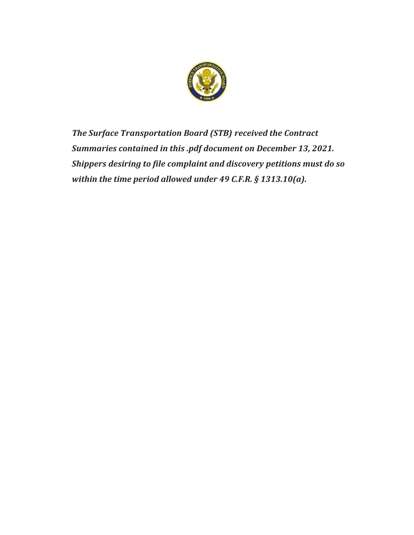

*The Surface Transportation Board (STB) received the Contract Summaries contained in this .pdf document on December 13, 2021. Shippers desiring to file complaint and discovery petitions must do so within the time period allowed under 49 C.F.R. § 1313.10(a).*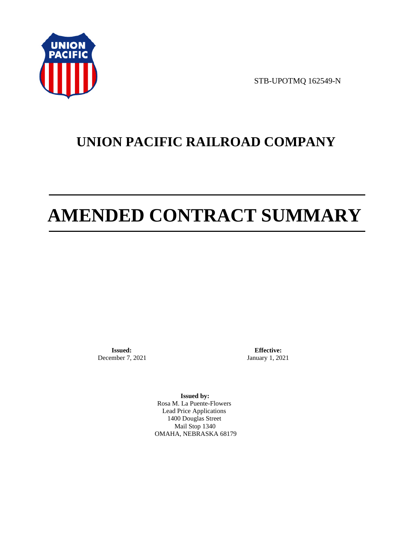

STB-UPOTMQ 162549-N

# **UNION PACIFIC RAILROAD COMPANY**

# **AMENDED CONTRACT SUMMARY**

**Issued:**  December 7, 2021

**Effective:** January 1, 2021

**Issued by:**  Rosa M. La Puente-Flowers Lead Price Applications 1400 Douglas Street Mail Stop 1340 OMAHA, NEBRASKA 68179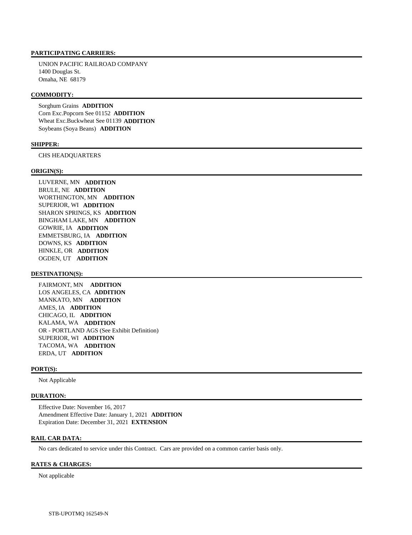#### **PARTICIPATING CARRIERS:**

 UNION PACIFIC RAILROAD COMPANY 1400 Douglas St. Omaha, NE 68179

## **COMMODITY:**

 Sorghum Grains **ADDITION**  Corn Exc.Popcorn See 01152 **ADDITION**  Wheat Exc.Buckwheat See 01139 **ADDITION**  Soybeans (Soya Beans) **ADDITION** 

#### **SHIPPER:**

CHS HEADQUARTERS

#### **ORIGIN(S):**

 LUVERNE, MN **ADDITION**  BRULE, NE **ADDITION**  WORTHINGTON, MN **ADDITION**  SUPERIOR, WI **ADDITION**  SHARON SPRINGS, KS **ADDITION**  BINGHAM LAKE, MN **ADDITION**  GOWRIE, IA **ADDITION**  EMMETSBURG, IA **ADDITION**  DOWNS, KS **ADDITION**  HINKLE, OR **ADDITION**  OGDEN, UT **ADDITION** 

#### **DESTINATION(S):**

 FAIRMONT, MN **ADDITION**  LOS ANGELES, CA **ADDITION**  MANKATO, MN **ADDITION**  AMES, IA **ADDITION**  CHICAGO, IL **ADDITION**  KALAMA, WA **ADDITION**  OR - PORTLAND AGS (See Exhibit Definition) SUPERIOR, WI **ADDITION**  TACOMA, WA **ADDITION**  ERDA, UT **ADDITION** 

#### **PORT(S):**

Not Applicable

# **DURATION:**

 Effective Date: November 16, 2017 Amendment Effective Date: January 1, 2021 **ADDITION**  Expiration Date: December 31, 2021 **EXTENSION** 

#### **RAIL CAR DATA:**

No cars dedicated to service under this Contract. Cars are provided on a common carrier basis only.

#### **RATES & CHARGES:**

Not applicable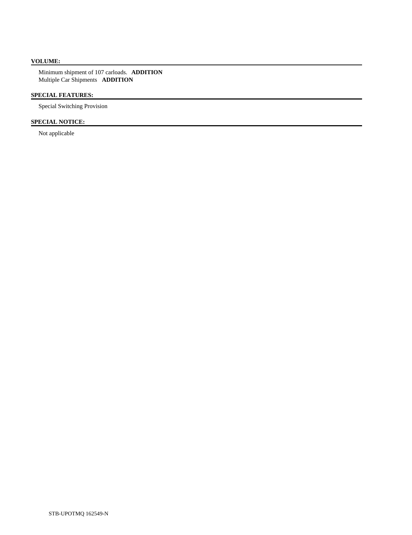# **VOLUME:**

 Minimum shipment of 107 carloads. **ADDITION**  Multiple Car Shipments **ADDITION** 

# **SPECIAL FEATURES:**

Special Switching Provision

# **SPECIAL NOTICE:**

Not applicable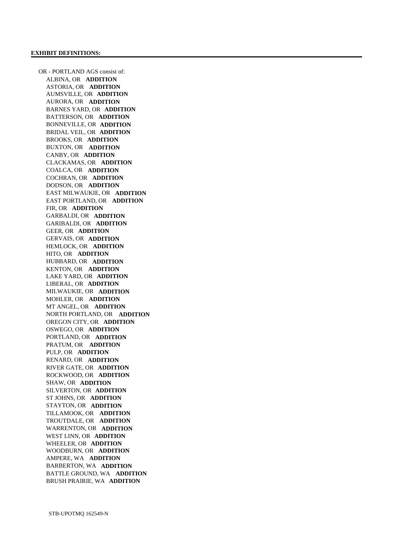OR - PORTLAND AGS consist of: ALBINA, OR **ADDITION**  ASTORIA, OR **ADDITION**  AUMSVILLE, OR **ADDITION**  AURORA, OR **ADDITION**  BARNES YARD, OR **ADDITION**  BATTERSON, OR **ADDITION**  BONNEVILLE, OR **ADDITION**  BRIDAL VEIL, OR **ADDITION**  BROOKS, OR **ADDITION**  BUXTON, OR **ADDITION**  CANBY, OR **ADDITION**  CLACKAMAS, OR **ADDITION**  COALCA, OR **ADDITION**  COCHRAN, OR **ADDITION**  DODSON, OR **ADDITION**  EAST MILWAUKIE, OR **ADDITION**  EAST PORTLAND, OR **ADDITION**  FIR, OR **ADDITION**  GARBALDI, OR **ADDITION**  GARIBALDI, OR **ADDITION**  GEER, OR **ADDITION**  GERVAIS, OR **ADDITION**  HEMLOCK, OR **ADDITION**  HITO, OR **ADDITION**  HUBBARD, OR **ADDITION**  KENTON, OR **ADDITION**  LAKE YARD, OR **ADDITION**  LIBERAL, OR **ADDITION**  MILWAUKIE, OR **ADDITION**  MOHLER, OR **ADDITION**  MT ANGEL, OR **ADDITION**  NORTH PORTLAND, OR **ADDITION**  OREGON CITY, OR **ADDITION**  OSWEGO, OR **ADDITION**  PORTLAND, OR **ADDITION**  PRATUM, OR **ADDITION**  PULP, OR **ADDITION**  RENARD, OR **ADDITION**  RIVER GATE, OR **ADDITION**  ROCKWOOD, OR **ADDITION**  SHAW, OR **ADDITION**  SILVERTON, OR **ADDITION**  ST JOHNS, OR **ADDITION**  STAYTON, OR **ADDITION**  TILLAMOOK, OR **ADDITION**  TROUTDALE, OR **ADDITION**  WARRENTON, OR **ADDITION**  WEST LINN, OR **ADDITION**  WHEELER, OR **ADDITION**  WOODBURN, OR **ADDITION**  AMPERE, WA **ADDITION**  BARBERTON, WA **ADDITION**  BATTLE GROUND, WA **ADDITION**  BRUSH PRAIRIE, WA **ADDITION**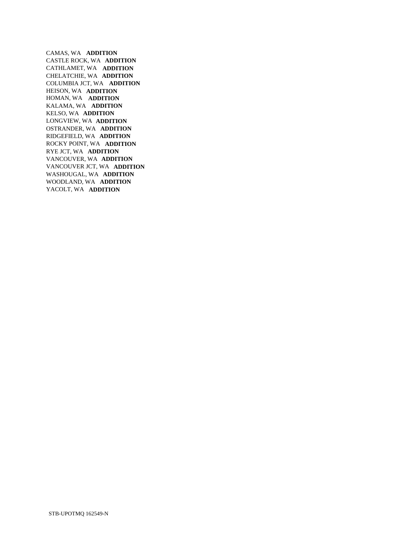CAMAS, WA **ADDITION**  CASTLE ROCK, WA **ADDITION**  CATHLAMET, WA **ADDITION**  CHELATCHIE, WA **ADDITION**  COLUMBIA JCT, WA **ADDITION**  HEISON, WA **ADDITION**  HOMAN, WA **ADDITION**  KALAMA, WA **ADDITION**  KELSO, WA **ADDITION**  LONGVIEW, WA **ADDITION**  OSTRANDER, WA **ADDITION**  RIDGEFIELD, WA **ADDITION**  ROCKY POINT, WA **ADDITION**  RYE JCT, WA **ADDITION**  VANCOUVER, WA **ADDITION**  VANCOUVER JCT, WA **ADDITION**  WASHOUGAL, WA **ADDITION**  WOODLAND, WA **ADDITION**  YACOLT, WA **ADDITION**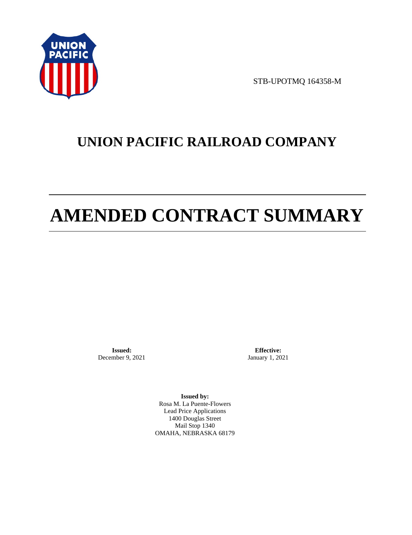

STB-UPOTMQ 164358-M

# **UNION PACIFIC RAILROAD COMPANY**

# **AMENDED CONTRACT SUMMARY**

**Issued:**  December 9, 2021

**Effective:** January 1, 2021

**Issued by:**  Rosa M. La Puente-Flowers Lead Price Applications 1400 Douglas Street Mail Stop 1340 OMAHA, NEBRASKA 68179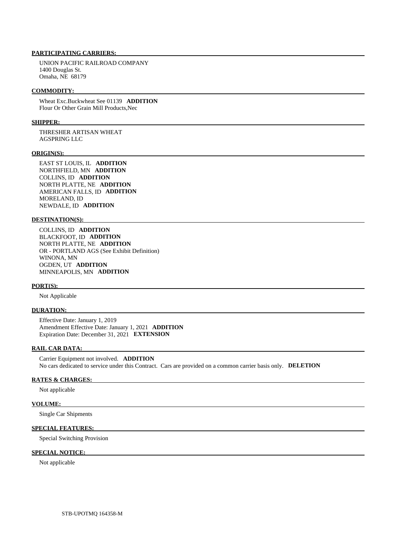# **PARTICIPATING CARRIERS:**

 UNION PACIFIC RAILROAD COMPANY 1400 Douglas St. Omaha, NE 68179

#### **COMMODITY:**

 Wheat Exc.Buckwheat See 01139 **ADDITION**  Flour Or Other Grain Mill Products,Nec

#### **SHIPPER:**

 THRESHER ARTISAN WHEAT AGSPRING LLC

#### **ORIGIN(S):**

 EAST ST LOUIS, IL **ADDITION**  NORTHFIELD, MN **ADDITION**  COLLINS, ID **ADDITION**  NORTH PLATTE, NE **ADDITION**  AMERICAN FALLS, ID **ADDITION**  MORELAND, ID NEWDALE, ID **ADDITION** 

#### **DESTINATION(S):**

 COLLINS, ID **ADDITION**  BLACKFOOT, ID **ADDITION**  NORTH PLATTE, NE **ADDITION**  OR - PORTLAND AGS (See Exhibit Definition) WINONA, MN OGDEN, UT **ADDITION**  MINNEAPOLIS, MN **ADDITION** 

#### **PORT(S):**

Not Applicable

#### **DURATION:**

 Effective Date: January 1, 2019 Amendment Effective Date: January 1, 2021 **ADDITION**  Expiration Date: December 31, 2021 **EXTENSION** 

#### **RAIL CAR DATA:**

 Carrier Equipment not involved. **ADDITION**  No cars dedicated to service under this Contract. Cars are provided on a common carrier basis only. **DELETION** 

#### **RATES & CHARGES:**

Not applicable

#### **VOLUME:**

Single Car Shipments

## **SPECIAL FEATURES:**

Special Switching Provision

#### **SPECIAL NOTICE:**

Not applicable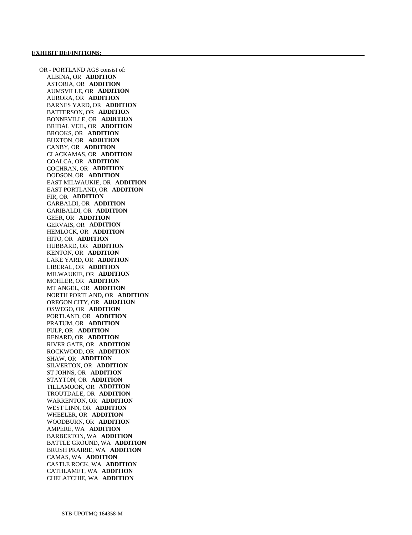OR - PORTLAND AGS consist of: ALBINA, OR **ADDITION**  ASTORIA, OR **ADDITION**  AUMSVILLE, OR **ADDITION**  AURORA, OR **ADDITION**  BARNES YARD, OR **ADDITION**  BATTERSON, OR **ADDITION**  BONNEVILLE, OR **ADDITION**  BRIDAL VEIL, OR **ADDITION**  BROOKS, OR **ADDITION**  BUXTON, OR **ADDITION**  CANBY, OR **ADDITION**  CLACKAMAS, OR **ADDITION**  COALCA, OR **ADDITION**  COCHRAN, OR **ADDITION**  DODSON, OR **ADDITION**  EAST MILWAUKIE, OR **ADDITION**  EAST PORTLAND, OR **ADDITION**  FIR, OR **ADDITION**  GARBALDI, OR **ADDITION**  GARIBALDI, OR **ADDITION**  GEER, OR **ADDITION**  GERVAIS, OR **ADDITION**  HEMLOCK, OR **ADDITION**  HITO, OR **ADDITION**  HUBBARD, OR **ADDITION**  KENTON, OR **ADDITION**  LAKE YARD, OR **ADDITION**  LIBERAL, OR **ADDITION**  MILWAUKIE, OR **ADDITION**  MOHLER, OR **ADDITION**  MT ANGEL, OR **ADDITION**  NORTH PORTLAND, OR **ADDITION**  OREGON CITY, OR **ADDITION**  OSWEGO, OR **ADDITION**  PORTLAND, OR **ADDITION**  PRATUM, OR **ADDITION**  PULP, OR **ADDITION**  RENARD, OR **ADDITION**  RIVER GATE, OR **ADDITION**  ROCKWOOD, OR **ADDITION**  SHAW, OR **ADDITION**  SILVERTON, OR **ADDITION**  ST JOHNS, OR **ADDITION**  STAYTON, OR **ADDITION**  TILLAMOOK, OR **ADDITION**  TROUTDALE, OR **ADDITION**  WARRENTON, OR **ADDITION**  WEST LINN, OR **ADDITION**  WHEELER, OR **ADDITION**  WOODBURN, OR **ADDITION**  AMPERE, WA **ADDITION**  BARBERTON, WA **ADDITION**  BATTLE GROUND, WA **ADDITION**  BRUSH PRAIRIE, WA **ADDITION**  CAMAS, WA **ADDITION**  CASTLE ROCK, WA **ADDITION**  CATHLAMET, WA **ADDITION**  CHELATCHIE, WA **ADDITION**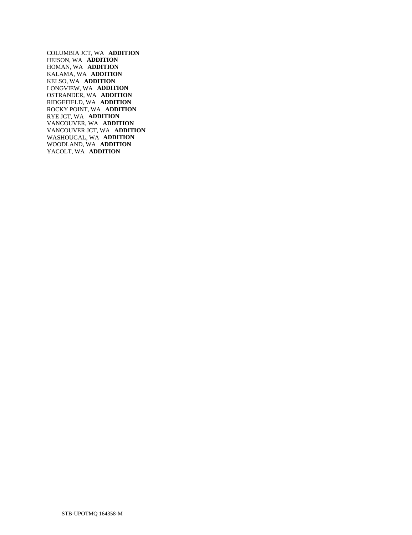COLUMBIA JCT, WA **ADDITION**  HEISON, WA **ADDITION**  HOMAN, WA **ADDITION**  KALAMA, WA **ADDITION**  KELSO, WA **ADDITION**  LONGVIEW, WA **ADDITION**  OSTRANDER, WA **ADDITION**  RIDGEFIELD, WA **ADDITION**  ROCKY POINT, WA **ADDITION**  RYE JCT, WA **ADDITION**  VANCOUVER, WA **ADDITION**  VANCOUVER JCT, WA **ADDITION**  WASHOUGAL, WA **ADDITION**  WOODLAND, WA **ADDITION**  YACOLT, WA **ADDITION**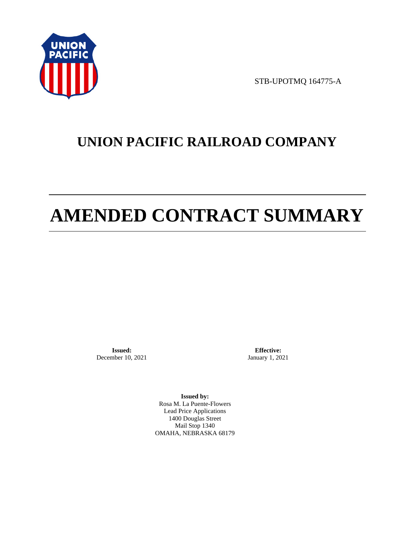

STB-UPOTMQ 164775-A

# **UNION PACIFIC RAILROAD COMPANY**

# **AMENDED CONTRACT SUMMARY**

**Issued:**  December 10, 2021

**Effective:** January 1, 2021

**Issued by:**  Rosa M. La Puente-Flowers Lead Price Applications 1400 Douglas Street Mail Stop 1340 OMAHA, NEBRASKA 68179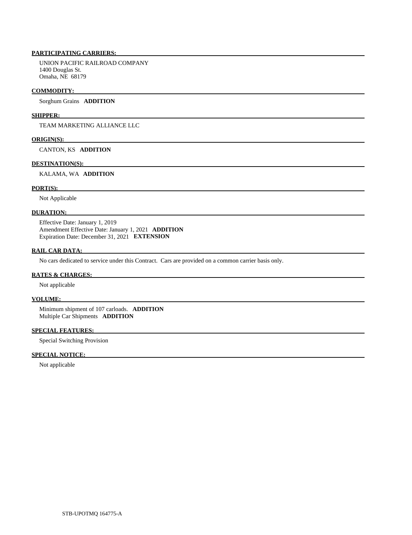# **PARTICIPATING CARRIERS:**

 UNION PACIFIC RAILROAD COMPANY 1400 Douglas St. Omaha, NE 68179

#### **COMMODITY:**

Sorghum Grains **ADDITION** 

## **SHIPPER:**

TEAM MARKETING ALLIANCE LLC

#### **ORIGIN(S):**

CANTON, KS **ADDITION** 

#### **DESTINATION(S):**

KALAMA, WA **ADDITION** 

## **PORT(S):**

Not Applicable

#### **DURATION:**

 Effective Date: January 1, 2019 Amendment Effective Date: January 1, 2021 **ADDITION**  Expiration Date: December 31, 2021 **EXTENSION** 

# **RAIL CAR DATA:**

No cars dedicated to service under this Contract. Cars are provided on a common carrier basis only.

#### **RATES & CHARGES:**

Not applicable

#### **VOLUME:**

 Minimum shipment of 107 carloads. **ADDITION**  Multiple Car Shipments **ADDITION** 

### **SPECIAL FEATURES:**

Special Switching Provision

#### **SPECIAL NOTICE:**

Not applicable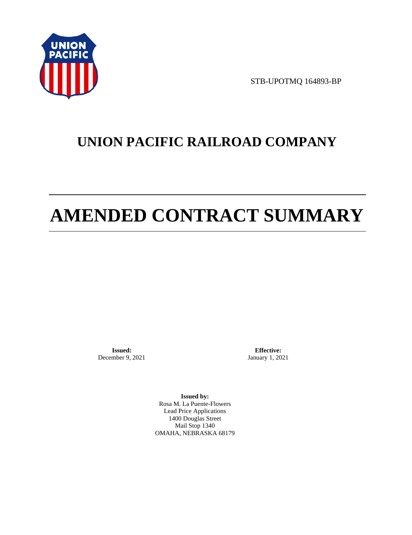

STB-UPOTMQ 164893-BP

# **UNION PACIFIC RAILROAD COMPANY**

# **AMENDED CONTRACT SUMMARY**

**Issued:**  December 9, 2021

**Effective:** January 1, 2021

**Issued by:**  Rosa M. La Puente-Flowers Lead Price Applications 1400 Douglas Street Mail Stop 1340 OMAHA, NEBRASKA 68179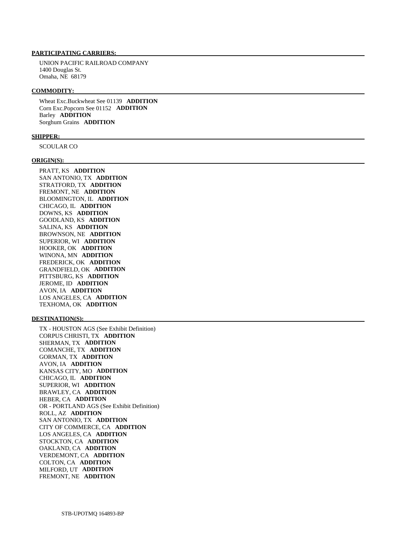# **PARTICIPATING CARRIERS:**

 UNION PACIFIC RAILROAD COMPANY 1400 Douglas St. Omaha, NE 68179

#### **COMMODITY:**

 Wheat Exc.Buckwheat See 01139 **ADDITION**  Corn Exc.Popcorn See 01152 **ADDITION**  Barley **ADDITION**  Sorghum Grains **ADDITION** 

#### **SHIPPER:**

SCOULAR CO

#### **ORIGIN(S):**

 PRATT, KS **ADDITION**  SAN ANTONIO, TX **ADDITION**  STRATFORD, TX **ADDITION**  FREMONT, NE **ADDITION**  BLOOMINGTON, IL **ADDITION**  CHICAGO, IL **ADDITION**  DOWNS, KS **ADDITION**  GOODLAND, KS **ADDITION**  SALINA, KS **ADDITION**  BROWNSON, NE **ADDITION**  SUPERIOR, WI **ADDITION**  HOOKER, OK **ADDITION**  WINONA, MN **ADDITION**  FREDERICK, OK **ADDITION**  GRANDFIELD, OK **ADDITION**  PITTSBURG, KS **ADDITION**  JEROME, ID **ADDITION**  AVON, IA **ADDITION**  LOS ANGELES, CA **ADDITION**  TEXHOMA, OK **ADDITION** 

#### **DESTINATION(S):**

 TX - HOUSTON AGS (See Exhibit Definition) CORPUS CHRISTI, TX **ADDITION**  SHERMAN, TX **ADDITION**  COMANCHE, TX **ADDITION**  GORMAN, TX **ADDITION**  AVON, IA **ADDITION**  KANSAS CITY, MO **ADDITION**  CHICAGO, IL **ADDITION**  SUPERIOR, WI **ADDITION**  BRAWLEY, CA **ADDITION**  HEBER, CA **ADDITION**  OR - PORTLAND AGS (See Exhibit Definition) ROLL, AZ **ADDITION**  SAN ANTONIO, TX **ADDITION**  CITY OF COMMERCE, CA **ADDITION**  LOS ANGELES, CA **ADDITION**  STOCKTON, CA **ADDITION**  OAKLAND, CA **ADDITION**  VERDEMONT, CA **ADDITION**  COLTON, CA **ADDITION**  MILFORD, UT **ADDITION**  FREMONT, NE **ADDITION**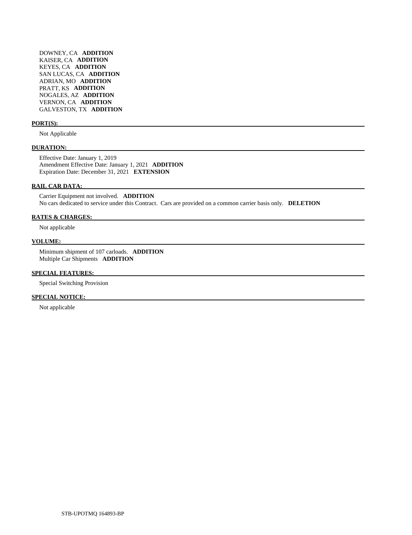DOWNEY, CA **ADDITION**  KAISER, CA **ADDITION**  KEYES, CA **ADDITION**  SAN LUCAS, CA **ADDITION**  ADRIAN, MO **ADDITION**  PRATT, KS **ADDITION**  NOGALES, AZ **ADDITION**  VERNON, CA **ADDITION**  GALVESTON, TX **ADDITION** 

#### **PORT(S):**

Not Applicable

#### **DURATION:**

 Effective Date: January 1, 2019 Amendment Effective Date: January 1, 2021 **ADDITION**  Expiration Date: December 31, 2021 **EXTENSION** 

#### **RAIL CAR DATA:**

 Carrier Equipment not involved. **ADDITION**  No cars dedicated to service under this Contract. Cars are provided on a common carrier basis only. **DELETION** 

## **RATES & CHARGES:**

Not applicable

#### **VOLUME:**

 Minimum shipment of 107 carloads. **ADDITION**  Multiple Car Shipments **ADDITION** 

# **SPECIAL FEATURES:**

Special Switching Provision

## **SPECIAL NOTICE:**

Not applicable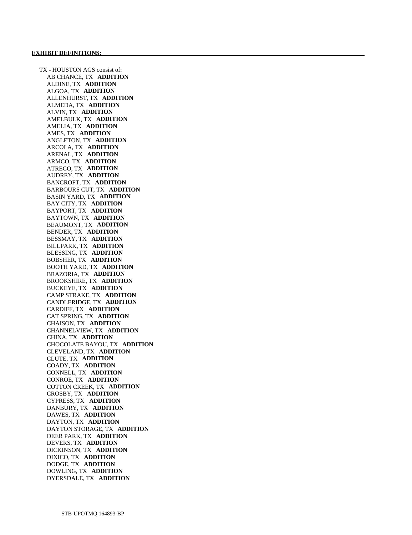TX - HOUSTON AGS consist of: AB CHANCE, TX **ADDITION**  ALDINE, TX **ADDITION**  ALGOA, TX **ADDITION**  ALLENHURST, TX **ADDITION**  ALMEDA, TX **ADDITION**  ALVIN, TX **ADDITION**  AMELBULK, TX **ADDITION**  AMELIA, TX **ADDITION**  AMES, TX **ADDITION**  ANGLETON, TX **ADDITION**  ARCOLA, TX **ADDITION**  ARENAL, TX **ADDITION**  ARMCO, TX **ADDITION**  ATRECO, TX **ADDITION**  AUDREY, TX **ADDITION**  BANCROFT, TX **ADDITION**  BARBOURS CUT, TX **ADDITION**  BASIN YARD, TX **ADDITION**  BAY CITY, TX **ADDITION**  BAYPORT, TX **ADDITION**  BAYTOWN, TX **ADDITION**  BEAUMONT, TX **ADDITION**  BENDER, TX **ADDITION**  BESSMAY, TX **ADDITION**  BILLPARK, TX **ADDITION**  BLESSING, TX **ADDITION**  BOBSHER, TX **ADDITION**  BOOTH YARD, TX **ADDITION**  BRAZORIA, TX **ADDITION**  BROOKSHIRE, TX **ADDITION**  BUCKEYE, TX **ADDITION**  CAMP STRAKE, TX **ADDITION**  CANDLERIDGE, TX **ADDITION**  CARDIFF, TX **ADDITION**  CAT SPRING, TX **ADDITION**  CHAISON, TX **ADDITION**  CHANNELVIEW, TX **ADDITION**  CHINA, TX **ADDITION**  CHOCOLATE BAYOU, TX **ADDITION**  CLEVELAND, TX **ADDITION**  CLUTE, TX **ADDITION**  COADY, TX **ADDITION**  CONNELL, TX **ADDITION**  CONROE, TX **ADDITION**  COTTON CREEK, TX **ADDITION**  CROSBY, TX **ADDITION**  CYPRESS, TX **ADDITION**  DANBURY, TX **ADDITION**  DAWES, TX **ADDITION**  DAYTON, TX **ADDITION**  DAYTON STORAGE, TX **ADDITION**  DEER PARK, TX **ADDITION**  DEVERS, TX **ADDITION**  DICKINSON, TX **ADDITION**  DIXICO, TX **ADDITION**  DODGE, TX **ADDITION**  DOWLING, TX **ADDITION**  DYERSDALE, TX **ADDITION**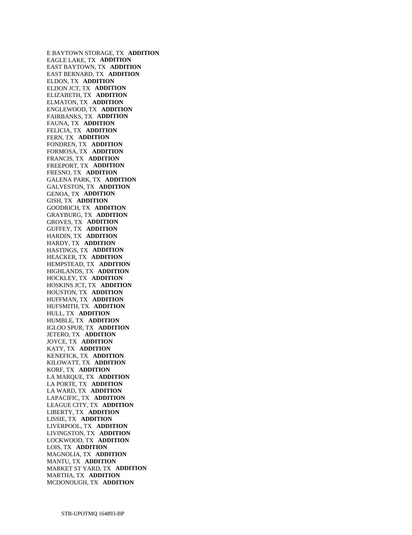E BAYTOWN STORAGE, TX **ADDITION**  EAGLE LAKE, TX **ADDITION**  EAST BAYTOWN, TX **ADDITION**  EAST BERNARD, TX **ADDITION**  ELDON, TX **ADDITION**  ELDON JCT, TX **ADDITION**  ELIZABETH, TX **ADDITION**  ELMATON, TX **ADDITION**  ENGLEWOOD, TX **ADDITION**  FAIRBANKS, TX **ADDITION**  FAUNA, TX **ADDITION**  FELICIA, TX **ADDITION**  FERN, TX **ADDITION**  FONDREN, TX **ADDITION**  FORMOSA, TX **ADDITION**  FRANCIS, TX **ADDITION**  FREEPORT, TX **ADDITION**  FRESNO, TX **ADDITION**  GALENA PARK, TX **ADDITION**  GALVESTON, TX **ADDITION**  GENOA, TX **ADDITION**  GISH, TX **ADDITION**  GOODRICH, TX **ADDITION**  GRAYBURG, TX **ADDITION**  GROVES, TX **ADDITION**  GUFFEY, TX **ADDITION**  HARDIN, TX **ADDITION**  HARDY, TX **ADDITION**  HASTINGS, TX **ADDITION**  HEACKER, TX **ADDITION**  HEMPSTEAD, TX **ADDITION**  HIGHLANDS, TX **ADDITION**  HOCKLEY, TX **ADDITION**  HOSKINS JCT, TX **ADDITION**  HOUSTON, TX **ADDITION**  HUFFMAN, TX **ADDITION**  HUFSMITH, TX **ADDITION**  HULL, TX **ADDITION**  HUMBLE, TX **ADDITION**  IGLOO SPUR, TX **ADDITION**  JETERO, TX **ADDITION**  JOYCE, TX **ADDITION**  KATY, TX **ADDITION**  KENEFICK, TX **ADDITION**  KILOWATT, TX **ADDITION**  KORF, TX **ADDITION**  LA MARQUE, TX **ADDITION**  LA PORTE, TX **ADDITION**  LA WARD, TX **ADDITION**  LAPACIFIC, TX **ADDITION**  LEAGUE CITY, TX **ADDITION**  LIBERTY, TX **ADDITION**  LISSIE, TX **ADDITION**  LIVERPOOL, TX **ADDITION**  LIVINGSTON, TX **ADDITION**  LOCKWOOD, TX **ADDITION**  LOIS, TX **ADDITION**  MAGNOLIA, TX **ADDITION**  MANTU, TX **ADDITION**  MARKET ST YARD, TX **ADDITION**  MARTHA, TX **ADDITION**  MCDONOUGH, TX **ADDITION**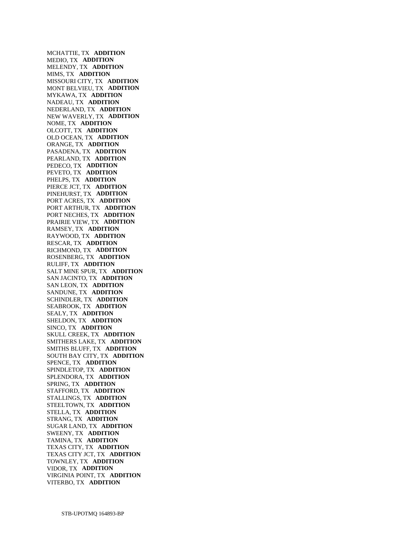MCHATTIE, TX **ADDITION**  MEDIO, TX **ADDITION**  MELENDY, TX **ADDITION**  MIMS, TX **ADDITION**  MISSOURI CITY, TX **ADDITION**  MONT BELVIEU, TX **ADDITION**  MYKAWA, TX **ADDITION**  NADEAU, TX **ADDITION**  NEDERLAND, TX **ADDITION**  NEW WAVERLY, TX **ADDITION**  NOME, TX **ADDITION**  OLCOTT, TX **ADDITION**  OLD OCEAN, TX **ADDITION**  ORANGE, TX **ADDITION**  PASADENA, TX **ADDITION**  PEARLAND, TX **ADDITION**  PEDECO, TX **ADDITION**  PEVETO, TX **ADDITION**  PHELPS, TX **ADDITION**  PIERCE JCT, TX **ADDITION**  PINEHURST, TX **ADDITION**  PORT ACRES, TX **ADDITION**  PORT ARTHUR, TX **ADDITION**  PORT NECHES, TX **ADDITION**  PRAIRIE VIEW, TX **ADDITION**  RAMSEY, TX **ADDITION**  RAYWOOD, TX **ADDITION**  RESCAR, TX **ADDITION**  RICHMOND, TX **ADDITION**  ROSENBERG, TX **ADDITION**  RULIFF, TX **ADDITION**  SALT MINE SPUR, TX **ADDITION**  SAN JACINTO, TX **ADDITION**  SAN LEON, TX **ADDITION**  SANDUNE, TX **ADDITION**  SCHINDLER, TX **ADDITION**  SEABROOK, TX **ADDITION**  SEALY, TX **ADDITION**  SHELDON, TX **ADDITION**  SINCO, TX **ADDITION**  SKULL CREEK, TX **ADDITION**  SMITHERS LAKE, TX **ADDITION**  SMITHS BLUFF, TX **ADDITION**  SOUTH BAY CITY, TX **ADDITION**  SPENCE, TX **ADDITION**  SPINDLETOP, TX **ADDITION**  SPLENDORA, TX **ADDITION**  SPRING, TX **ADDITION**  STAFFORD, TX **ADDITION**  STALLINGS, TX **ADDITION**  STEELTOWN, TX **ADDITION**  STELLA, TX **ADDITION**  STRANG, TX **ADDITION**  SUGAR LAND, TX **ADDITION**  SWEENY, TX **ADDITION**  TAMINA, TX **ADDITION**  TEXAS CITY, TX **ADDITION**  TEXAS CITY JCT, TX **ADDITION**  TOWNLEY, TX **ADDITION**  VIDOR, TX **ADDITION**  VIRGINIA POINT, TX **ADDITION**  VITERBO, TX **ADDITION**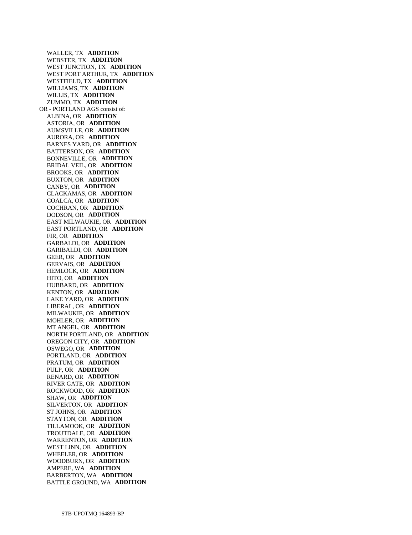WALLER, TX **ADDITION**  WEBSTER, TX **ADDITION**  WEST JUNCTION, TX **ADDITION**  WEST PORT ARTHUR, TX **ADDITION**  WESTFIELD, TX **ADDITION**  WILLIAMS, TX **ADDITION**  WILLIS, TX **ADDITION**  ZUMMO, TX **ADDITION**  OR - PORTLAND AGS consist of: ALBINA, OR **ADDITION**  ASTORIA, OR **ADDITION**  AUMSVILLE, OR **ADDITION**  AURORA, OR **ADDITION**  BARNES YARD, OR **ADDITION**  BATTERSON, OR **ADDITION**  BONNEVILLE, OR **ADDITION**  BRIDAL VEIL, OR **ADDITION**  BROOKS, OR **ADDITION**  BUXTON, OR **ADDITION**  CANBY, OR **ADDITION**  CLACKAMAS, OR **ADDITION**  COALCA, OR **ADDITION**  COCHRAN, OR **ADDITION**  DODSON, OR **ADDITION**  EAST MILWAUKIE, OR **ADDITION**  EAST PORTLAND, OR **ADDITION**  FIR, OR **ADDITION**  GARBALDI, OR **ADDITION**  GARIBALDI, OR **ADDITION**  GEER, OR **ADDITION**  GERVAIS, OR **ADDITION**  HEMLOCK, OR **ADDITION**  HITO, OR **ADDITION**  HUBBARD, OR **ADDITION**  KENTON, OR **ADDITION**  LAKE YARD, OR **ADDITION**  LIBERAL, OR **ADDITION**  MILWAUKIE, OR **ADDITION**  MOHLER, OR **ADDITION**  MT ANGEL, OR **ADDITION**  NORTH PORTLAND, OR **ADDITION**  OREGON CITY, OR **ADDITION**  OSWEGO, OR **ADDITION**  PORTLAND, OR **ADDITION**  PRATUM, OR **ADDITION**  PULP, OR **ADDITION**  RENARD, OR **ADDITION**  RIVER GATE, OR **ADDITION**  ROCKWOOD, OR **ADDITION**  SHAW, OR **ADDITION**  SILVERTON, OR **ADDITION**  ST JOHNS, OR **ADDITION**  STAYTON, OR **ADDITION**  TILLAMOOK, OR **ADDITION**  TROUTDALE, OR **ADDITION**  WARRENTON, OR **ADDITION**  WEST LINN, OR **ADDITION**  WHEELER, OR **ADDITION**  WOODBURN, OR **ADDITION**  AMPERE, WA **ADDITION**  BARBERTON, WA **ADDITION**  BATTLE GROUND, WA **ADDITION**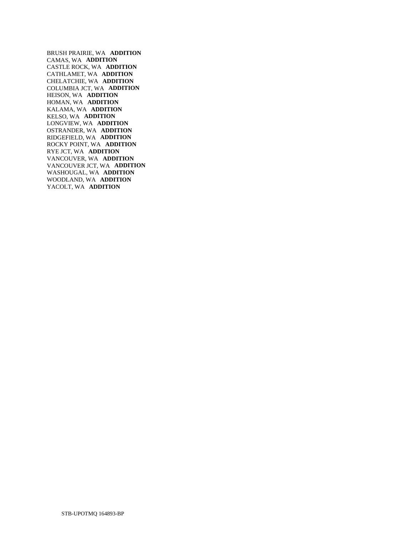BRUSH PRAIRIE, WA **ADDITION**  CAMAS, WA **ADDITION**  CASTLE ROCK, WA **ADDITION**  CATHLAMET, WA **ADDITION**  CHELATCHIE, WA **ADDITION**  COLUMBIA JCT, WA **ADDITION**  HEISON, WA **ADDITION**  HOMAN, WA **ADDITION**  KALAMA, WA **ADDITION**  KELSO, WA **ADDITION**  LONGVIEW, WA **ADDITION**  OSTRANDER, WA **ADDITION**  RIDGEFIELD, WA **ADDITION**  ROCKY POINT, WA **ADDITION**  RYE JCT, WA **ADDITION**  VANCOUVER, WA **ADDITION**  VANCOUVER JCT, WA **ADDITION**  WASHOUGAL, WA **ADDITION**  WOODLAND, WA **ADDITION**  YACOLT, WA **ADDITION**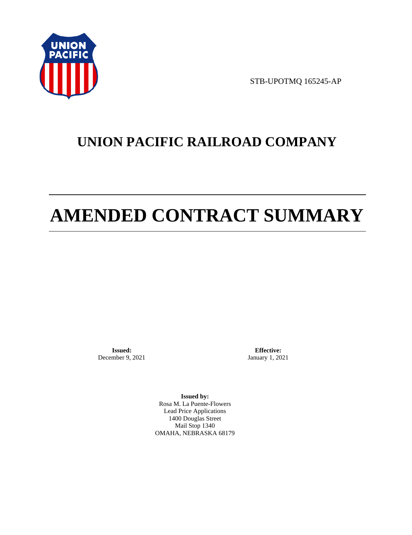

STB-UPOTMQ 165245-AP

# **UNION PACIFIC RAILROAD COMPANY**

# **AMENDED CONTRACT SUMMARY**

**Issued:**  December 9, 2021

**Effective:** January 1, 2021

**Issued by:**  Rosa M. La Puente-Flowers Lead Price Applications 1400 Douglas Street Mail Stop 1340 OMAHA, NEBRASKA 68179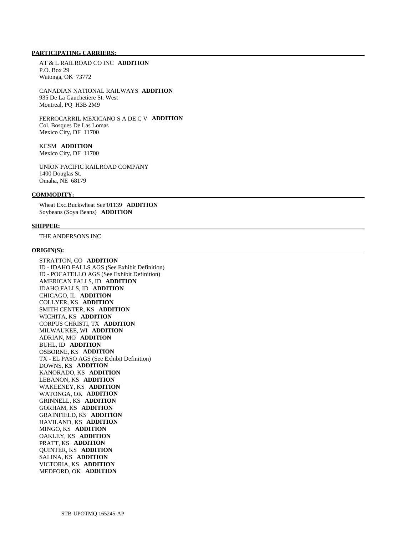# **PARTICIPATING CARRIERS:**

 AT & L RAILROAD CO INC **ADDITION**  P.O. Box 29 Watonga, OK 73772

 CANADIAN NATIONAL RAILWAYS **ADDITION**  935 De La Gauchetiere St. West Montreal, PQ H3B 2M9

 FERROCARRIL MEXICANO S A DE C V **ADDITION**  Col. Bosques De Las Lomas Mexico City, DF 11700

# KCSM **ADDITION**

Mexico City, DF 11700

 UNION PACIFIC RAILROAD COMPANY 1400 Douglas St. Omaha, NE 68179

### **COMMODITY:**

 Wheat Exc.Buckwheat See 01139 **ADDITION**  Soybeans (Soya Beans) **ADDITION** 

#### **SHIPPER:**

THE ANDERSONS INC

#### **ORIGIN(S):**

 STRATTON, CO **ADDITION**  ID - IDAHO FALLS AGS (See Exhibit Definition) ID - POCATELLO AGS (See Exhibit Definition) AMERICAN FALLS, ID **ADDITION**  IDAHO FALLS, ID **ADDITION**  CHICAGO, IL **ADDITION**  COLLYER, KS **ADDITION**  SMITH CENTER, KS **ADDITION**  WICHITA, KS **ADDITION**  CORPUS CHRISTI, TX **ADDITION**  MILWAUKEE, WI **ADDITION**  ADRIAN, MO **ADDITION**  BUHL, ID **ADDITION**  OSBORNE, KS **ADDITION**  TX - EL PASO AGS (See Exhibit Definition) DOWNS, KS **ADDITION**  KANORADO, KS **ADDITION**  LEBANON, KS **ADDITION**  WAKEENEY, KS **ADDITION**  WATONGA, OK **ADDITION**  GRINNELL, KS **ADDITION**  GORHAM, KS **ADDITION**  GRAINFIELD, KS **ADDITION**  HAVILAND, KS **ADDITION**  MINGO, KS **ADDITION**  OAKLEY, KS **ADDITION**  PRATT, KS **ADDITION**  QUINTER, KS **ADDITION**  SALINA, KS **ADDITION**  VICTORIA, KS **ADDITION**  MEDFORD, OK **ADDITION**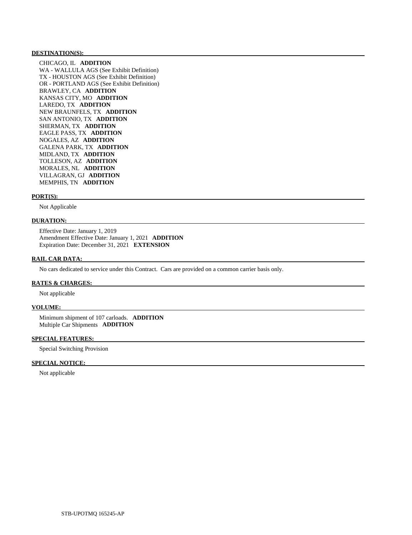#### **DESTINATION(S):**

 CHICAGO, IL **ADDITION**  WA - WALLULA AGS (See Exhibit Definition) TX - HOUSTON AGS (See Exhibit Definition) OR - PORTLAND AGS (See Exhibit Definition) BRAWLEY, CA **ADDITION**  KANSAS CITY, MO **ADDITION**  LAREDO, TX **ADDITION**  NEW BRAUNFELS, TX **ADDITION**  SAN ANTONIO, TX **ADDITION**  SHERMAN, TX **ADDITION**  EAGLE PASS, TX **ADDITION**  NOGALES, AZ **ADDITION**  GALENA PARK, TX **ADDITION**  MIDLAND, TX **ADDITION**  TOLLESON, AZ **ADDITION**  MORALES, NL **ADDITION**  VILLAGRAN, GJ **ADDITION**  MEMPHIS, TN **ADDITION** 

#### **PORT(S):**

Not Applicable

## **DURATION:**

 Effective Date: January 1, 2019 Amendment Effective Date: January 1, 2021 **ADDITION**  Expiration Date: December 31, 2021 **EXTENSION** 

# **RAIL CAR DATA:**

No cars dedicated to service under this Contract. Cars are provided on a common carrier basis only.

# **RATES & CHARGES:**

Not applicable

#### **VOLUME:**

 Minimum shipment of 107 carloads. **ADDITION**  Multiple Car Shipments **ADDITION** 

#### **SPECIAL FEATURES:**

Special Switching Provision

### **SPECIAL NOTICE:**

Not applicable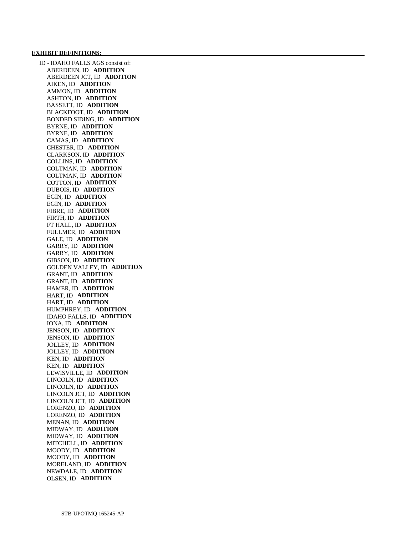#### **EXHIBIT DEFINITIONS:**

 ID - IDAHO FALLS AGS consist of: ABERDEEN, ID **ADDITION**  ABERDEEN JCT, ID **ADDITION**  AIKEN, ID **ADDITION**  AMMON, ID **ADDITION**  ASHTON, ID **ADDITION**  BASSETT, ID **ADDITION**  BLACKFOOT, ID **ADDITION**  BONDED SIDING, ID **ADDITION**  BYRNE, ID **ADDITION**  BYRNE, ID **ADDITION**  CAMAS, ID **ADDITION**  CHESTER, ID **ADDITION**  CLARKSON, ID **ADDITION**  COLLINS, ID **ADDITION**  COLTMAN, ID **ADDITION**  COLTMAN, ID **ADDITION**  COTTON, ID **ADDITION**  DUBOIS, ID **ADDITION**  EGIN, ID **ADDITION**  EGIN, ID **ADDITION**  FIBRE, ID **ADDITION**  FIRTH, ID **ADDITION**  FT HALL, ID **ADDITION**  FULLMER, ID **ADDITION**  GALE, ID **ADDITION**  GARRY, ID **ADDITION**  GARRY, ID **ADDITION**  GIBSON, ID **ADDITION**  GOLDEN VALLEY, ID **ADDITION**  GRANT, ID **ADDITION**  GRANT, ID **ADDITION**  HAMER, ID **ADDITION**  HART, ID **ADDITION**  HART, ID **ADDITION**  HUMPHREY, ID **ADDITION**  IDAHO FALLS, ID **ADDITION**  IONA, ID **ADDITION**  JENSON, ID **ADDITION**  JENSON, ID **ADDITION**  JOLLEY, ID **ADDITION**  JOLLEY, ID **ADDITION**  KEN, ID **ADDITION**  KEN, ID **ADDITION**  LEWISVILLE, ID **ADDITION**  LINCOLN, ID **ADDITION**  LINCOLN, ID **ADDITION**  LINCOLN JCT, ID **ADDITION**  LINCOLN JCT, ID **ADDITION**  LORENZO, ID **ADDITION**  LORENZO, ID **ADDITION**  MENAN, ID **ADDITION**  MIDWAY, ID **ADDITION**  MIDWAY, ID **ADDITION**  MITCHELL, ID **ADDITION**  MOODY, ID **ADDITION**  MOODY, ID **ADDITION**  MORELAND, ID **ADDITION**  NEWDALE, ID **ADDITION**  OLSEN, ID **ADDITION**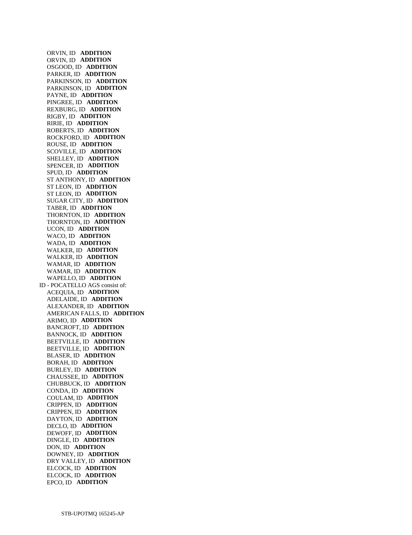ORVIN, ID **ADDITION**  ORVIN, ID **ADDITION**  OSGOOD, ID **ADDITION**  PARKER, ID **ADDITION**  PARKINSON, ID **ADDITION**  PARKINSON, ID **ADDITION**  PAYNE, ID **ADDITION**  PINGREE, ID **ADDITION**  REXBURG, ID **ADDITION**  RIGBY, ID **ADDITION**  RIRIE, ID **ADDITION**  ROBERTS, ID **ADDITION**  ROCKFORD, ID **ADDITION**  ROUSE, ID **ADDITION**  SCOVILLE, ID **ADDITION**  SHELLEY, ID **ADDITION**  SPENCER, ID **ADDITION**  SPUD, ID **ADDITION**  ST ANTHONY, ID **ADDITION**  ST LEON, ID **ADDITION**  ST LEON, ID **ADDITION**  SUGAR CITY, ID **ADDITION**  TABER, ID **ADDITION**  THORNTON, ID **ADDITION**  THORNTON, ID **ADDITION**  UCON, ID **ADDITION**  WACO, ID **ADDITION**  WADA, ID **ADDITION**  WALKER, ID **ADDITION**  WALKER, ID **ADDITION**  WAMAR, ID **ADDITION**  WAMAR, ID **ADDITION**  WAPELLO, ID **ADDITION**  ID - POCATELLO AGS consist of: ACEQUIA, ID **ADDITION**  ADELAIDE, ID **ADDITION**  ALEXANDER, ID **ADDITION**  AMERICAN FALLS, ID **ADDITION**  ARIMO, ID **ADDITION**  BANCROFT, ID **ADDITION**  BANNOCK, ID **ADDITION**  BEETVILLE, ID **ADDITION**  BEETVILLE, ID **ADDITION**  BLASER, ID **ADDITION**  BORAH, ID **ADDITION**  BURLEY, ID **ADDITION**  CHAUSSEE, ID **ADDITION**  CHUBBUCK, ID **ADDITION**  CONDA, ID **ADDITION**  COULAM, ID **ADDITION**  CRIPPEN, ID **ADDITION**  CRIPPEN, ID **ADDITION**  DAYTON, ID **ADDITION**  DECLO, ID **ADDITION**  DEWOFF, ID **ADDITION**  DINGLE, ID **ADDITION**  DON, ID **ADDITION**  DOWNEY, ID **ADDITION**  DRY VALLEY, ID **ADDITION**  ELCOCK, ID **ADDITION**  ELCOCK, ID **ADDITION**  EPCO, ID **ADDITION**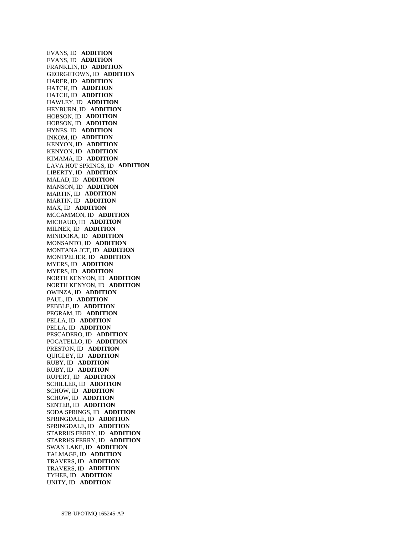EVANS, ID **ADDITION**  EVANS, ID **ADDITION**  FRANKLIN, ID **ADDITION**  GEORGETOWN, ID **ADDITION**  HARER, ID **ADDITION**  HATCH, ID **ADDITION**  HATCH, ID **ADDITION**  HAWLEY, ID **ADDITION**  HEYBURN, ID **ADDITION**  HOBSON, ID **ADDITION**  HOBSON, ID **ADDITION**  HYNES, ID **ADDITION**  INKOM, ID **ADDITION**  KENYON, ID **ADDITION**  KENYON, ID **ADDITION**  KIMAMA, ID **ADDITION**  LAVA HOT SPRINGS, ID **ADDITION**  LIBERTY, ID **ADDITION**  MALAD, ID **ADDITION**  MANSON, ID **ADDITION**  MARTIN, ID **ADDITION**  MARTIN, ID **ADDITION**  MAX, ID **ADDITION**  MCCAMMON, ID **ADDITION**  MICHAUD, ID **ADDITION**  MILNER, ID **ADDITION**  MINIDOKA, ID **ADDITION**  MONSANTO, ID **ADDITION**  MONTANA JCT, ID **ADDITION**  MONTPELIER, ID **ADDITION**  MYERS, ID **ADDITION**  MYERS, ID **ADDITION**  NORTH KENYON, ID **ADDITION**  NORTH KENYON, ID **ADDITION**  OWINZA, ID **ADDITION**  PAUL, ID **ADDITION**  PEBBLE, ID **ADDITION**  PEGRAM, ID **ADDITION**  PELLA, ID **ADDITION**  PELLA, ID **ADDITION**  PESCADERO, ID **ADDITION**  POCATELLO, ID **ADDITION**  PRESTON, ID **ADDITION**  QUIGLEY, ID **ADDITION**  RUBY, ID **ADDITION**  RUBY, ID **ADDITION**  RUPERT, ID **ADDITION**  SCHILLER, ID **ADDITION**  SCHOW, ID **ADDITION**  SCHOW, ID **ADDITION**  SENTER, ID **ADDITION**  SODA SPRINGS, ID **ADDITION**  SPRINGDALE, ID **ADDITION**  SPRINGDALE, ID **ADDITION**  STARRHS FERRY, ID **ADDITION**  STARRHS FERRY, ID **ADDITION**  SWAN LAKE, ID **ADDITION**  TALMAGE, ID **ADDITION**  TRAVERS, ID **ADDITION**  TRAVERS, ID **ADDITION**  TYHEE, ID **ADDITION**  UNITY, ID **ADDITION**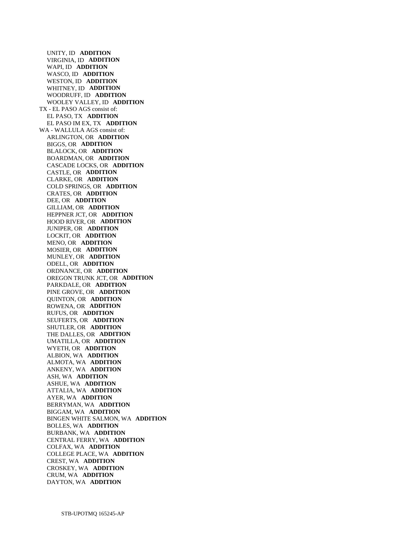UNITY, ID **ADDITION**  VIRGINIA, ID **ADDITION**  WAPI, ID **ADDITION**  WASCO, ID **ADDITION**  WESTON, ID **ADDITION**  WHITNEY, ID **ADDITION**  WOODRUFF, ID **ADDITION**  WOOLEY VALLEY, ID **ADDITION**  TX - EL PASO AGS consist of: EL PASO, TX **ADDITION**  EL PASO IM EX, TX **ADDITION**  WA - WALLULA AGS consist of: ARLINGTON, OR **ADDITION**  BIGGS, OR **ADDITION**  BLALOCK, OR **ADDITION**  BOARDMAN, OR **ADDITION**  CASCADE LOCKS, OR **ADDITION**  CASTLE, OR **ADDITION**  CLARKE, OR **ADDITION**  COLD SPRINGS, OR **ADDITION**  CRATES, OR **ADDITION**  DEE, OR **ADDITION**  GILLIAM, OR **ADDITION**  HEPPNER JCT, OR **ADDITION**  HOOD RIVER, OR **ADDITION**  JUNIPER, OR **ADDITION**  LOCKIT, OR **ADDITION**  MENO, OR **ADDITION**  MOSIER, OR **ADDITION**  MUNLEY, OR **ADDITION**  ODELL, OR **ADDITION**  ORDNANCE, OR **ADDITION**  OREGON TRUNK JCT, OR **ADDITION**  PARKDALE, OR **ADDITION**  PINE GROVE, OR **ADDITION**  QUINTON, OR **ADDITION**  ROWENA, OR **ADDITION**  RUFUS, OR **ADDITION**  SEUFERTS, OR **ADDITION**  SHUTLER, OR **ADDITION**  THE DALLES, OR **ADDITION**  UMATILLA, OR **ADDITION**  WYETH, OR **ADDITION**  ALBION, WA **ADDITION**  ALMOTA, WA **ADDITION**  ANKENY, WA **ADDITION**  ASH, WA **ADDITION**  ASHUE, WA **ADDITION**  ATTALIA, WA **ADDITION**  AYER, WA **ADDITION**  BERRYMAN, WA **ADDITION**  BIGGAM, WA **ADDITION**  BINGEN WHITE SALMON, WA **ADDITION**  BOLLES, WA **ADDITION**  BURBANK, WA **ADDITION**  CENTRAL FERRY, WA **ADDITION**  COLFAX, WA **ADDITION**  COLLEGE PLACE, WA **ADDITION**  CREST, WA **ADDITION**  CROSKEY, WA **ADDITION**  CRUM, WA **ADDITION**  DAYTON, WA **ADDITION**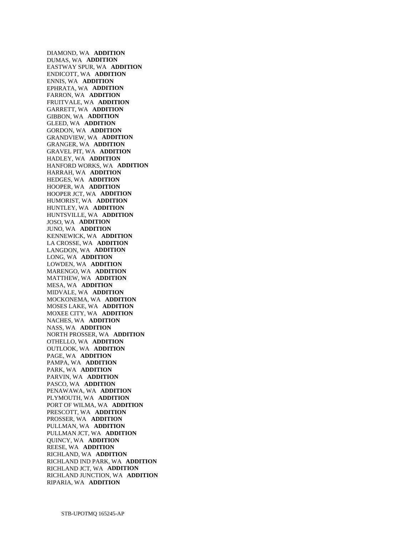DIAMOND, WA **ADDITION**  DUMAS, WA **ADDITION**  EASTWAY SPUR, WA **ADDITION**  ENDICOTT, WA **ADDITION**  ENNIS, WA **ADDITION**  EPHRATA, WA **ADDITION**  FARRON, WA **ADDITION**  FRUITVALE, WA **ADDITION**  GARRETT, WA **ADDITION**  GIBBON, WA **ADDITION**  GLEED, WA **ADDITION**  GORDON, WA **ADDITION**  GRANDVIEW, WA **ADDITION**  GRANGER, WA **ADDITION**  GRAVEL PIT, WA **ADDITION**  HADLEY, WA **ADDITION**  HANFORD WORKS, WA **ADDITION**  HARRAH, WA **ADDITION**  HEDGES, WA **ADDITION**  HOOPER, WA **ADDITION**  HOOPER JCT, WA **ADDITION**  HUMORIST, WA **ADDITION**  HUNTLEY, WA **ADDITION**  HUNTSVILLE, WA **ADDITION**  JOSO, WA **ADDITION**  JUNO, WA **ADDITION**  KENNEWICK, WA **ADDITION**  LA CROSSE, WA **ADDITION**  LANGDON, WA **ADDITION**  LONG, WA **ADDITION**  LOWDEN, WA **ADDITION**  MARENGO, WA **ADDITION**  MATTHEW, WA **ADDITION**  MESA, WA **ADDITION**  MIDVALE, WA **ADDITION**  MOCKONEMA, WA **ADDITION**  MOSES LAKE, WA **ADDITION**  MOXEE CITY, WA **ADDITION**  NACHES, WA **ADDITION**  NASS, WA **ADDITION**  NORTH PROSSER, WA **ADDITION**  OTHELLO, WA **ADDITION**  OUTLOOK, WA **ADDITION**  PAGE, WA **ADDITION**  PAMPA, WA **ADDITION**  PARK, WA **ADDITION**  PARVIN, WA **ADDITION**  PASCO, WA **ADDITION**  PENAWAWA, WA **ADDITION**  PLYMOUTH, WA **ADDITION**  PORT OF WILMA, WA **ADDITION**  PRESCOTT, WA **ADDITION**  PROSSER, WA **ADDITION**  PULLMAN, WA **ADDITION**  PULLMAN JCT, WA **ADDITION**  QUINCY, WA **ADDITION**  REESE, WA **ADDITION**  RICHLAND, WA **ADDITION**  RICHLAND IND PARK, WA **ADDITION**  RICHLAND JCT, WA **ADDITION**  RICHLAND JUNCTION, WA **ADDITION**  RIPARIA, WA **ADDITION**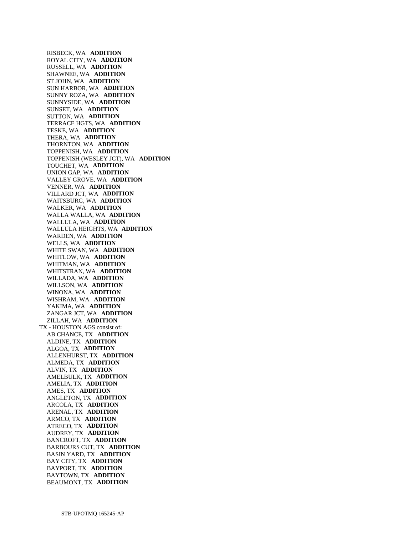RISBECK, WA **ADDITION**  ROYAL CITY, WA **ADDITION**  RUSSELL, WA **ADDITION**  SHAWNEE, WA **ADDITION**  ST JOHN, WA **ADDITION**  SUN HARBOR, WA **ADDITION**  SUNNY ROZA, WA **ADDITION**  SUNNYSIDE, WA **ADDITION**  SUNSET, WA **ADDITION**  SUTTON, WA **ADDITION**  TERRACE HGTS, WA **ADDITION**  TESKE, WA **ADDITION**  THERA, WA **ADDITION**  THORNTON, WA **ADDITION**  TOPPENISH, WA **ADDITION**  TOPPENISH (WESLEY JCT), WA **ADDITION**  TOUCHET, WA **ADDITION**  UNION GAP, WA **ADDITION**  VALLEY GROVE, WA **ADDITION**  VENNER, WA **ADDITION**  VILLARD JCT, WA **ADDITION**  WAITSBURG, WA **ADDITION**  WALKER, WA **ADDITION**  WALLA WALLA, WA **ADDITION**  WALLULA, WA **ADDITION**  WALLULA HEIGHTS, WA **ADDITION**  WARDEN, WA **ADDITION**  WELLS, WA **ADDITION**  WHITE SWAN, WA **ADDITION**  WHITLOW, WA **ADDITION**  WHITMAN, WA **ADDITION**  WHITSTRAN, WA **ADDITION**  WILLADA, WA **ADDITION**  WILLSON, WA **ADDITION**  WINONA, WA **ADDITION**  WISHRAM, WA **ADDITION**  YAKIMA, WA **ADDITION**  ZANGAR JCT, WA **ADDITION**  ZILLAH, WA **ADDITION**  TX - HOUSTON AGS consist of: AB CHANCE, TX **ADDITION**  ALDINE, TX **ADDITION**  ALGOA, TX **ADDITION**  ALLENHURST, TX **ADDITION**  ALMEDA, TX **ADDITION**  ALVIN, TX **ADDITION**  AMELBULK, TX **ADDITION**  AMELIA, TX **ADDITION**  AMES, TX **ADDITION**  ANGLETON, TX **ADDITION**  ARCOLA, TX **ADDITION**  ARENAL, TX **ADDITION**  ARMCO, TX **ADDITION**  ATRECO, TX **ADDITION**  AUDREY, TX **ADDITION**  BANCROFT, TX **ADDITION**  BARBOURS CUT, TX **ADDITION**  BASIN YARD, TX **ADDITION**  BAY CITY, TX **ADDITION**  BAYPORT, TX **ADDITION**  BAYTOWN, TX **ADDITION**  BEAUMONT, TX **ADDITION**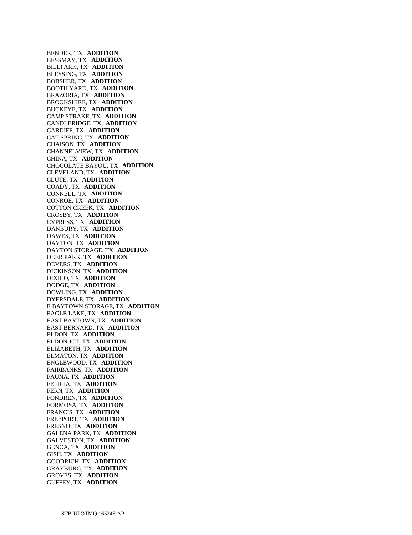BENDER, TX **ADDITION**  BESSMAY, TX **ADDITION**  BILLPARK, TX **ADDITION**  BLESSING, TX **ADDITION**  BOBSHER, TX **ADDITION**  BOOTH YARD, TX **ADDITION**  BRAZORIA, TX **ADDITION**  BROOKSHIRE, TX **ADDITION**  BUCKEYE, TX **ADDITION**  CAMP STRAKE, TX **ADDITION**  CANDLERIDGE, TX **ADDITION**  CARDIFF, TX **ADDITION**  CAT SPRING, TX **ADDITION**  CHAISON, TX **ADDITION**  CHANNELVIEW, TX **ADDITION**  CHINA, TX **ADDITION**  CHOCOLATE BAYOU, TX **ADDITION**  CLEVELAND, TX **ADDITION**  CLUTE, TX **ADDITION**  COADY, TX **ADDITION**  CONNELL, TX **ADDITION**  CONROE, TX **ADDITION**  COTTON CREEK, TX **ADDITION**  CROSBY, TX **ADDITION**  CYPRESS, TX **ADDITION**  DANBURY, TX **ADDITION**  DAWES, TX **ADDITION**  DAYTON, TX **ADDITION**  DAYTON STORAGE, TX **ADDITION**  DEER PARK, TX **ADDITION**  DEVERS, TX **ADDITION**  DICKINSON, TX **ADDITION**  DIXICO, TX **ADDITION**  DODGE, TX **ADDITION**  DOWLING, TX **ADDITION**  DYERSDALE, TX **ADDITION**  E BAYTOWN STORAGE, TX **ADDITION**  EAGLE LAKE, TX **ADDITION**  EAST BAYTOWN, TX **ADDITION**  EAST BERNARD, TX **ADDITION**  ELDON, TX **ADDITION**  ELDON JCT, TX **ADDITION**  ELIZABETH, TX **ADDITION**  ELMATON, TX **ADDITION**  ENGLEWOOD, TX **ADDITION**  FAIRBANKS, TX **ADDITION**  FAUNA, TX **ADDITION**  FELICIA, TX **ADDITION**  FERN, TX **ADDITION**  FONDREN, TX **ADDITION**  FORMOSA, TX **ADDITION**  FRANCIS, TX **ADDITION**  FREEPORT, TX **ADDITION**  FRESNO, TX **ADDITION**  GALENA PARK, TX **ADDITION**  GALVESTON, TX **ADDITION**  GENOA, TX **ADDITION**  GISH, TX **ADDITION**  GOODRICH, TX **ADDITION**  GRAYBURG, TX **ADDITION**  GROVES, TX **ADDITION**  GUFFEY, TX **ADDITION**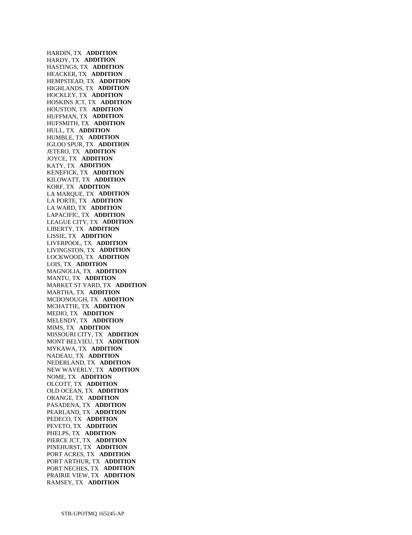HARDIN, TX **ADDITION**  HARDY, TX **ADDITION**  HASTINGS, TX **ADDITION**  HEACKER, TX **ADDITION**  HEMPSTEAD, TX **ADDITION**  HIGHLANDS, TX **ADDITION**  HOCKLEY, TX **ADDITION**  HOSKINS JCT, TX **ADDITION**  HOUSTON, TX **ADDITION**  HUFFMAN, TX **ADDITION**  HUFSMITH, TX **ADDITION**  HULL, TX **ADDITION**  HUMBLE, TX **ADDITION**  IGLOO SPUR, TX **ADDITION**  JETERO, TX **ADDITION**  JOYCE, TX **ADDITION**  KATY, TX **ADDITION**  KENEFICK, TX **ADDITION**  KILOWATT, TX **ADDITION**  KORF, TX **ADDITION**  LA MARQUE, TX **ADDITION**  LA PORTE, TX **ADDITION**  LA WARD, TX **ADDITION**  LAPACIFIC, TX **ADDITION**  LEAGUE CITY, TX **ADDITION**  LIBERTY, TX **ADDITION**  LISSIE, TX **ADDITION**  LIVERPOOL, TX **ADDITION**  LIVINGSTON, TX **ADDITION**  LOCKWOOD, TX **ADDITION**  LOIS, TX **ADDITION**  MAGNOLIA, TX **ADDITION**  MANTU, TX **ADDITION**  MARKET ST YARD, TX **ADDITION**  MARTHA, TX **ADDITION**  MCDONOUGH, TX **ADDITION**  MCHATTIE, TX **ADDITION**  MEDIO, TX **ADDITION**  MELENDY, TX **ADDITION**  MIMS, TX **ADDITION**  MISSOURI CITY, TX **ADDITION**  MONT BELVIEU, TX **ADDITION**  MYKAWA, TX **ADDITION**  NADEAU, TX **ADDITION**  NEDERLAND, TX **ADDITION**  NEW WAVERLY, TX **ADDITION**  NOME, TX **ADDITION**  OLCOTT, TX **ADDITION**  OLD OCEAN, TX **ADDITION**  ORANGE, TX **ADDITION**  PASADENA, TX **ADDITION**  PEARLAND, TX **ADDITION**  PEDECO, TX **ADDITION**  PEVETO, TX **ADDITION**  PHELPS, TX **ADDITION**  PIERCE JCT, TX **ADDITION**  PINEHURST, TX **ADDITION**  PORT ACRES, TX **ADDITION**  PORT ARTHUR, TX **ADDITION**  PORT NECHES, TX **ADDITION**  PRAIRIE VIEW, TX **ADDITION**  RAMSEY, TX **ADDITION**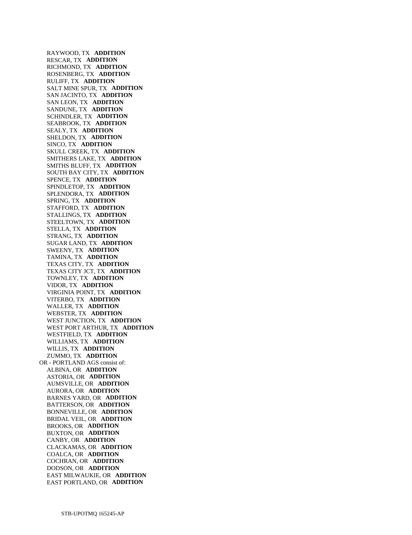RAYWOOD, TX **ADDITION**  RESCAR, TX **ADDITION**  RICHMOND, TX **ADDITION**  ROSENBERG, TX **ADDITION**  RULIFF, TX **ADDITION**  SALT MINE SPUR, TX **ADDITION**  SAN JACINTO, TX **ADDITION**  SAN LEON, TX **ADDITION**  SANDUNE, TX **ADDITION**  SCHINDLER, TX **ADDITION**  SEABROOK, TX **ADDITION**  SEALY, TX **ADDITION**  SHELDON, TX **ADDITION**  SINCO, TX **ADDITION**  SKULL CREEK, TX **ADDITION**  SMITHERS LAKE, TX **ADDITION**  SMITHS BLUFF, TX **ADDITION**  SOUTH BAY CITY, TX **ADDITION**  SPENCE, TX **ADDITION**  SPINDLETOP, TX **ADDITION**  SPLENDORA, TX **ADDITION**  SPRING, TX **ADDITION**  STAFFORD, TX **ADDITION**  STALLINGS, TX **ADDITION**  STEELTOWN, TX **ADDITION**  STELLA, TX **ADDITION**  STRANG, TX **ADDITION**  SUGAR LAND, TX **ADDITION**  SWEENY, TX **ADDITION**  TAMINA, TX **ADDITION**  TEXAS CITY, TX **ADDITION**  TEXAS CITY JCT, TX **ADDITION**  TOWNLEY, TX **ADDITION**  VIDOR, TX **ADDITION**  VIRGINIA POINT, TX **ADDITION**  VITERBO, TX **ADDITION**  WALLER, TX **ADDITION**  WEBSTER, TX **ADDITION**  WEST JUNCTION, TX **ADDITION**  WEST PORT ARTHUR, TX **ADDITION**  WESTFIELD, TX **ADDITION**  WILLIAMS, TX **ADDITION**  WILLIS, TX **ADDITION**  ZUMMO, TX **ADDITION**  OR - PORTLAND AGS consist of: ALBINA, OR **ADDITION**  ASTORIA, OR **ADDITION**  AUMSVILLE, OR **ADDITION**  AURORA, OR **ADDITION**  BARNES YARD, OR **ADDITION**  BATTERSON, OR **ADDITION**  BONNEVILLE, OR **ADDITION**  BRIDAL VEIL, OR **ADDITION**  BROOKS, OR **ADDITION**  BUXTON, OR **ADDITION**  CANBY, OR **ADDITION**  CLACKAMAS, OR **ADDITION**  COALCA, OR **ADDITION**  COCHRAN, OR **ADDITION**  DODSON, OR **ADDITION**  EAST MILWAUKIE, OR **ADDITION**  EAST PORTLAND, OR **ADDITION**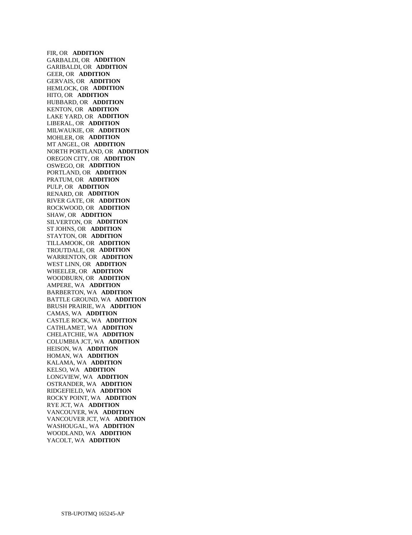FIR, OR **ADDITION**  GARBALDI, OR **ADDITION**  GARIBALDI, OR **ADDITION**  GEER, OR **ADDITION**  GERVAIS, OR **ADDITION**  HEMLOCK, OR **ADDITION**  HITO, OR **ADDITION**  HUBBARD, OR **ADDITION**  KENTON, OR **ADDITION**  LAKE YARD, OR **ADDITION**  LIBERAL, OR **ADDITION**  MILWAUKIE, OR **ADDITION**  MOHLER, OR **ADDITION**  MT ANGEL, OR **ADDITION**  NORTH PORTLAND, OR **ADDITION**  OREGON CITY, OR **ADDITION**  OSWEGO, OR **ADDITION**  PORTLAND, OR **ADDITION**  PRATUM, OR **ADDITION**  PULP, OR **ADDITION**  RENARD, OR **ADDITION**  RIVER GATE, OR **ADDITION**  ROCKWOOD, OR **ADDITION**  SHAW, OR **ADDITION**  SILVERTON, OR **ADDITION**  ST JOHNS, OR **ADDITION**  STAYTON, OR **ADDITION**  TILLAMOOK, OR **ADDITION**  TROUTDALE, OR **ADDITION**  WARRENTON, OR **ADDITION**  WEST LINN, OR **ADDITION**  WHEELER, OR **ADDITION**  WOODBURN, OR **ADDITION**  AMPERE, WA **ADDITION**  BARBERTON, WA **ADDITION**  BATTLE GROUND, WA **ADDITION**  BRUSH PRAIRIE, WA **ADDITION**  CAMAS, WA **ADDITION**  CASTLE ROCK, WA **ADDITION**  CATHLAMET, WA **ADDITION**  CHELATCHIE, WA **ADDITION**  COLUMBIA JCT, WA **ADDITION**  HEISON, WA **ADDITION**  HOMAN, WA **ADDITION**  KALAMA, WA **ADDITION**  KELSO, WA **ADDITION**  LONGVIEW, WA **ADDITION**  OSTRANDER, WA **ADDITION**  RIDGEFIELD, WA **ADDITION**  ROCKY POINT, WA **ADDITION**  RYE JCT, WA **ADDITION**  VANCOUVER, WA **ADDITION**  VANCOUVER JCT, WA **ADDITION**  WASHOUGAL, WA **ADDITION**  WOODLAND, WA **ADDITION**  YACOLT, WA **ADDITION**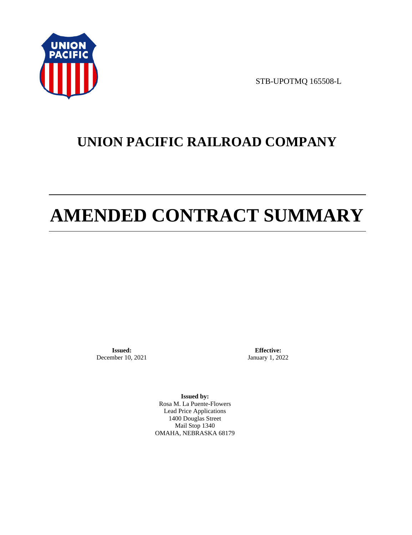

STB-UPOTMQ 165508-L

# **UNION PACIFIC RAILROAD COMPANY**

# **AMENDED CONTRACT SUMMARY**

**Issued:**  December 10, 2021

**Effective:** January 1, 2022

**Issued by:**  Rosa M. La Puente-Flowers Lead Price Applications 1400 Douglas Street Mail Stop 1340 OMAHA, NEBRASKA 68179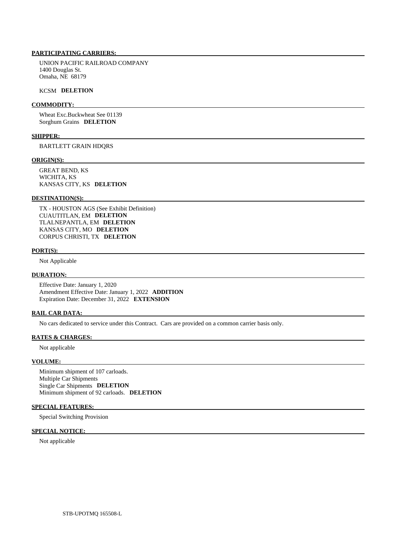# **PARTICIPATING CARRIERS:**

 UNION PACIFIC RAILROAD COMPANY 1400 Douglas St. Omaha, NE 68179

#### KCSM **DELETION**

#### **COMMODITY:**

 Wheat Exc.Buckwheat See 01139 Sorghum Grains **DELETION** 

## **SHIPPER:**

BARTLETT GRAIN HDQRS

#### **ORIGIN(S):**

 GREAT BEND, KS WICHITA, KS KANSAS CITY, KS **DELETION** 

#### **DESTINATION(S):**

 TX - HOUSTON AGS (See Exhibit Definition) CUAUTITLAN, EM **DELETION**  TLALNEPANTLA, EM **DELETION**  KANSAS CITY, MO **DELETION**  CORPUS CHRISTI, TX **DELETION** 

# **PORT(S):**

Not Applicable

# **DURATION:**

 Effective Date: January 1, 2020 Amendment Effective Date: January 1, 2022 **ADDITION**  Expiration Date: December 31, 2022 **EXTENSION** 

#### **RAIL CAR DATA:**

No cars dedicated to service under this Contract. Cars are provided on a common carrier basis only.

#### **RATES & CHARGES:**

Not applicable

#### **VOLUME:**

 Minimum shipment of 107 carloads. Multiple Car Shipments Single Car Shipments **DELETION**  Minimum shipment of 92 carloads. **DELETION** 

# **SPECIAL FEATURES:**

Special Switching Provision

# **SPECIAL NOTICE:**

Not applicable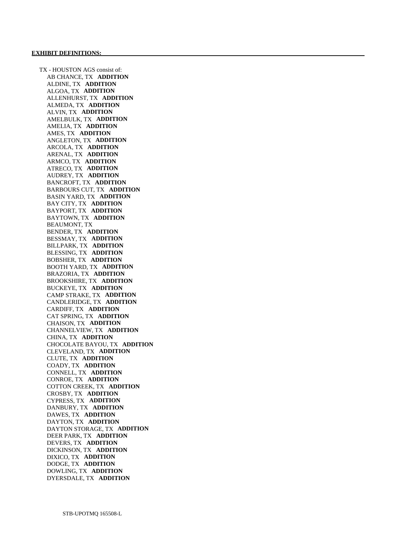TX - HOUSTON AGS consist of: AB CHANCE, TX **ADDITION**  ALDINE, TX **ADDITION**  ALGOA, TX **ADDITION**  ALLENHURST, TX **ADDITION**  ALMEDA, TX **ADDITION**  ALVIN, TX **ADDITION**  AMELBULK, TX **ADDITION**  AMELIA, TX **ADDITION**  AMES, TX **ADDITION**  ANGLETON, TX **ADDITION**  ARCOLA, TX **ADDITION**  ARENAL, TX **ADDITION**  ARMCO, TX **ADDITION**  ATRECO, TX **ADDITION**  AUDREY, TX **ADDITION**  BANCROFT, TX **ADDITION**  BARBOURS CUT, TX **ADDITION**  BASIN YARD, TX **ADDITION**  BAY CITY, TX **ADDITION**  BAYPORT, TX **ADDITION**  BAYTOWN, TX **ADDITION**  BEAUMONT, TX BENDER, TX **ADDITION**  BESSMAY, TX **ADDITION**  BILLPARK, TX **ADDITION**  BLESSING, TX **ADDITION**  BOBSHER, TX **ADDITION**  BOOTH YARD, TX **ADDITION**  BRAZORIA, TX **ADDITION**  BROOKSHIRE, TX **ADDITION**  BUCKEYE, TX **ADDITION**  CAMP STRAKE, TX **ADDITION**  CANDLERIDGE, TX **ADDITION**  CARDIFF, TX **ADDITION**  CAT SPRING, TX **ADDITION**  CHAISON, TX **ADDITION**  CHANNELVIEW, TX **ADDITION**  CHINA, TX **ADDITION**  CHOCOLATE BAYOU, TX **ADDITION**  CLEVELAND, TX **ADDITION**  CLUTE, TX **ADDITION**  COADY, TX **ADDITION**  CONNELL, TX **ADDITION**  CONROE, TX **ADDITION**  COTTON CREEK, TX **ADDITION**  CROSBY, TX **ADDITION**  CYPRESS, TX **ADDITION**  DANBURY, TX **ADDITION**  DAWES, TX **ADDITION**  DAYTON, TX **ADDITION**  DAYTON STORAGE, TX **ADDITION**  DEER PARK, TX **ADDITION**  DEVERS, TX **ADDITION**  DICKINSON, TX **ADDITION**  DIXICO, TX **ADDITION**  DODGE, TX **ADDITION**  DOWLING, TX **ADDITION**  DYERSDALE, TX **ADDITION**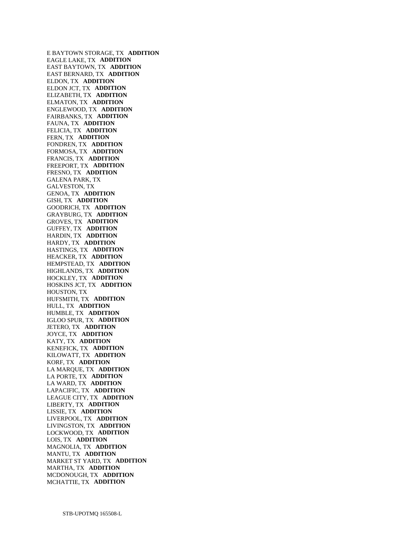E BAYTOWN STORAGE, TX **ADDITION**  EAGLE LAKE, TX **ADDITION**  EAST BAYTOWN, TX **ADDITION**  EAST BERNARD, TX **ADDITION**  ELDON, TX **ADDITION**  ELDON JCT, TX **ADDITION**  ELIZABETH, TX **ADDITION**  ELMATON, TX **ADDITION**  ENGLEWOOD, TX **ADDITION**  FAIRBANKS, TX **ADDITION**  FAUNA, TX **ADDITION**  FELICIA, TX **ADDITION**  FERN, TX **ADDITION**  FONDREN, TX **ADDITION**  FORMOSA, TX **ADDITION**  FRANCIS, TX **ADDITION**  FREEPORT, TX **ADDITION**  FRESNO, TX **ADDITION**  GALENA PARK, TX GALVESTON, TX GENOA, TX **ADDITION**  GISH, TX **ADDITION**  GOODRICH, TX **ADDITION**  GRAYBURG, TX **ADDITION**  GROVES, TX **ADDITION**  GUFFEY, TX **ADDITION**  HARDIN, TX **ADDITION**  HARDY, TX **ADDITION**  HASTINGS, TX **ADDITION**  HEACKER, TX **ADDITION**  HEMPSTEAD, TX **ADDITION**  HIGHLANDS, TX **ADDITION**  HOCKLEY, TX **ADDITION**  HOSKINS JCT, TX **ADDITION**  HOUSTON, TX HUFSMITH, TX **ADDITION**  HULL, TX **ADDITION**  HUMBLE, TX **ADDITION**  IGLOO SPUR, TX **ADDITION**  JETERO, TX **ADDITION**  JOYCE, TX **ADDITION**  KATY, TX **ADDITION**  KENEFICK, TX **ADDITION**  KILOWATT, TX **ADDITION**  KORF, TX **ADDITION**  LA MARQUE, TX **ADDITION**  LA PORTE, TX **ADDITION**  LA WARD, TX **ADDITION**  LAPACIFIC, TX **ADDITION**  LEAGUE CITY, TX **ADDITION**  LIBERTY, TX **ADDITION**  LISSIE, TX **ADDITION**  LIVERPOOL, TX **ADDITION**  LIVINGSTON, TX **ADDITION**  LOCKWOOD, TX **ADDITION**  LOIS, TX **ADDITION**  MAGNOLIA, TX **ADDITION**  MANTU, TX **ADDITION**  MARKET ST YARD, TX **ADDITION**  MARTHA, TX **ADDITION**  MCDONOUGH, TX **ADDITION**  MCHATTIE, TX **ADDITION**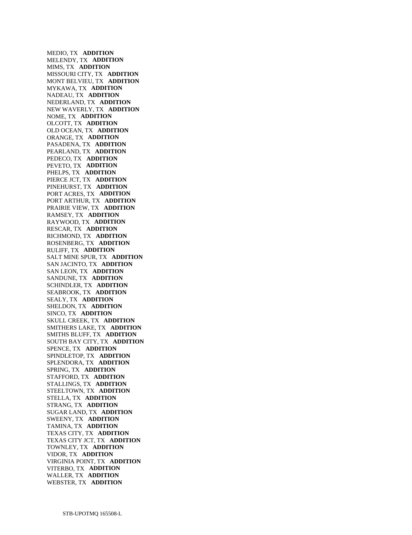MEDIO, TX **ADDITION**  MELENDY, TX **ADDITION**  MIMS, TX **ADDITION**  MISSOURI CITY, TX **ADDITION**  MONT BELVIEU, TX **ADDITION**  MYKAWA, TX **ADDITION**  NADEAU, TX **ADDITION**  NEDERLAND, TX **ADDITION**  NEW WAVERLY, TX **ADDITION**  NOME, TX **ADDITION**  OLCOTT, TX **ADDITION**  OLD OCEAN, TX **ADDITION**  ORANGE, TX **ADDITION**  PASADENA, TX **ADDITION**  PEARLAND, TX **ADDITION**  PEDECO, TX **ADDITION**  PEVETO, TX **ADDITION**  PHELPS, TX **ADDITION**  PIERCE JCT, TX **ADDITION**  PINEHURST, TX **ADDITION**  PORT ACRES, TX **ADDITION**  PORT ARTHUR, TX **ADDITION**  PRAIRIE VIEW, TX **ADDITION**  RAMSEY, TX **ADDITION**  RAYWOOD, TX **ADDITION**  RESCAR, TX **ADDITION**  RICHMOND, TX **ADDITION**  ROSENBERG, TX **ADDITION**  RULIFF, TX **ADDITION**  SALT MINE SPUR, TX **ADDITION**  SAN JACINTO, TX **ADDITION**  SAN LEON, TX **ADDITION**  SANDUNE, TX **ADDITION**  SCHINDLER, TX **ADDITION**  SEABROOK, TX **ADDITION**  SEALY, TX **ADDITION**  SHELDON, TX **ADDITION**  SINCO, TX **ADDITION**  SKULL CREEK, TX **ADDITION**  SMITHERS LAKE, TX **ADDITION**  SMITHS BLUFF, TX **ADDITION**  SOUTH BAY CITY, TX **ADDITION**  SPENCE, TX **ADDITION**  SPINDLETOP, TX **ADDITION**  SPLENDORA, TX **ADDITION**  SPRING, TX **ADDITION**  STAFFORD, TX **ADDITION**  STALLINGS, TX **ADDITION**  STEELTOWN, TX **ADDITION**  STELLA, TX **ADDITION**  STRANG, TX **ADDITION**  SUGAR LAND, TX **ADDITION**  SWEENY, TX **ADDITION**  TAMINA, TX **ADDITION**  TEXAS CITY, TX **ADDITION**  TEXAS CITY JCT, TX **ADDITION**  TOWNLEY, TX **ADDITION**  VIDOR, TX **ADDITION**  VIRGINIA POINT, TX **ADDITION**  VITERBO, TX **ADDITION**  WALLER, TX **ADDITION**  WEBSTER, TX **ADDITION**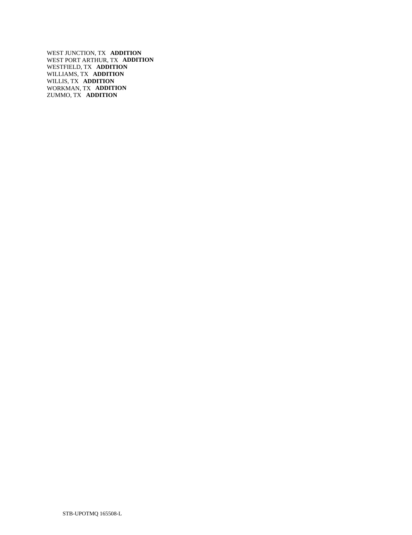WEST JUNCTION, TX **ADDITION**  WEST PORT ARTHUR, TX **ADDITION**  WESTFIELD, TX **ADDITION**  WILLIAMS, TX **ADDITION**  WILLIS, TX **ADDITION**  WORKMAN, TX **ADDITION**  ZUMMO, TX **ADDITION**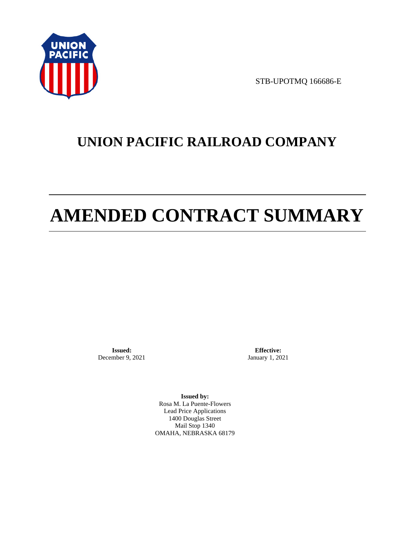

STB-UPOTMQ 166686-E

# **UNION PACIFIC RAILROAD COMPANY**

# **AMENDED CONTRACT SUMMARY**

**Issued:**  December 9, 2021

**Effective:** January 1, 2021

**Issued by:**  Rosa M. La Puente-Flowers Lead Price Applications 1400 Douglas Street Mail Stop 1340 OMAHA, NEBRASKA 68179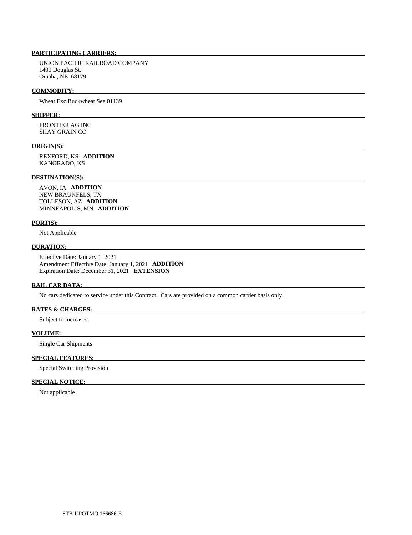# **PARTICIPATING CARRIERS:**

 UNION PACIFIC RAILROAD COMPANY 1400 Douglas St. Omaha, NE 68179

#### **COMMODITY:**

Wheat Exc.Buckwheat See 01139

#### **SHIPPER:**

 FRONTIER AG INC SHAY GRAIN CO

#### **ORIGIN(S):**

 REXFORD, KS **ADDITION**  KANORADO, KS

# **DESTINATION(S):**

 AVON, IA **ADDITION**  NEW BRAUNFELS, TX TOLLESON, AZ **ADDITION**  MINNEAPOLIS, MN **ADDITION** 

#### **PORT(S):**

Not Applicable

# **DURATION:**

 Effective Date: January 1, 2021 Amendment Effective Date: January 1, 2021 **ADDITION**  Expiration Date: December 31, 2021 **EXTENSION** 

#### **RAIL CAR DATA:**

No cars dedicated to service under this Contract. Cars are provided on a common carrier basis only.

# **RATES & CHARGES:**

Subject to increases.

# **VOLUME:**

Single Car Shipments

## **SPECIAL FEATURES:**

Special Switching Provision

# **SPECIAL NOTICE:**

Not applicable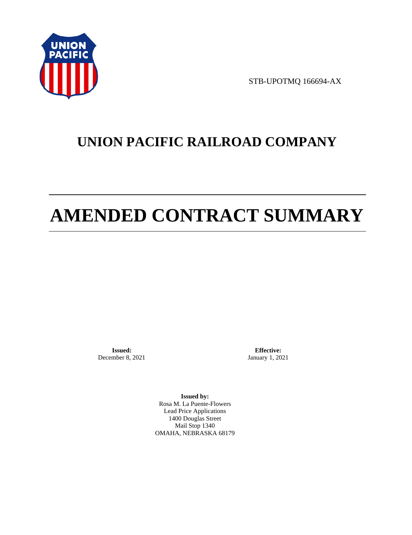

STB-UPOTMQ 166694-AX

# **UNION PACIFIC RAILROAD COMPANY**

# **AMENDED CONTRACT SUMMARY**

**Issued:**  December 8, 2021

**Effective:** January 1, 2021

**Issued by:**  Rosa M. La Puente-Flowers Lead Price Applications 1400 Douglas Street Mail Stop 1340 OMAHA, NEBRASKA 68179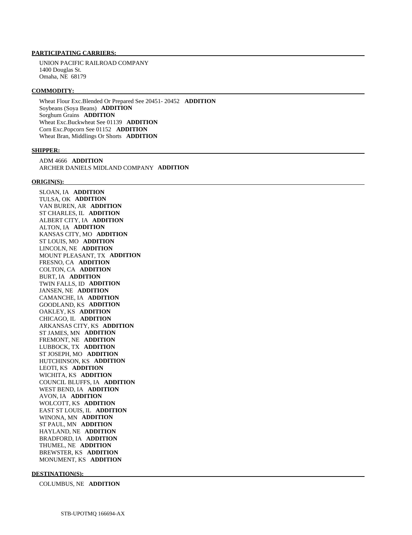#### **PARTICIPATING CARRIERS:**

 UNION PACIFIC RAILROAD COMPANY 1400 Douglas St. Omaha, NE 68179

#### **COMMODITY:**

 Wheat Flour Exc.Blended Or Prepared See 20451- 20452 **ADDITION**  Soybeans (Soya Beans) **ADDITION**  Sorghum Grains **ADDITION**  Wheat Exc.Buckwheat See 01139 **ADDITION**  Corn Exc.Popcorn See 01152 **ADDITION**  Wheat Bran, Middlings Or Shorts **ADDITION** 

#### **SHIPPER:**

 ADM 4666 **ADDITION**  ARCHER DANIELS MIDLAND COMPANY **ADDITION** 

#### **ORIGIN(S):**

 SLOAN, IA **ADDITION**  TULSA, OK **ADDITION**  VAN BUREN, AR **ADDITION**  ST CHARLES, IL **ADDITION**  ALBERT CITY, IA **ADDITION**  ALTON, IA **ADDITION**  KANSAS CITY, MO **ADDITION**  ST LOUIS, MO **ADDITION**  LINCOLN, NE **ADDITION**  MOUNT PLEASANT, TX **ADDITION**  FRESNO, CA **ADDITION**  COLTON, CA **ADDITION**  BURT, IA **ADDITION**  TWIN FALLS, ID **ADDITION**  JANSEN, NE **ADDITION**  CAMANCHE, IA **ADDITION**  GOODLAND, KS **ADDITION**  OAKLEY, KS **ADDITION**  CHICAGO, IL **ADDITION**  ARKANSAS CITY, KS **ADDITION**  ST JAMES, MN **ADDITION**  FREMONT, NE **ADDITION**  LUBBOCK, TX **ADDITION**  ST JOSEPH, MO **ADDITION**  HUTCHINSON, KS **ADDITION**  LEOTI, KS **ADDITION**  WICHITA, KS **ADDITION**  COUNCIL BLUFFS, IA **ADDITION**  WEST BEND, IA **ADDITION**  AVON, IA **ADDITION**  WOLCOTT, KS **ADDITION**  EAST ST LOUIS, IL **ADDITION**  WINONA, MN **ADDITION**  ST PAUL, MN **ADDITION**  HAYLAND, NE **ADDITION**  BRADFORD, IA **ADDITION**  THUMEL, NE **ADDITION**  BREWSTER, KS **ADDITION**  MONUMENT, KS **ADDITION** 

#### **DESTINATION(S):**

COLUMBUS, NE **ADDITION**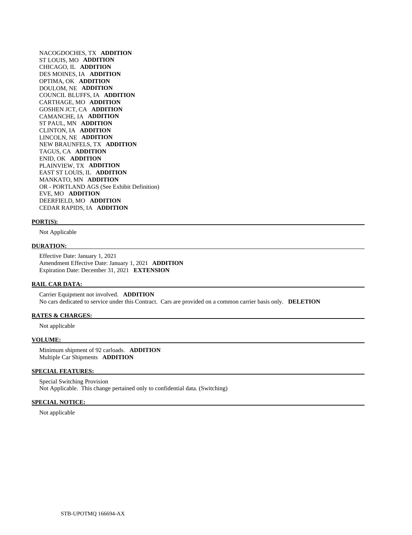NACOGDOCHES, TX **ADDITION**  ST LOUIS, MO **ADDITION**  CHICAGO, IL **ADDITION**  DES MOINES, IA **ADDITION**  OPTIMA, OK **ADDITION**  DOULOM, NE **ADDITION**  COUNCIL BLUFFS, IA **ADDITION**  CARTHAGE, MO **ADDITION**  GOSHEN JCT, CA **ADDITION**  CAMANCHE, IA **ADDITION**  ST PAUL, MN **ADDITION**  CLINTON, IA **ADDITION**  LINCOLN, NE **ADDITION**  NEW BRAUNFELS, TX **ADDITION**  TAGUS, CA **ADDITION**  ENID, OK **ADDITION**  PLAINVIEW, TX **ADDITION**  EAST ST LOUIS, IL **ADDITION**  MANKATO, MN **ADDITION**  OR - PORTLAND AGS (See Exhibit Definition) EVE, MO **ADDITION**  DEERFIELD, MO **ADDITION**  CEDAR RAPIDS, IA **ADDITION** 

#### **PORT(S):**

Not Applicable

#### **DURATION:**

 Effective Date: January 1, 2021 Amendment Effective Date: January 1, 2021 **ADDITION**  Expiration Date: December 31, 2021 **EXTENSION** 

#### **RAIL CAR DATA:**

 Carrier Equipment not involved. **ADDITION**  No cars dedicated to service under this Contract. Cars are provided on a common carrier basis only. **DELETION** 

#### **RATES & CHARGES:**

Not applicable

#### **VOLUME:**

 Minimum shipment of 92 carloads. **ADDITION**  Multiple Car Shipments **ADDITION** 

#### **SPECIAL FEATURES:**

 Special Switching Provision Not Applicable. This change pertained only to confidential data. (Switching)

#### **SPECIAL NOTICE:**

Not applicable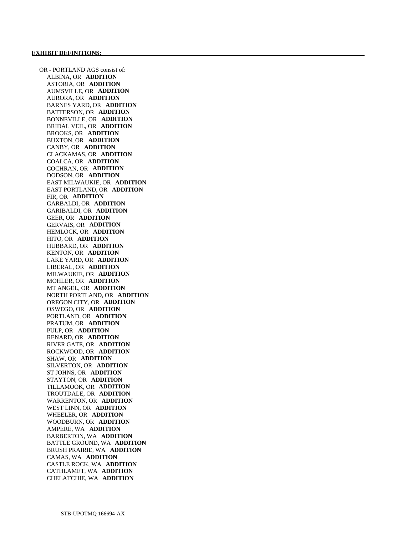OR - PORTLAND AGS consist of: ALBINA, OR **ADDITION**  ASTORIA, OR **ADDITION**  AUMSVILLE, OR **ADDITION**  AURORA, OR **ADDITION**  BARNES YARD, OR **ADDITION**  BATTERSON, OR **ADDITION**  BONNEVILLE, OR **ADDITION**  BRIDAL VEIL, OR **ADDITION**  BROOKS, OR **ADDITION**  BUXTON, OR **ADDITION**  CANBY, OR **ADDITION**  CLACKAMAS, OR **ADDITION**  COALCA, OR **ADDITION**  COCHRAN, OR **ADDITION**  DODSON, OR **ADDITION**  EAST MILWAUKIE, OR **ADDITION**  EAST PORTLAND, OR **ADDITION**  FIR, OR **ADDITION**  GARBALDI, OR **ADDITION**  GARIBALDI, OR **ADDITION**  GEER, OR **ADDITION**  GERVAIS, OR **ADDITION**  HEMLOCK, OR **ADDITION**  HITO, OR **ADDITION**  HUBBARD, OR **ADDITION**  KENTON, OR **ADDITION**  LAKE YARD, OR **ADDITION**  LIBERAL, OR **ADDITION**  MILWAUKIE, OR **ADDITION**  MOHLER, OR **ADDITION**  MT ANGEL, OR **ADDITION**  NORTH PORTLAND, OR **ADDITION**  OREGON CITY, OR **ADDITION**  OSWEGO, OR **ADDITION**  PORTLAND, OR **ADDITION**  PRATUM, OR **ADDITION**  PULP, OR **ADDITION**  RENARD, OR **ADDITION**  RIVER GATE, OR **ADDITION**  ROCKWOOD, OR **ADDITION**  SHAW, OR **ADDITION**  SILVERTON, OR **ADDITION**  ST JOHNS, OR **ADDITION**  STAYTON, OR **ADDITION**  TILLAMOOK, OR **ADDITION**  TROUTDALE, OR **ADDITION**  WARRENTON, OR **ADDITION**  WEST LINN, OR **ADDITION**  WHEELER, OR **ADDITION**  WOODBURN, OR **ADDITION**  AMPERE, WA **ADDITION**  BARBERTON, WA **ADDITION**  BATTLE GROUND, WA **ADDITION**  BRUSH PRAIRIE, WA **ADDITION**  CAMAS, WA **ADDITION**  CASTLE ROCK, WA **ADDITION**  CATHLAMET, WA **ADDITION**  CHELATCHIE, WA **ADDITION**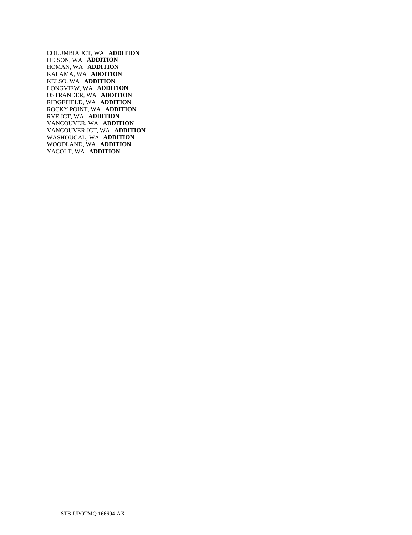COLUMBIA JCT, WA **ADDITION**  HEISON, WA **ADDITION**  HOMAN, WA **ADDITION**  KALAMA, WA **ADDITION**  KELSO, WA **ADDITION**  LONGVIEW, WA **ADDITION**  OSTRANDER, WA **ADDITION**  RIDGEFIELD, WA **ADDITION**  ROCKY POINT, WA **ADDITION**  RYE JCT, WA **ADDITION**  VANCOUVER, WA **ADDITION**  VANCOUVER JCT, WA **ADDITION**  WASHOUGAL, WA **ADDITION**  WOODLAND, WA **ADDITION**  YACOLT, WA **ADDITION**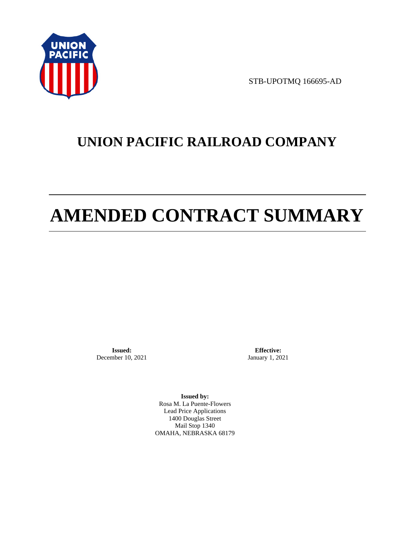

STB-UPOTMQ 166695-AD

# **UNION PACIFIC RAILROAD COMPANY**

# **AMENDED CONTRACT SUMMARY**

**Issued:**  December 10, 2021

**Effective:** January 1, 2021

**Issued by:**  Rosa M. La Puente-Flowers Lead Price Applications 1400 Douglas Street Mail Stop 1340 OMAHA, NEBRASKA 68179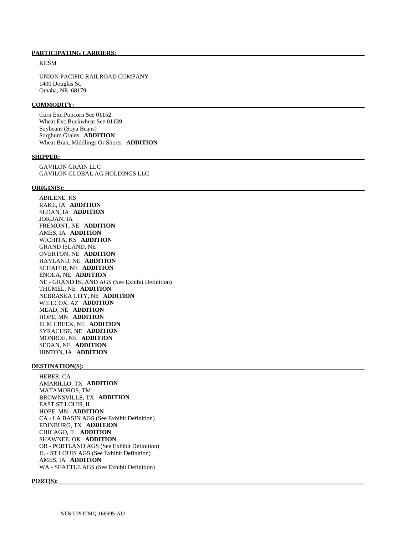#### **PARTICIPATING CARRIERS:**

**KCSM** 

 UNION PACIFIC RAILROAD COMPANY 1400 Douglas St. Omaha, NE 68179

#### **COMMODITY:**

 Corn Exc.Popcorn See 01152 Wheat Exc.Buckwheat See 01139 Soybeans (Soya Beans) Sorghum Grains **ADDITION**  Wheat Bran, Middlings Or Shorts **ADDITION** 

#### **SHIPPER:**

 GAVILON GRAIN LLC GAVILON GLOBAL AG HOLDINGS LLC

#### **ORIGIN(S):**

 ABILENE, KS RAKE, IA **ADDITION**  SLOAN, IA **ADDITION**  JORDAN, IA FREMONT, NE **ADDITION**  AMES, IA **ADDITION**  WICHITA, KS **ADDITION**  GRAND ISLAND, NE OVERTON, NE **ADDITION**  HAYLAND, NE **ADDITION**  SCHAFER, NE **ADDITION**  ENOLA, NE **ADDITION**  NE - GRAND ISLAND AGS (See Exhibit Definition) THUMEL, NE **ADDITION**  NEBRASKA CITY, NE **ADDITION**  WILLCOX, AZ **ADDITION**  MEAD, NE **ADDITION**  HOPE, MN **ADDITION**  ELM CREEK, NE **ADDITION**  SYRACUSE, NE **ADDITION**  MONROE, NE **ADDITION**  SEDAN, NE **ADDITION**  HINTON, IA **ADDITION** 

# **DESTINATION(S):**

 HEBER, CA AMARILLO, TX **ADDITION**  MATAMOROS, TM BROWNSVILLE, TX **ADDITION**  EAST ST LOUIS, IL HOPE, MN **ADDITION**  CA - LA BASIN AGS (See Exhibit Definition) EDINBURG, TX **ADDITION**  CHICAGO, IL **ADDITION**  SHAWNEE, OK **ADDITION**  OR - PORTLAND AGS (See Exhibit Definition) IL - ST LOUIS AGS (See Exhibit Definition) AMES, IA **ADDITION**  WA - SEATTLE AGS (See Exhibit Definition)

#### **PORT(S):**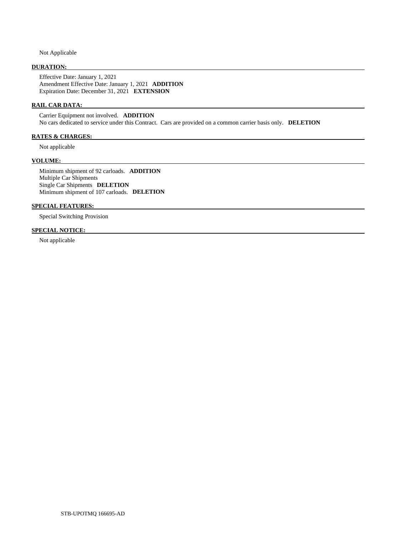Not Applicable

# **DURATION:**

 Effective Date: January 1, 2021 Amendment Effective Date: January 1, 2021 **ADDITION**  Expiration Date: December 31, 2021 **EXTENSION** 

# **RAIL CAR DATA:**

 Carrier Equipment not involved. **ADDITION**  No cars dedicated to service under this Contract. Cars are provided on a common carrier basis only. **DELETION** 

# **RATES & CHARGES:**

Not applicable

#### **VOLUME:**

 Minimum shipment of 92 carloads. **ADDITION**  Multiple Car Shipments Single Car Shipments **DELETION**  Minimum shipment of 107 carloads. **DELETION** 

#### **SPECIAL FEATURES:**

Special Switching Provision

## **SPECIAL NOTICE:**

Not applicable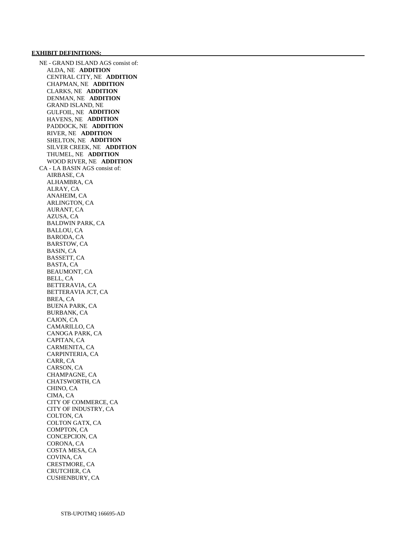NE - GRAND ISLAND AGS consist of: ALDA, NE **ADDITION**  CENTRAL CITY, NE **ADDITION**  CHAPMAN, NE **ADDITION**  CLARKS, NE **ADDITION**  DENMAN, NE **ADDITION**  GRAND ISLAND, NE GULFOIL, NE **ADDITION**  HAVENS, NE **ADDITION**  PADDOCK, NE **ADDITION**  RIVER, NE **ADDITION**  SHELTON, NE **ADDITION**  SILVER CREEK, NE **ADDITION**  THUMEL, NE **ADDITION**  WOOD RIVER, NE **ADDITION**  CA - LA BASIN AGS consist of: AIRBASE, CA ALHAMBRA, CA ALRAY, CA ANAHEIM, CA ARLINGTON, CA AURANT, CA AZUSA, CA BALDWIN PARK, CA BALLOU, CA BARODA, CA BARSTOW, CA BASIN, CA BASSETT, CA BASTA, CA BEAUMONT, CA BELL, CA BETTERAVIA, CA BETTERAVIA JCT, CA BREA, CA BUENA PARK, CA BURBANK, CA CAJON, CA CAMARILLO, CA CANOGA PARK, CA CAPITAN, CA CARMENITA, CA CARPINTERIA, CA CARR, CA CARSON, CA CHAMPAGNE, CA CHATSWORTH, CA CHINO, CA CIMA, CA CITY OF COMMERCE, CA CITY OF INDUSTRY, CA COLTON, CA COLTON GATX, CA COMPTON, CA CONCEPCION, CA CORONA, CA COSTA MESA, CA COVINA, CA CRESTMORE, CA CRUTCHER, CA CUSHENBURY, CA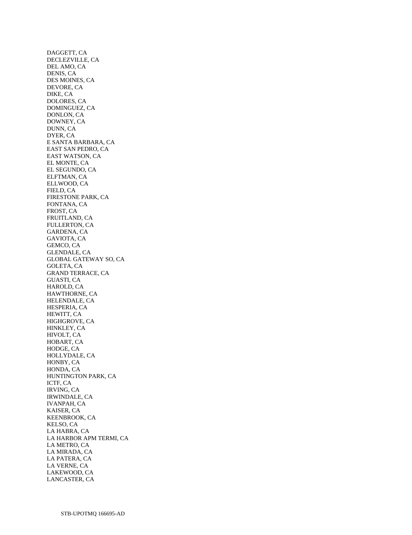DAGGETT, CA DECLEZVILLE, CA DEL AMO, CA DENIS, CA DES MOINES, CA DEVORE, CA DIKE, CA DOLORES, CA DOMINGUEZ, CA DONLON, CA DOWNEY, CA DUNN, CA DYER, CA E SANTA BARBARA, CA EAST SAN PEDRO, CA EAST WATSON, CA EL MONTE, CA EL SEGUNDO, CA ELFTMAN, CA ELLWOOD, CA FIELD, CA FIRESTONE PARK, CA FONTANA, CA FROST, CA FRUITLAND, CA FULLERTON, CA GARDENA, CA GAVIOTA, CA GEMCO, CA GLENDALE, CA GLOBAL GATEWAY SO, CA GOLETA, CA GRAND TERRACE, CA GUASTI, CA HAROLD, CA HAWTHORNE, CA HELENDALE, CA HESPERIA, CA HEWITT, CA HIGHGROVE, CA HINKLEY, CA HIVOLT, CA HOBART, CA HODGE, CA HOLLYDALE, CA HONBY, CA HONDA, CA HUNTINGTON PARK, CA ICTF, CA IRVING, CA IRWINDALE, CA IVANPAH, CA KAISER, CA KEENBROOK, CA KELSO, CA LA HABRA, CA LA HARBOR APM TERMI, CA LA METRO, CA LA MIRADA, CA LA PATERA, CA LA VERNE, CA LAKEWOOD, CA LANCASTER, CA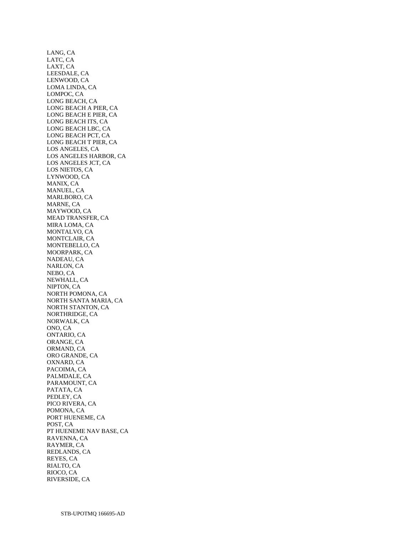LANG, CA LATC, CA LAXT, CA LEESDALE, CA LENWOOD, CA LOMA LINDA, CA LOMPOC, CA LONG BEACH, CA LONG BEACH A PIER, CA LONG BEACH E PIER, CA LONG BEACH ITS, CA LONG BEACH LBC, CA LONG BEACH PCT, CA LONG BEACH T PIER, CA LOS ANGELES, CA LOS ANGELES HARBOR, CA LOS ANGELES JCT, CA LOS NIETOS, CA LYNWOOD, CA MANIX, CA MANUEL, CA MARLBORO, CA MARNE, CA MAYWOOD, CA MEAD TRANSFER, CA MIRA LOMA, CA MONTALVO, CA MONTCLAIR, CA MONTEBELLO, CA MOORPARK, CA NADEAU, CA NARLON, CA NEBO, CA NEWHALL, CA NIPTON, CA NORTH POMONA, CA NORTH SANTA MARIA, CA NORTH STANTON, CA NORTHRIDGE, CA NORWALK, CA ONO, CA ONTARIO, CA ORANGE, CA ORMAND, CA ORO GRANDE, CA OXNARD, CA PACOIMA, CA PALMDALE, CA PARAMOUNT, CA PATATA, CA PEDLEY, CA PICO RIVERA, CA POMONA, CA PORT HUENEME, CA POST, CA PT HUENEME NAV BASE, CA RAVENNA, CA RAYMER, CA REDLANDS, CA REYES, CA RIALTO, CA RIOCO, CA RIVERSIDE, CA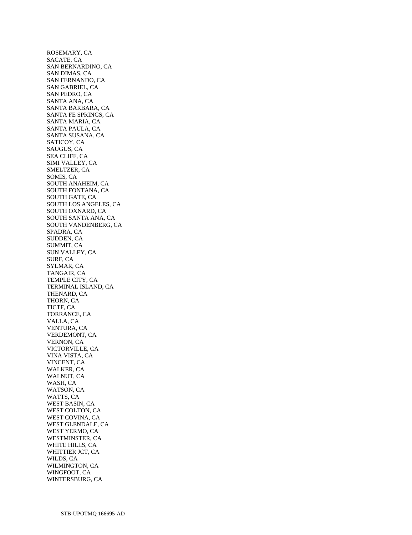ROSEMARY, CA SACATE, CA SAN BERNARDINO, CA SAN DIMAS, CA SAN FERNANDO, CA SAN GABRIEL, CA SAN PEDRO, CA SANTA ANA, CA SANTA BARBARA, CA SANTA FE SPRINGS, CA SANTA MARIA, CA SANTA PAULA, CA SANTA SUSANA, CA SATICOY, CA SAUGUS, CA SEA CLIFF, CA SIMI VALLEY, CA SMELTZER, CA SOMIS, CA SOUTH ANAHEIM, CA SOUTH FONTANA, CA SOUTH GATE, CA SOUTH LOS ANGELES, CA SOUTH OXNARD, CA SOUTH SANTA ANA, CA SOUTH VANDENBERG, CA SPADRA, CA SUDDEN, CA SUMMIT, CA SUN VALLEY, CA SURF, CA SYLMAR, CA TANGAIR, CA TEMPLE CITY, CA TERMINAL ISLAND, CA THENARD, CA THORN, CA TICTF, CA TORRANCE, CA VALLA, CA VENTURA, CA VERDEMONT, CA VERNON, CA VICTORVILLE, CA VINA VISTA, CA VINCENT, CA WALKER, CA WALNUT, CA WASH, CA WATSON, CA WATTS, CA WEST BASIN, CA WEST COLTON, CA WEST COVINA, CA WEST GLENDALE, CA WEST YERMO, CA WESTMINSTER, CA WHITE HILLS, CA WHITTIER JCT, CA WILDS, CA WILMINGTON, CA WINGFOOT, CA WINTERSBURG, CA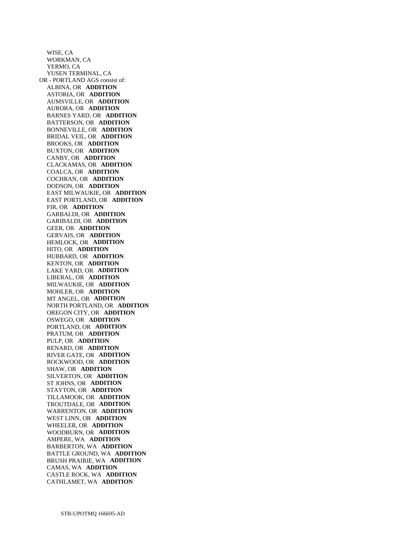WISE, CA WORKMAN, CA YERMO, CA YUSEN TERMINAL, CA OR - PORTLAND AGS consist of: ALBINA, OR **ADDITION**  ASTORIA, OR **ADDITION**  AUMSVILLE, OR **ADDITION**  AURORA, OR **ADDITION**  BARNES YARD, OR **ADDITION**  BATTERSON, OR **ADDITION**  BONNEVILLE, OR **ADDITION**  BRIDAL VEIL, OR **ADDITION**  BROOKS, OR **ADDITION**  BUXTON, OR **ADDITION**  CANBY, OR **ADDITION**  CLACKAMAS, OR **ADDITION**  COALCA, OR **ADDITION**  COCHRAN, OR **ADDITION**  DODSON, OR **ADDITION**  EAST MILWAUKIE, OR **ADDITION**  EAST PORTLAND, OR **ADDITION**  FIR, OR **ADDITION**  GARBALDI, OR **ADDITION**  GARIBALDI, OR **ADDITION**  GEER, OR **ADDITION**  GERVAIS, OR **ADDITION**  HEMLOCK, OR **ADDITION**  HITO, OR **ADDITION**  HUBBARD, OR **ADDITION**  KENTON, OR **ADDITION**  LAKE YARD, OR **ADDITION**  LIBERAL, OR **ADDITION**  MILWAUKIE, OR **ADDITION**  MOHLER, OR **ADDITION**  MT ANGEL, OR **ADDITION**  NORTH PORTLAND, OR **ADDITION**  OREGON CITY, OR **ADDITION**  OSWEGO, OR **ADDITION**  PORTLAND, OR **ADDITION**  PRATUM, OR **ADDITION**  PULP, OR **ADDITION**  RENARD, OR **ADDITION**  RIVER GATE, OR **ADDITION**  ROCKWOOD, OR **ADDITION**  SHAW, OR **ADDITION**  SILVERTON, OR **ADDITION**  ST JOHNS, OR **ADDITION**  STAYTON, OR **ADDITION**  TILLAMOOK, OR **ADDITION**  TROUTDALE, OR **ADDITION**  WARRENTON, OR **ADDITION**  WEST LINN, OR **ADDITION**  WHEELER, OR **ADDITION**  WOODBURN, OR **ADDITION**  AMPERE, WA **ADDITION**  BARBERTON, WA **ADDITION**  BATTLE GROUND, WA **ADDITION**  BRUSH PRAIRIE, WA **ADDITION**  CAMAS, WA **ADDITION**  CASTLE ROCK, WA **ADDITION**  CATHLAMET, WA **ADDITION**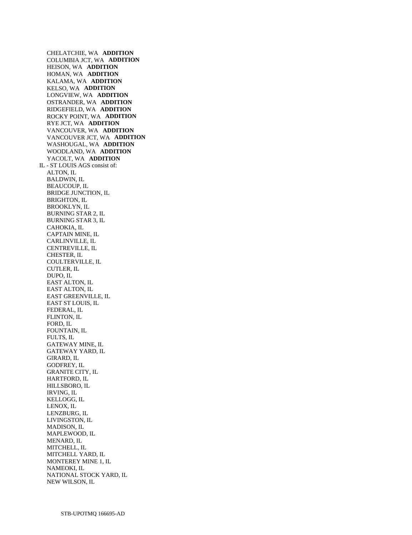CHELATCHIE, WA **ADDITION**  COLUMBIA JCT, WA **ADDITION**  HEISON, WA **ADDITION**  HOMAN, WA **ADDITION**  KALAMA, WA **ADDITION**  KELSO, WA **ADDITION**  LONGVIEW, WA **ADDITION**  OSTRANDER, WA **ADDITION**  RIDGEFIELD, WA **ADDITION**  ROCKY POINT, WA **ADDITION**  RYE JCT, WA **ADDITION**  VANCOUVER, WA **ADDITION**  VANCOUVER JCT, WA **ADDITION**  WASHOUGAL, WA **ADDITION**  WOODLAND, WA **ADDITION**  YACOLT, WA **ADDITION**  IL - ST LOUIS AGS consist of: ALTON, IL BALDWIN, IL BEAUCOUP, IL BRIDGE JUNCTION, IL BRIGHTON, IL BROOKLYN, IL BURNING STAR 2, IL BURNING STAR 3, IL CAHOKIA, IL CAPTAIN MINE, IL CARLINVILLE, IL CENTREVILLE, IL CHESTER, IL COULTERVILLE, IL CUTLER, IL DUPO, IL EAST ALTON, IL EAST ALTON, IL EAST GREENVILLE, IL EAST ST LOUIS, IL FEDERAL, IL FLINTON, IL FORD, IL FOUNTAIN, IL FULTS, IL GATEWAY MINE, IL GATEWAY YARD, IL GIRARD, IL GODFREY, IL GRANITE CITY, IL HARTFORD, IL HILLSBORO, IL IRVING, IL KELLOGG, IL LENOX, IL LENZBURG, IL LIVINGSTON, IL MADISON, IL MAPLEWOOD, IL MENARD, IL MITCHELL, IL MITCHELL YARD, IL MONTEREY MINE 1, IL NAMEOKI, IL NATIONAL STOCK YARD, IL NEW WILSON, IL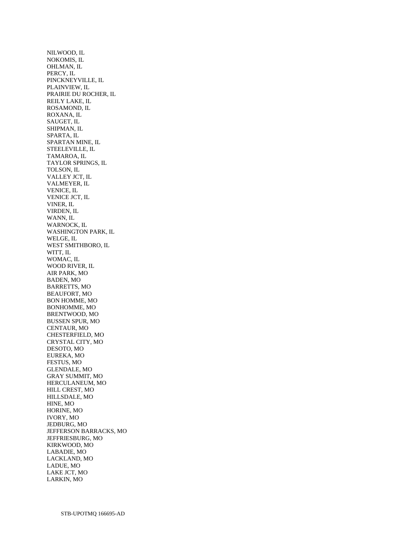NILWOOD, IL NOKOMIS, IL OHLMAN, IL PERCY, IL PINCKNEYVILLE, IL PLAINVIEW, IL PRAIRIE DU ROCHER, IL REILY LAKE, IL ROSAMOND, IL ROXANA, IL SAUGET, IL SHIPMAN, IL SPARTA, IL SPARTAN MINE, IL STEELEVILLE, IL TAMAROA, IL TAYLOR SPRINGS, IL TOLSON, IL VALLEY JCT, IL VALMEYER, IL VENICE, IL VENICE JCT, IL VINER, IL VIRDEN, IL WANN, IL WARNOCK, IL WASHINGTON PARK, IL WELGE, IL WEST SMITHBORO, IL WITT, IL WOMAC, IL WOOD RIVER, IL AIR PARK, MO BADEN, MO BARRETTS, MO BEAUFORT, MO BON HOMME, MO BONHOMME, MO BRENTWOOD, MO BUSSEN SPUR, MO CENTAUR, MO CHESTERFIELD, MO CRYSTAL CITY, MO DESOTO, MO EUREKA, MO FESTUS, MO GLENDALE, MO GRAY SUMMIT, MO HERCULANEUM, MO HILL CREST, MO HILLSDALE, MO HINE, MO HORINE, MO IVORY, MO JEDBURG, MO JEFFERSON BARRACKS, MO JEFFRIESBURG, MO KIRKWOOD, MO LABADIE, MO LACKLAND, MO LADUE, MO LAKE JCT, MO LARKIN, MO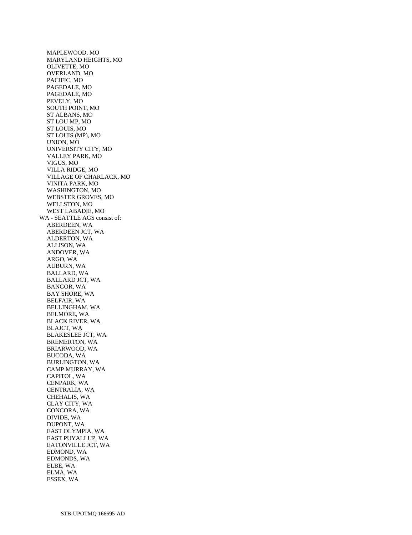MAPLEWOOD, MO MARYLAND HEIGHTS, MO OLIVETTE, MO OVERLAND, MO PACIFIC, MO PAGEDALE, MO PAGEDALE, MO PEVELY, MO SOUTH POINT, MO ST ALBANS, MO ST LOU MP, MO ST LOUIS, MO ST LOUIS (MP), MO UNION, MO UNIVERSITY CITY, MO VALLEY PARK, MO VIGUS, MO VILLA RIDGE, MO VILLAGE OF CHARLACK, MO VINITA PARK, MO WASHINGTON, MO WEBSTER GROVES, MO WELLSTON, MO WEST LABADIE, MO WA - SEATTLE AGS consist of: ABERDEEN, WA ABERDEEN JCT, WA ALDERTON, WA ALLISON, WA ANDOVER, WA ARGO, WA AUBURN, WA BALLARD, WA BALLARD JCT, WA BANGOR, WA BAY SHORE, WA BELFAIR, WA BELLINGHAM, WA BELMORE, WA BLACK RIVER, WA BLAJCT, WA BLAKESLEE JCT, WA BREMERTON, WA BRIARWOOD, WA BUCODA, WA BURLINGTON, WA CAMP MURRAY, WA CAPITOL, WA CENPARK, WA CENTRALIA, WA CHEHALIS, WA CLAY CITY, WA CONCORA, WA DIVIDE, WA DUPONT, WA EAST OLYMPIA, WA EAST PUYALLUP, WA EATONVILLE JCT, WA EDMOND, WA EDMONDS, WA ELBE, WA ELMA, WA ESSEX, WA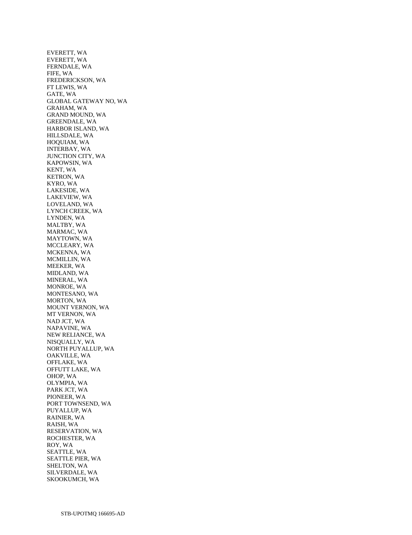EVERETT, WA EVERETT, WA FERNDALE, WA FIFE, WA FREDERICKSON, WA FT LEWIS, WA GATE, WA GLOBAL GATEWAY NO, WA GRAHAM, WA GRAND MOUND, WA GREENDALE, WA HARBOR ISLAND, WA HILLSDALE, WA HOQUIAM, WA INTERBAY, WA JUNCTION CITY, WA KAPOWSIN, WA KENT, WA KETRON, WA KYRO, WA LAKESIDE, WA LAKEVIEW, WA LOVELAND, WA LYNCH CREEK, WA LYNDEN, WA MALTBY, WA MARMAC, WA MAYTOWN, WA MCCLEARY, WA MCKENNA, WA MCMILLIN, WA MEEKER, WA MIDLAND, WA MINERAL, WA MONROE, WA MONTESANO, WA MORTON, WA MOUNT VERNON, WA MT VERNON, WA NAD JCT, WA NAPAVINE, WA NEW RELIANCE, WA NISQUALLY, WA NORTH PUYALLUP, WA OAKVILLE, WA OFFLAKE, WA OFFUTT LAKE, WA OHOP, WA OLYMPIA, WA PARK JCT, WA PIONEER, WA PORT TOWNSEND, WA PUYALLUP, WA RAINIER, WA RAISH, WA RESERVATION, WA ROCHESTER, WA ROY, WA SEATTLE, WA SEATTLE PIER, WA SHELTON, WA SILVERDALE, WA SKOOKUMCH, WA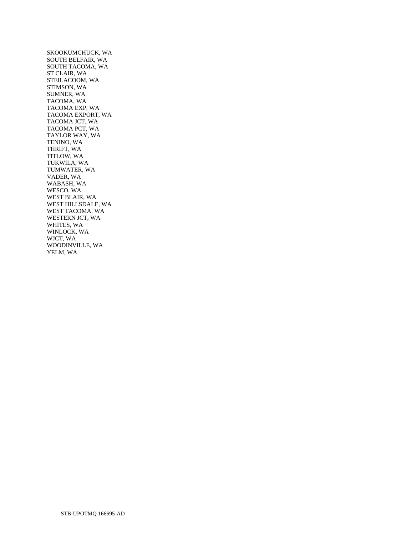SKOOKUMCHUCK, WA SOUTH BELFAIR, WA SOUTH TACOMA, WA ST CLAIR, WA STEILACOOM, WA STIMSON, WA SUMNER, WA TACOMA, WA TACOMA EXP, WA TACOMA EXPORT, WA TACOMA JCT, WA TACOMA PCT, WA TAYLOR WAY, WA TENINO, WA THRIFT, WA TITLOW, WA TUKWILA, WA TUMWATER, WA VADER, WA WABASH, WA WESCO, WA WEST BLAIR, WA WEST HILLSDALE, WA WEST TACOMA, WA WESTERN JCT, WA WHITES, WA WINLOCK, WA WJCT, WA WOODINVILLE, WA YELM, WA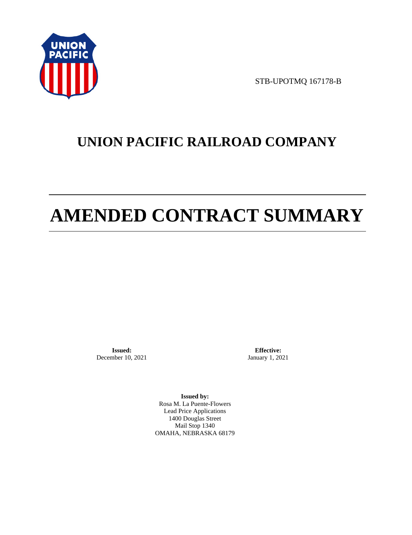

STB-UPOTMQ 167178-B

# **UNION PACIFIC RAILROAD COMPANY**

# **AMENDED CONTRACT SUMMARY**

**Issued:**  December 10, 2021

**Effective:** January 1, 2021

**Issued by:**  Rosa M. La Puente-Flowers Lead Price Applications 1400 Douglas Street Mail Stop 1340 OMAHA, NEBRASKA 68179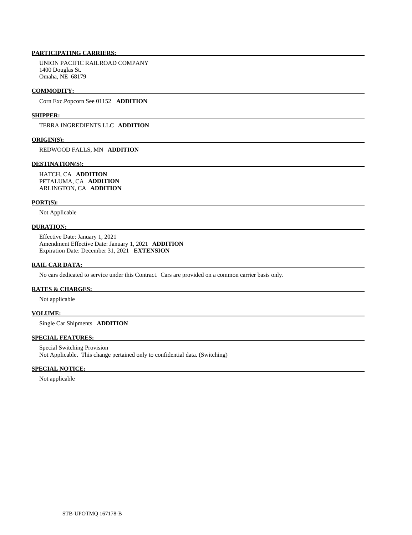# **PARTICIPATING CARRIERS:**

 UNION PACIFIC RAILROAD COMPANY 1400 Douglas St. Omaha, NE 68179

#### **COMMODITY:**

Corn Exc.Popcorn See 01152 **ADDITION** 

#### **SHIPPER:**

TERRA INGREDIENTS LLC **ADDITION** 

#### **ORIGIN(S):**

REDWOOD FALLS, MN **ADDITION** 

#### **DESTINATION(S):**

 HATCH, CA **ADDITION**  PETALUMA, CA **ADDITION**  ARLINGTON, CA **ADDITION** 

## **PORT(S):**

Not Applicable

# **DURATION:**

 Effective Date: January 1, 2021 Amendment Effective Date: January 1, 2021 **ADDITION**  Expiration Date: December 31, 2021 **EXTENSION** 

#### **RAIL CAR DATA:**

No cars dedicated to service under this Contract. Cars are provided on a common carrier basis only.

# **RATES & CHARGES:**

Not applicable

## **VOLUME:**

Single Car Shipments **ADDITION** 

# **SPECIAL FEATURES:**

 Special Switching Provision Not Applicable. This change pertained only to confidential data. (Switching)

### **SPECIAL NOTICE:**

Not applicable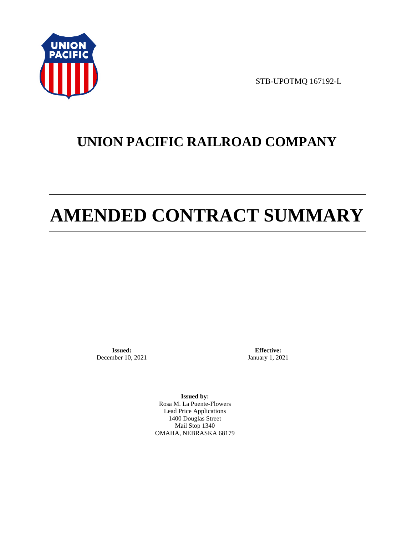

STB-UPOTMQ 167192-L

# **UNION PACIFIC RAILROAD COMPANY**

# **AMENDED CONTRACT SUMMARY**

**Issued:**  December 10, 2021

**Effective:** January 1, 2021

**Issued by:**  Rosa M. La Puente-Flowers Lead Price Applications 1400 Douglas Street Mail Stop 1340 OMAHA, NEBRASKA 68179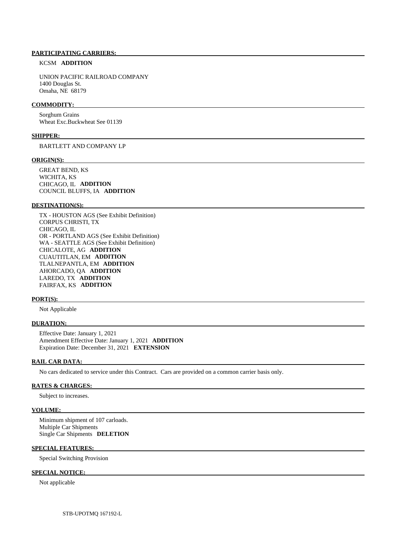### **PARTICIPATING CARRIERS:**

## KCSM **ADDITION**

 UNION PACIFIC RAILROAD COMPANY 1400 Douglas St. Omaha, NE 68179

#### **COMMODITY:**

 Sorghum Grains Wheat Exc.Buckwheat See 01139

#### **SHIPPER:**

BARTLETT AND COMPANY LP

#### **ORIGIN(S):**

 GREAT BEND, KS WICHITA, KS CHICAGO, IL **ADDITION**  COUNCIL BLUFFS, IA **ADDITION** 

#### **DESTINATION(S):**

 TX - HOUSTON AGS (See Exhibit Definition) CORPUS CHRISTI, TX CHICAGO, IL OR - PORTLAND AGS (See Exhibit Definition) WA - SEATTLE AGS (See Exhibit Definition) CHICALOTE, AG **ADDITION**  CUAUTITLAN, EM **ADDITION**  TLALNEPANTLA, EM **ADDITION**  AHORCADO, QA **ADDITION**  LAREDO, TX **ADDITION**  FAIRFAX, KS **ADDITION** 

#### **PORT(S):**

Not Applicable

## **DURATION:**

 Effective Date: January 1, 2021 Amendment Effective Date: January 1, 2021 **ADDITION**  Expiration Date: December 31, 2021 **EXTENSION** 

#### **RAIL CAR DATA:**

No cars dedicated to service under this Contract. Cars are provided on a common carrier basis only.

# **RATES & CHARGES:**

Subject to increases.

#### **VOLUME:**

 Minimum shipment of 107 carloads. Multiple Car Shipments Single Car Shipments **DELETION** 

# **SPECIAL FEATURES:**

Special Switching Provision

# **SPECIAL NOTICE:**

Not applicable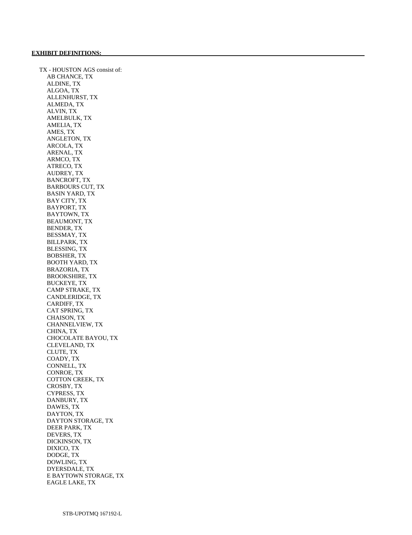TX - HOUSTON AGS consist of: AB CHANCE, TX ALDINE, TX ALGOA, TX ALLENHURST, TX ALMEDA, TX ALVIN, TX AMELBULK, TX AMELIA, TX AMES, TX ANGLETON, TX ARCOLA, TX ARENAL, TX ARMCO, TX ATRECO, TX AUDREY, TX BANCROFT, TX BARBOURS CUT, TX BASIN YARD, TX BAY CITY, TX BAYPORT, TX BAYTOWN, TX BEAUMONT, TX BENDER, TX BESSMAY, TX BILLPARK, TX BLESSING, TX BOBSHER, TX BOOTH YARD, TX BRAZORIA, TX BROOKSHIRE, TX BUCKEYE, TX CAMP STRAKE, TX CANDLERIDGE, TX CARDIFF, TX CAT SPRING, TX CHAISON, TX CHANNELVIEW, TX CHINA, TX CHOCOLATE BAYOU, TX CLEVELAND, TX CLUTE, TX COADY, TX CONNELL, TX CONROE, TX COTTON CREEK, TX CROSBY, TX CYPRESS, TX DANBURY, TX DAWES, TX DAYTON, TX DAYTON STORAGE, TX DEER PARK, TX DEVERS, TX DICKINSON, TX DIXICO, TX DODGE, TX DOWLING, TX DYERSDALE, TX E BAYTOWN STORAGE, TX EAGLE LAKE, TX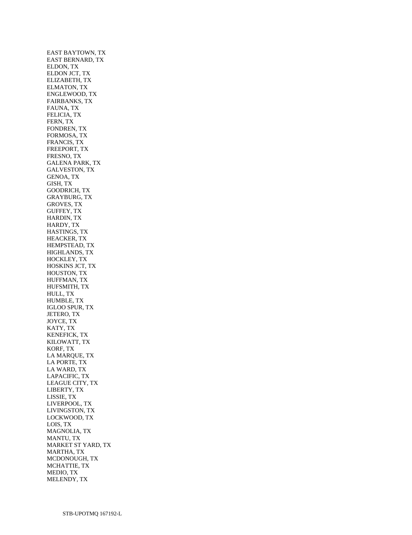EAST BAYTOWN, TX EAST BERNARD, TX ELDON, TX ELDON JCT, TX ELIZABETH, TX ELMATON, TX ENGLEWOOD, TX FAIRBANKS, TX FAUNA, TX FELICIA, TX FERN, TX FONDREN, TX FORMOSA, TX FRANCIS, TX FREEPORT, TX FRESNO, TX GALENA PARK, TX GALVESTON, TX GENOA, TX GISH, TX GOODRICH, TX GRAYBURG, TX GROVES, TX GUFFEY, TX HARDIN, TX HARDY, TX HASTINGS, TX HEACKER, TX HEMPSTEAD, TX HIGHLANDS, TX HOCKLEY, TX HOSKINS JCT, TX HOUSTON, TX HUFFMAN, TX HUFSMITH, TX HULL, TX HUMBLE, TX IGLOO SPUR, TX JETERO, TX JOYCE, TX KATY, TX KENEFICK, TX KILOWATT, TX KORF, TX LA MARQUE, TX LA PORTE, TX LA WARD, TX LAPACIFIC, TX LEAGUE CITY, TX LIBERTY, TX LISSIE, TX LIVERPOOL, TX LIVINGSTON, TX LOCKWOOD, TX LOIS, TX MAGNOLIA, TX MANTU, TX MARKET ST YARD, TX MARTHA, TX MCDONOUGH, TX MCHATTIE, TX MEDIO, TX MELENDY, TX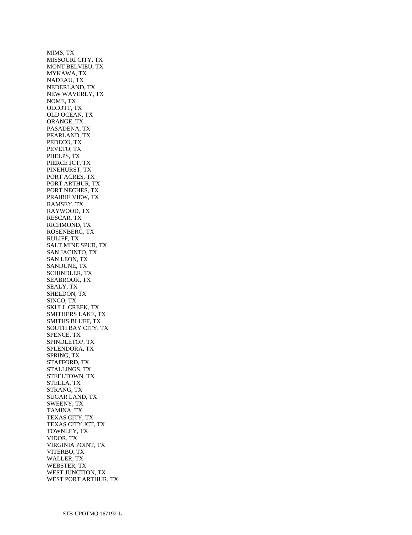MIMS, TX MISSOURI CITY, TX MONT BELVIEU, TX MYKAWA, TX NADEAU, TX NEDERLAND, TX NEW WAVERLY, TX NOME, TX OLCOTT, TX OLD OCEAN, TX ORANGE, TX PASADENA, TX PEARLAND, TX PEDECO, TX PEVETO, TX PHELPS, TX PIERCE JCT, TX PINEHURST, TX PORT ACRES, TX PORT ARTHUR, TX PORT NECHES, TX PRAIRIE VIEW, TX RAMSEY, TX RAYWOOD, TX RESCAR, TX RICHMOND, TX ROSENBERG, TX RULIFF, TX SALT MINE SPUR, TX SAN JACINTO, TX SAN LEON, TX SANDUNE, TX SCHINDLER, TX SEABROOK, TX SEALY, TX SHELDON, TX SINCO, TX SKULL CREEK, TX SMITHERS LAKE, TX SMITHS BLUFF, TX SOUTH BAY CITY, TX SPENCE, TX SPINDLETOP, TX SPLENDORA, TX SPRING, TX STAFFORD, TX STALLINGS, TX STEELTOWN, TX STELLA, TX STRANG, TX SUGAR LAND, TX SWEENY, TX TAMINA, TX TEXAS CITY, TX TEXAS CITY JCT, TX TOWNLEY, TX VIDOR, TX VIRGINIA POINT, TX VITERBO, TX WALLER, TX WEBSTER, TX WEST JUNCTION, TX WEST PORT ARTHUR, TX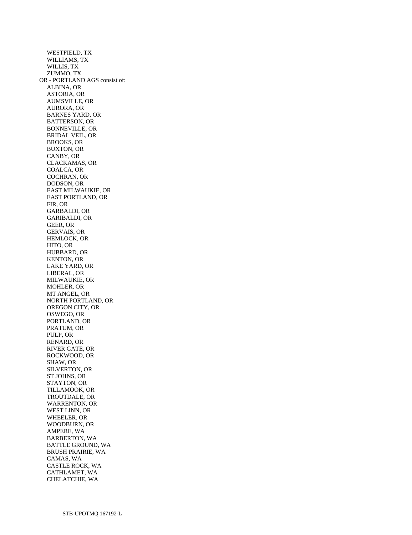WESTFIELD, TX WILLIAMS, TX WILLIS, TX ZUMMO, TX OR - PORTLAND AGS consist of: ALBINA, OR ASTORIA, OR AUMSVILLE, OR AURORA, OR BARNES YARD, OR BATTERSON, OR BONNEVILLE, OR BRIDAL VEIL, OR BROOKS, OR BUXTON, OR CANBY, OR CLACKAMAS, OR COALCA, OR COCHRAN, OR DODSON, OR EAST MILWAUKIE, OR EAST PORTLAND, OR FIR, OR GARBALDI, OR GARIBALDI, OR GEER, OR GERVAIS, OR HEMLOCK, OR HITO, OR HUBBARD, OR KENTON, OR LAKE YARD, OR LIBERAL, OR MILWAUKIE, OR MOHLER, OR MT ANGEL, OR NORTH PORTLAND, OR OREGON CITY, OR OSWEGO, OR PORTLAND, OR PRATUM, OR PULP, OR RENARD, OR RIVER GATE, OR ROCKWOOD, OR SHAW, OR SILVERTON, OR ST JOHNS, OR STAYTON, OR TILLAMOOK, OR TROUTDALE, OR WARRENTON, OR WEST LINN, OR WHEELER, OR WOODBURN, OR AMPERE, WA BARBERTON, WA BATTLE GROUND, WA BRUSH PRAIRIE, WA CAMAS, WA CASTLE ROCK, WA CATHLAMET, WA CHELATCHIE, WA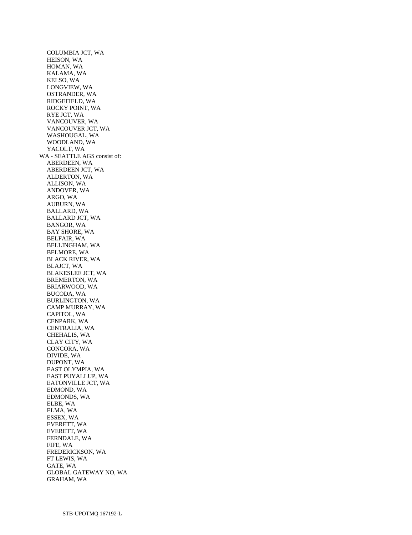COLUMBIA JCT, WA HEISON, WA HOMAN, WA KALAMA, WA KELSO, WA LONGVIEW, WA OSTRANDER, WA RIDGEFIELD, WA ROCKY POINT, WA RYE JCT, WA VANCOUVER, WA VANCOUVER JCT, WA WASHOUGAL, WA WOODLAND, WA YACOLT, WA WA - SEATTLE AGS consist of: ABERDEEN, WA ABERDEEN JCT, WA ALDERTON, WA ALLISON, WA ANDOVER, WA ARGO, WA AUBURN, WA BALLARD, WA BALLARD JCT, WA BANGOR, WA BAY SHORE, WA BELFAIR, WA BELLINGHAM, WA BELMORE, WA BLACK RIVER, WA BLAJCT, WA BLAKESLEE JCT, WA BREMERTON, WA BRIARWOOD, WA BUCODA, WA BURLINGTON, WA CAMP MURRAY, WA CAPITOL, WA CENPARK, WA CENTRALIA, WA CHEHALIS, WA CLAY CITY, WA CONCORA, WA DIVIDE, WA DUPONT, WA EAST OLYMPIA, WA EAST PUYALLUP, WA EATONVILLE JCT, WA EDMOND, WA EDMONDS, WA ELBE, WA ELMA, WA ESSEX, WA EVERETT, WA EVERETT, WA FERNDALE, WA FIFE, WA FREDERICKSON, WA FT LEWIS, WA GATE, WA GLOBAL GATEWAY NO, WA GRAHAM, WA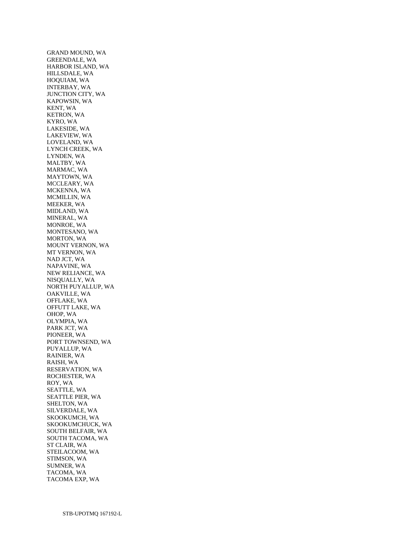GRAND MOUND, WA GREENDALE, WA HARBOR ISLAND, WA HILLSDALE, WA HOQUIAM, WA INTERBAY, WA JUNCTION CITY, WA KAPOWSIN, WA KENT, WA KETRON, WA KYRO, WA LAKESIDE, WA LAKEVIEW, WA LOVELAND, WA LYNCH CREEK, WA LYNDEN, WA MALTBY, WA MARMAC, WA MAYTOWN, WA MCCLEARY, WA MCKENNA, WA MCMILLIN, WA MEEKER, WA MIDLAND, WA MINERAL, WA MONROE, WA MONTESANO, WA MORTON, WA MOUNT VERNON, WA MT VERNON, WA NAD JCT, WA NAPAVINE, WA NEW RELIANCE, WA NISQUALLY, WA NORTH PUYALLUP, WA OAKVILLE, WA OFFLAKE, WA OFFUTT LAKE, WA OHOP, WA OLYMPIA, WA PARK JCT, WA PIONEER, WA PORT TOWNSEND, WA PUYALLUP, WA RAINIER, WA RAISH, WA RESERVATION, WA ROCHESTER, WA ROY, WA SEATTLE, WA SEATTLE PIER, WA SHELTON, WA SILVERDALE, WA SKOOKUMCH, WA SKOOKUMCHUCK, WA SOUTH BELFAIR, WA SOUTH TACOMA, WA ST CLAIR, WA STEILACOOM, WA STIMSON, WA SUMNER, WA TACOMA, WA TACOMA EXP, WA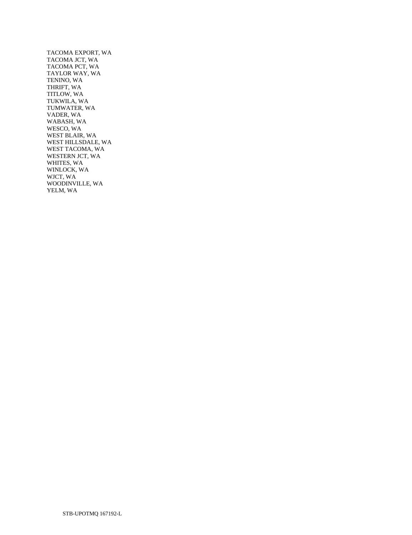TACOMA EXPORT, WA TACOMA JCT, WA TACOMA PCT, WA TAYLOR WAY, WA TENINO, WA THRIFT, WA TITLOW, WA TUKWILA, WA TUMWATER, WA VADER, WA WABASH, WA WESCO, WA WEST BLAIR, WA WEST HILLSDALE, WA WEST TACOMA, WA WESTERN JCT, WA WHITES, WA WINLOCK, WA WJCT, WA WOODINVILLE, WA YELM, WA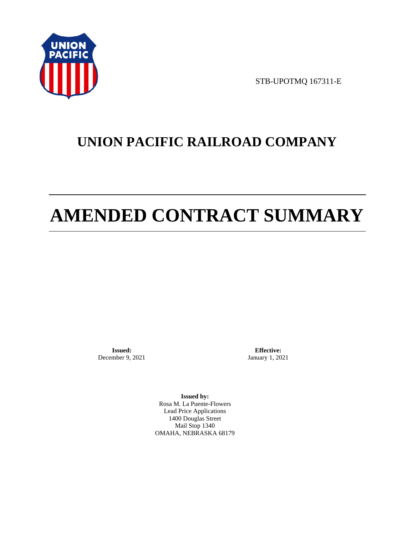

STB-UPOTMQ 167311-E

# **UNION PACIFIC RAILROAD COMPANY**

# **AMENDED CONTRACT SUMMARY**

**Issued:**  December 9, 2021

**Effective:** January 1, 2021

**Issued by:**  Rosa M. La Puente-Flowers Lead Price Applications 1400 Douglas Street Mail Stop 1340 OMAHA, NEBRASKA 68179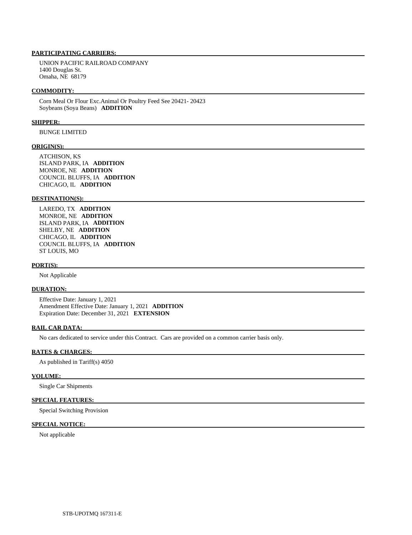# **PARTICIPATING CARRIERS:**

 UNION PACIFIC RAILROAD COMPANY 1400 Douglas St. Omaha, NE 68179

#### **COMMODITY:**

 Corn Meal Or Flour Exc.Animal Or Poultry Feed See 20421- 20423 Soybeans (Soya Beans) **ADDITION** 

## **SHIPPER:**

BUNGE LIMITED

### **ORIGIN(S):**

 ATCHISON, KS ISLAND PARK, IA **ADDITION**  MONROE, NE **ADDITION**  COUNCIL BLUFFS, IA **ADDITION**  CHICAGO, IL **ADDITION** 

# **DESTINATION(S):**

 LAREDO, TX **ADDITION**  MONROE, NE **ADDITION**  ISLAND PARK, IA **ADDITION**  SHELBY, NE **ADDITION**  CHICAGO, IL **ADDITION**  COUNCIL BLUFFS, IA **ADDITION**  ST LOUIS, MO

#### **PORT(S):**

Not Applicable

## **DURATION:**

 Effective Date: January 1, 2021 Amendment Effective Date: January 1, 2021 **ADDITION**  Expiration Date: December 31, 2021 **EXTENSION** 

#### **RAIL CAR DATA:**

No cars dedicated to service under this Contract. Cars are provided on a common carrier basis only.

#### **RATES & CHARGES:**

As published in Tariff(s) 4050

#### **VOLUME:**

Single Car Shipments

# **SPECIAL FEATURES:**

Special Switching Provision

# **SPECIAL NOTICE:**

Not applicable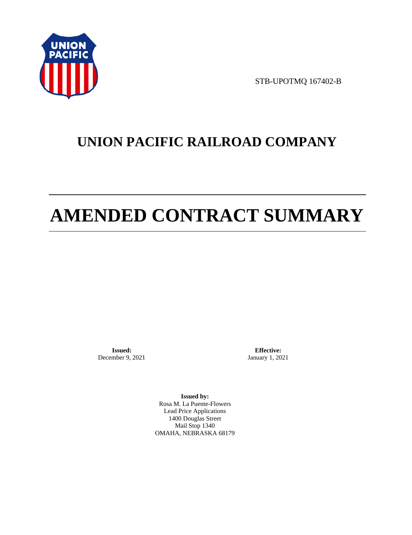

STB-UPOTMQ 167402-B

## **UNION PACIFIC RAILROAD COMPANY**

# **AMENDED CONTRACT SUMMARY**

**Issued:**  December 9, 2021

**Effective:** January 1, 2021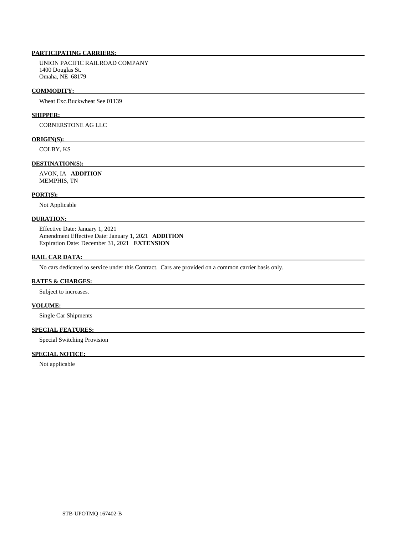UNION PACIFIC RAILROAD COMPANY 1400 Douglas St. Omaha, NE 68179

#### **COMMODITY:**

Wheat Exc.Buckwheat See 01139

## **SHIPPER:**

CORNERSTONE AG LLC

## **ORIGIN(S):**

COLBY, KS

## **DESTINATION(S):**

 AVON, IA **ADDITION**  MEMPHIS, TN

#### **PORT(S):**

Not Applicable

## **DURATION:**

 Effective Date: January 1, 2021 Amendment Effective Date: January 1, 2021 **ADDITION**  Expiration Date: December 31, 2021 **EXTENSION** 

#### **RAIL CAR DATA:**

No cars dedicated to service under this Contract. Cars are provided on a common carrier basis only.

## **RATES & CHARGES:**

Subject to increases.

## **VOLUME:**

Single Car Shipments

## **SPECIAL FEATURES:**

Special Switching Provision

## **SPECIAL NOTICE:**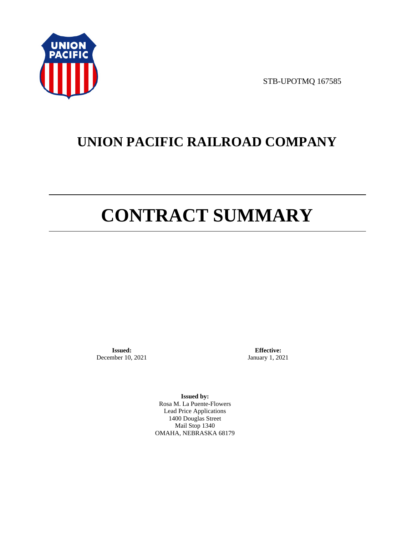

STB-UPOTMQ 167585

## **UNION PACIFIC RAILROAD COMPANY**

# **CONTRACT SUMMARY**

**Issued:**  December 10, 2021

**Effective:** January 1, 2021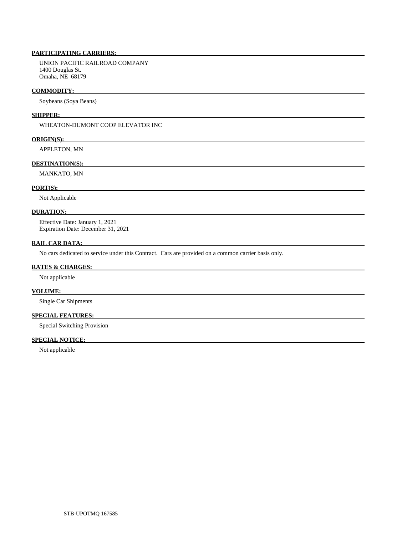UNION PACIFIC RAILROAD COMPANY 1400 Douglas St. Omaha, NE 68179

### **COMMODITY:**

Soybeans (Soya Beans)

### **SHIPPER:**

WHEATON-DUMONT COOP ELEVATOR INC

### **ORIGIN(S):**

APPLETON, MN

## **DESTINATION(S):**

MANKATO, MN

## **PORT(S):**

Not Applicable

## **DURATION:**

 Effective Date: January 1, 2021 Expiration Date: December 31, 2021

## **RAIL CAR DATA:**

No cars dedicated to service under this Contract. Cars are provided on a common carrier basis only.

#### **RATES & CHARGES:**

Not applicable

## **VOLUME:**

Single Car Shipments

## **SPECIAL FEATURES:**

Special Switching Provision

## **SPECIAL NOTICE:**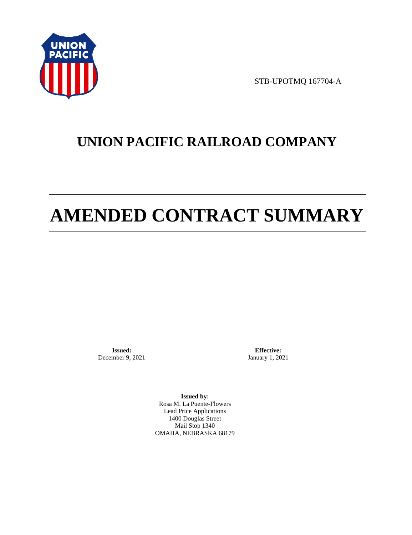

STB-UPOTMQ 167704-A

## **UNION PACIFIC RAILROAD COMPANY**

# **AMENDED CONTRACT SUMMARY**

**Issued:**  December 9, 2021

**Effective:** January 1, 2021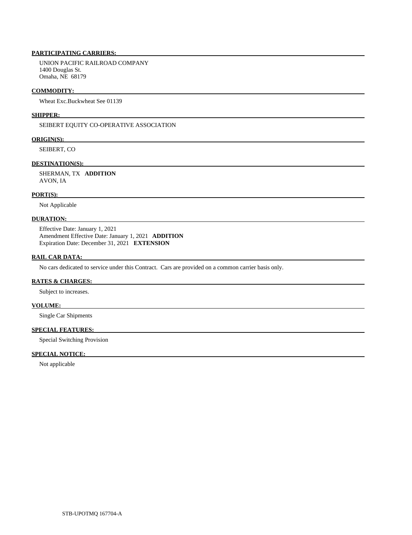UNION PACIFIC RAILROAD COMPANY 1400 Douglas St. Omaha, NE 68179

#### **COMMODITY:**

Wheat Exc.Buckwheat See 01139

## **SHIPPER:**

SEIBERT EQUITY CO-OPERATIVE ASSOCIATION

### **ORIGIN(S):**

SEIBERT, CO

### **DESTINATION(S):**

 SHERMAN, TX **ADDITION**  AVON, IA

#### **PORT(S):**

Not Applicable

### **DURATION:**

 Effective Date: January 1, 2021 Amendment Effective Date: January 1, 2021 **ADDITION**  Expiration Date: December 31, 2021 **EXTENSION** 

#### **RAIL CAR DATA:**

No cars dedicated to service under this Contract. Cars are provided on a common carrier basis only.

## **RATES & CHARGES:**

Subject to increases.

## **VOLUME:**

Single Car Shipments

## **SPECIAL FEATURES:**

Special Switching Provision

## **SPECIAL NOTICE:**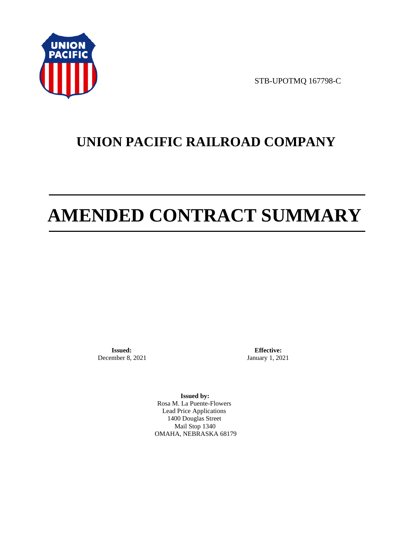

STB-UPOTMQ 167798-C

## **UNION PACIFIC RAILROAD COMPANY**

# **AMENDED CONTRACT SUMMARY**

**Issued:**  December 8, 2021

**Effective:** January 1, 2021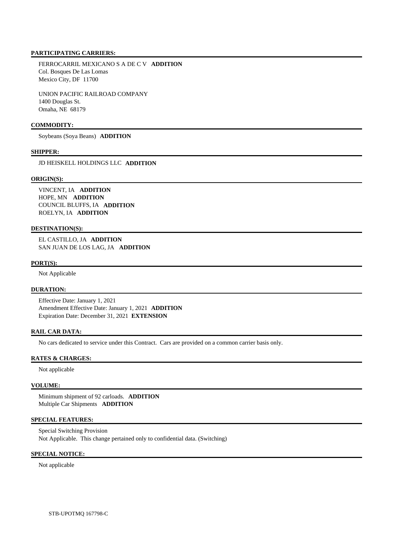FERROCARRIL MEXICANO S A DE C V **ADDITION**  Col. Bosques De Las Lomas Mexico City, DF 11700

 UNION PACIFIC RAILROAD COMPANY 1400 Douglas St. Omaha, NE 68179

## **COMMODITY:**

Soybeans (Soya Beans) **ADDITION** 

#### **SHIPPER:**

JD HEISKELL HOLDINGS LLC **ADDITION** 

### **ORIGIN(S):**

 VINCENT, IA **ADDITION**  HOPE, MN **ADDITION**  COUNCIL BLUFFS, IA **ADDITION**  ROELYN, IA **ADDITION** 

## **DESTINATION(S):**

 EL CASTILLO, JA **ADDITION**  SAN JUAN DE LOS LAG, JA **ADDITION** 

### **PORT(S):**

Not Applicable

## **DURATION:**

 Effective Date: January 1, 2021 Amendment Effective Date: January 1, 2021 **ADDITION**  Expiration Date: December 31, 2021 **EXTENSION** 

## **RAIL CAR DATA:**

No cars dedicated to service under this Contract. Cars are provided on a common carrier basis only.

## **RATES & CHARGES:**

Not applicable

#### **VOLUME:**

 Minimum shipment of 92 carloads. **ADDITION**  Multiple Car Shipments **ADDITION** 

## **SPECIAL FEATURES:**

 Special Switching Provision Not Applicable. This change pertained only to confidential data. (Switching)

## **SPECIAL NOTICE:**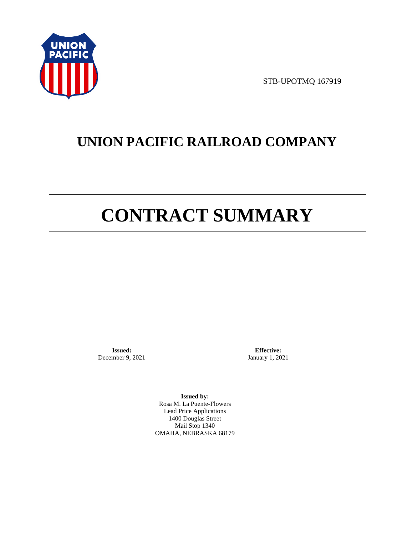

STB-UPOTMQ 167919

## **UNION PACIFIC RAILROAD COMPANY**

# **CONTRACT SUMMARY**

**Issued:**  December 9, 2021

**Effective:** January 1, 2021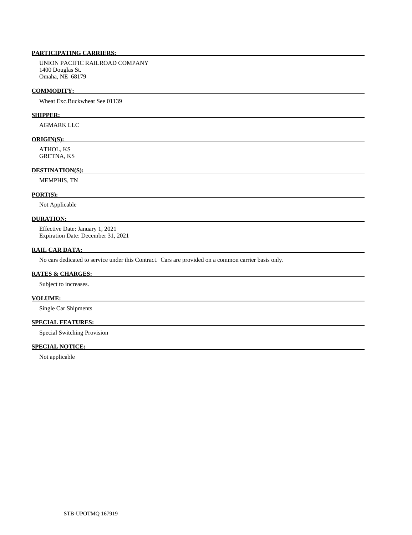UNION PACIFIC RAILROAD COMPANY 1400 Douglas St. Omaha, NE 68179

#### **COMMODITY:**

Wheat Exc.Buckwheat See 01139

## **SHIPPER:**

AGMARK LLC

### **ORIGIN(S):**

 ATHOL, KS GRETNA, KS

## **DESTINATION(S):**

MEMPHIS, TN

#### **PORT(S):**

Not Applicable

## **DURATION:**

 Effective Date: January 1, 2021 Expiration Date: December 31, 2021

## **RAIL CAR DATA:**

No cars dedicated to service under this Contract. Cars are provided on a common carrier basis only.

## **RATES & CHARGES:**

Subject to increases.

## **VOLUME:**

Single Car Shipments

## **SPECIAL FEATURES:**

Special Switching Provision

## **SPECIAL NOTICE:**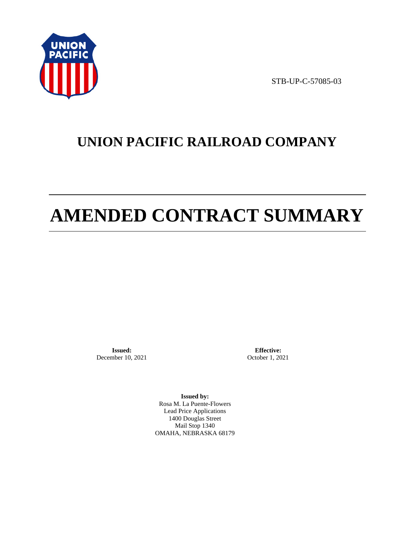

STB-UP-C-57085-03

## **UNION PACIFIC RAILROAD COMPANY**

# **AMENDED CONTRACT SUMMARY**

**Issued:**  December 10, 2021

**Effective:** October 1, 2021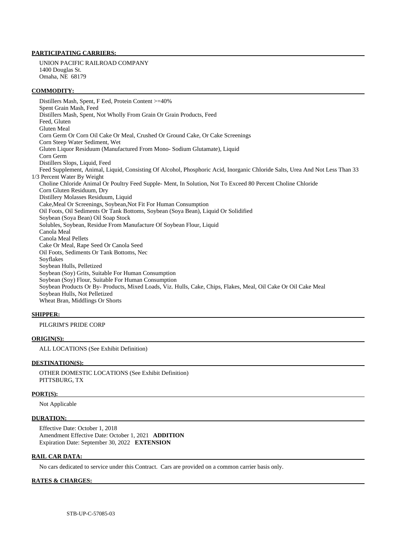UNION PACIFIC RAILROAD COMPANY 1400 Douglas St. Omaha, NE 68179

### **COMMODITY:**

 Distillers Mash, Spent, F Eed, Protein Content >=40% Spent Grain Mash, Feed Distillers Mash, Spent, Not Wholly From Grain Or Grain Products, Feed Feed, Gluten Gluten Meal Corn Germ Or Corn Oil Cake Or Meal, Crushed Or Ground Cake, Or Cake Screenings Corn Steep Water Sediment, Wet Gluten Liquor Residuum (Manufactured From Mono- Sodium Glutamate), Liquid Corn Germ Distillers Slops, Liquid, Feed Feed Supplement, Animal, Liquid, Consisting Of Alcohol, Phosphoric Acid, Inorganic Chloride Salts, Urea And Not Less Than 33 1/3 Percent Water By Weight Choline Chloride Animal Or Poultry Feed Supple- Ment, In Solution, Not To Exceed 80 Percent Choline Chloride Corn Gluten Residuum, Dry Distillery Molasses Residuum, Liquid Cake,Meal Or Screenings, Soybean,Not Fit For Human Consumption Oil Foots, Oil Sediments Or Tank Bottoms, Soybean (Soya Bean), Liquid Or Solidified Soybean (Soya Bean) Oil Soap Stock Solubles, Soybean, Residue From Manufacture Of Soybean Flour, Liquid Canola Meal Canola Meal Pellets Cake Or Meal, Rape Seed Or Canola Seed Oil Foots, Sediments Or Tank Bottoms, Nec Soyflakes Soybean Hulls, Pelletized Soybean (Soy) Grits, Suitable For Human Consumption Soybean (Soy) Flour, Suitable For Human Consumption Soybean Products Or By- Products, Mixed Loads, Viz. Hulls, Cake, Chips, Flakes, Meal, Oil Cake Or Oil Cake Meal Soybean Hulls, Not Pelletized Wheat Bran, Middlings Or Shorts

#### **SHIPPER:**

## PILGRIM'S PRIDE CORP

### **ORIGIN(S):**

ALL LOCATIONS (See Exhibit Definition)

#### **DESTINATION(S):**

 OTHER DOMESTIC LOCATIONS (See Exhibit Definition) PITTSBURG, TX

## **PORT(S):**

Not Applicable

#### **DURATION:**

 Effective Date: October 1, 2018 Amendment Effective Date: October 1, 2021 **ADDITION**  Expiration Date: September 30, 2022 **EXTENSION** 

#### **RAIL CAR DATA:**

No cars dedicated to service under this Contract. Cars are provided on a common carrier basis only.

#### **RATES & CHARGES:**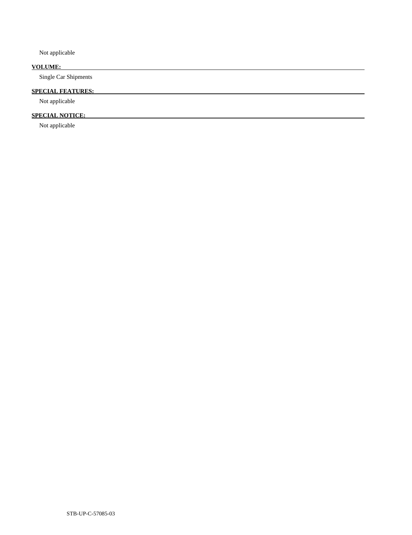Not applicable

## **VOLUME:**

Single Car Shipments

## **SPECIAL FEATURES:**

Not applicable

## **SPECIAL NOTICE:**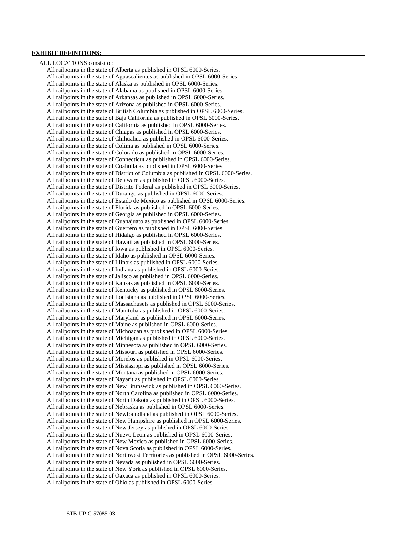## **EXHIBIT DEFINITIONS:**

 ALL LOCATIONS consist of: All railpoints in the state of Alberta as published in OPSL 6000-Series. All railpoints in the state of Aguascalientes as published in OPSL 6000-Series. All railpoints in the state of Alaska as published in OPSL 6000-Series. All railpoints in the state of Alabama as published in OPSL 6000-Series. All railpoints in the state of Arkansas as published in OPSL 6000-Series. All railpoints in the state of Arizona as published in OPSL 6000-Series. All railpoints in the state of British Columbia as published in OPSL 6000-Series. All railpoints in the state of Baja California as published in OPSL 6000-Series. All railpoints in the state of California as published in OPSL 6000-Series. All railpoints in the state of Chiapas as published in OPSL 6000-Series. All railpoints in the state of Chihuahua as published in OPSL 6000-Series. All railpoints in the state of Colima as published in OPSL 6000-Series. All railpoints in the state of Colorado as published in OPSL 6000-Series. All railpoints in the state of Connecticut as published in OPSL 6000-Series. All railpoints in the state of Coahuila as published in OPSL 6000-Series. All railpoints in the state of District of Columbia as published in OPSL 6000-Series. All railpoints in the state of Delaware as published in OPSL 6000-Series. All railpoints in the state of Distrito Federal as published in OPSL 6000-Series. All railpoints in the state of Durango as published in OPSL 6000-Series. All railpoints in the state of Estado de Mexico as published in OPSL 6000-Series. All railpoints in the state of Florida as published in OPSL 6000-Series. All railpoints in the state of Georgia as published in OPSL 6000-Series. All railpoints in the state of Guanajuato as published in OPSL 6000-Series. All railpoints in the state of Guerrero as published in OPSL 6000-Series. All railpoints in the state of Hidalgo as published in OPSL 6000-Series. All railpoints in the state of Hawaii as published in OPSL 6000-Series. All railpoints in the state of Iowa as published in OPSL 6000-Series. All railpoints in the state of Idaho as published in OPSL 6000-Series. All railpoints in the state of Illinois as published in OPSL 6000-Series. All railpoints in the state of Indiana as published in OPSL 6000-Series. All railpoints in the state of Jalisco as published in OPSL 6000-Series. All railpoints in the state of Kansas as published in OPSL 6000-Series. All railpoints in the state of Kentucky as published in OPSL 6000-Series. All railpoints in the state of Louisiana as published in OPSL 6000-Series. All railpoints in the state of Massachusets as published in OPSL 6000-Series. All railpoints in the state of Manitoba as published in OPSL 6000-Series. All railpoints in the state of Maryland as published in OPSL 6000-Series. All railpoints in the state of Maine as published in OPSL 6000-Series. All railpoints in the state of Michoacan as published in OPSL 6000-Series. All railpoints in the state of Michigan as published in OPSL 6000-Series. All railpoints in the state of Minnesota as published in OPSL 6000-Series. All railpoints in the state of Missouri as published in OPSL 6000-Series. All railpoints in the state of Morelos as published in OPSL 6000-Series. All railpoints in the state of Mississippi as published in OPSL 6000-Series. All railpoints in the state of Montana as published in OPSL 6000-Series. All railpoints in the state of Nayarit as published in OPSL 6000-Series. All railpoints in the state of New Brunswick as published in OPSL 6000-Series. All railpoints in the state of North Carolina as published in OPSL 6000-Series. All railpoints in the state of North Dakota as published in OPSL 6000-Series. All railpoints in the state of Nebraska as published in OPSL 6000-Series. All railpoints in the state of Newfoundland as published in OPSL 6000-Series. All railpoints in the state of New Hampshire as published in OPSL 6000-Series. All railpoints in the state of New Jersey as published in OPSL 6000-Series. All railpoints in the state of Nuevo Leon as published in OPSL 6000-Series. All railpoints in the state of New Mexico as published in OPSL 6000-Series. All railpoints in the state of Nova Scotia as published in OPSL 6000-Series. All railpoints in the state of Northwest Territories as published in OPSL 6000-Series. All railpoints in the state of Nevada as published in OPSL 6000-Series. All railpoints in the state of New York as published in OPSL 6000-Series. All railpoints in the state of Oaxaca as published in OPSL 6000-Series. All railpoints in the state of Ohio as published in OPSL 6000-Series.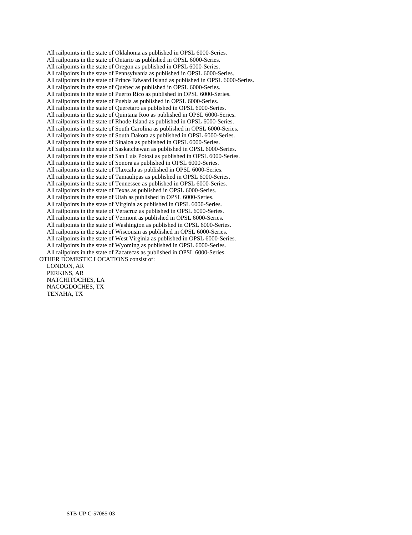All railpoints in the state of Oklahoma as published in OPSL 6000-Series. All railpoints in the state of Ontario as published in OPSL 6000-Series. All railpoints in the state of Oregon as published in OPSL 6000-Series. All railpoints in the state of Pennsylvania as published in OPSL 6000-Series. All railpoints in the state of Prince Edward Island as published in OPSL 6000-Series. All railpoints in the state of Quebec as published in OPSL 6000-Series. All railpoints in the state of Puerto Rico as published in OPSL 6000-Series. All railpoints in the state of Puebla as published in OPSL 6000-Series. All railpoints in the state of Queretaro as published in OPSL 6000-Series. All railpoints in the state of Quintana Roo as published in OPSL 6000-Series. All railpoints in the state of Rhode Island as published in OPSL 6000-Series. All railpoints in the state of South Carolina as published in OPSL 6000-Series. All railpoints in the state of South Dakota as published in OPSL 6000-Series. All railpoints in the state of Sinaloa as published in OPSL 6000-Series. All railpoints in the state of Saskatchewan as published in OPSL 6000-Series. All railpoints in the state of San Luis Potosi as published in OPSL 6000-Series. All railpoints in the state of Sonora as published in OPSL 6000-Series. All railpoints in the state of Tlaxcala as published in OPSL 6000-Series. All railpoints in the state of Tamaulipas as published in OPSL 6000-Series. All railpoints in the state of Tennessee as published in OPSL 6000-Series. All railpoints in the state of Texas as published in OPSL 6000-Series. All railpoints in the state of Utah as published in OPSL 6000-Series. All railpoints in the state of Virginia as published in OPSL 6000-Series. All railpoints in the state of Veracruz as published in OPSL 6000-Series. All railpoints in the state of Vermont as published in OPSL 6000-Series. All railpoints in the state of Washington as published in OPSL 6000-Series. All railpoints in the state of Wisconsin as published in OPSL 6000-Series. All railpoints in the state of West Virginia as published in OPSL 6000-Series. All railpoints in the state of Wyoming as published in OPSL 6000-Series. All railpoints in the state of Zacatecas as published in OPSL 6000-Series. OTHER DOMESTIC LOCATIONS consist of: LONDON, AR

 PERKINS, AR NATCHITOCHES, LA NACOGDOCHES, TX TENAHA, TX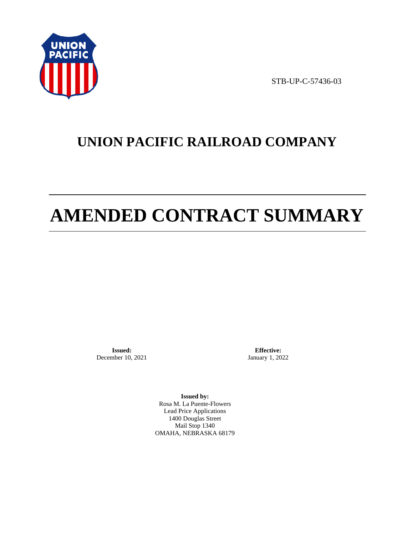

STB-UP-C-57436-03

## **UNION PACIFIC RAILROAD COMPANY**

# **AMENDED CONTRACT SUMMARY**

**Issued:**  December 10, 2021

**Effective:** January 1, 2022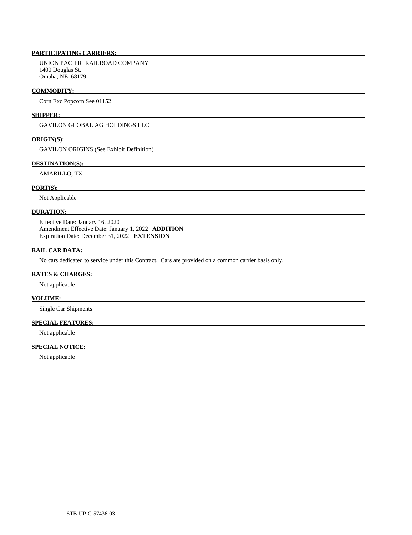UNION PACIFIC RAILROAD COMPANY 1400 Douglas St. Omaha, NE 68179

#### **COMMODITY:**

Corn Exc.Popcorn See 01152

## **SHIPPER:**

GAVILON GLOBAL AG HOLDINGS LLC

#### **ORIGIN(S):**

GAVILON ORIGINS (See Exhibit Definition)

## **DESTINATION(S):**

AMARILLO, TX

## **PORT(S):**

Not Applicable

## **DURATION:**

 Effective Date: January 16, 2020 Amendment Effective Date: January 1, 2022 **ADDITION**  Expiration Date: December 31, 2022 **EXTENSION** 

## **RAIL CAR DATA:**

No cars dedicated to service under this Contract. Cars are provided on a common carrier basis only.

## **RATES & CHARGES:**

Not applicable

## **VOLUME:**

Single Car Shipments

## **SPECIAL FEATURES:**

Not applicable

## **SPECIAL NOTICE:**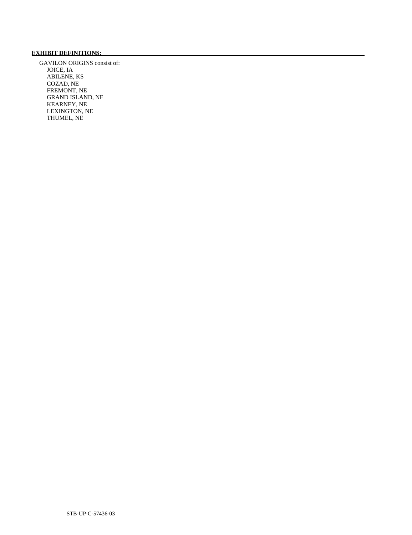## **EXHIBIT DEFINITIONS:**

 GAVILON ORIGINS consist of: JOICE, IA ABILENE, KS COZAD, NE FREMONT, NE GRAND ISLAND, NE KEARNEY, NE LEXINGTON, NE THUMEL, NE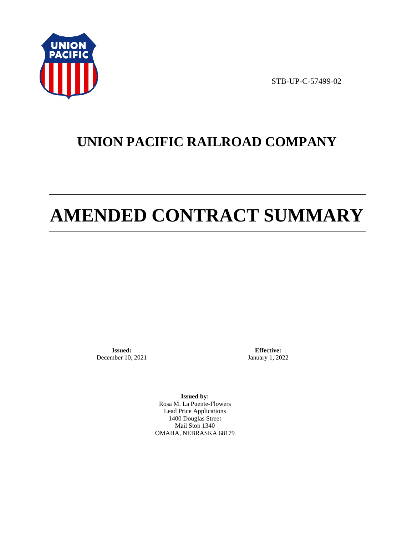

STB-UP-C-57499-02

## **UNION PACIFIC RAILROAD COMPANY**

# **AMENDED CONTRACT SUMMARY**

**Issued:**  December 10, 2021

**Effective:** January 1, 2022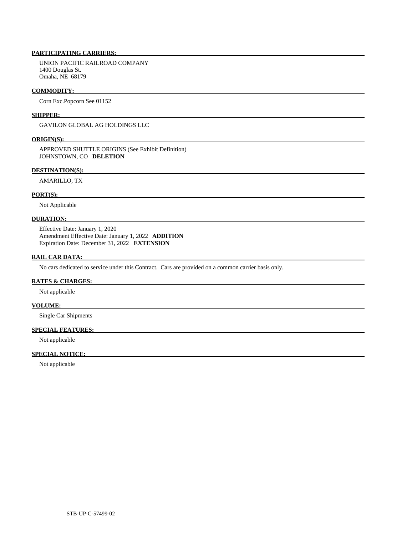UNION PACIFIC RAILROAD COMPANY 1400 Douglas St. Omaha, NE 68179

#### **COMMODITY:**

Corn Exc.Popcorn See 01152

## **SHIPPER:**

GAVILON GLOBAL AG HOLDINGS LLC

### **ORIGIN(S):**

 APPROVED SHUTTLE ORIGINS (See Exhibit Definition) JOHNSTOWN, CO **DELETION** 

## **DESTINATION(S):**

AMARILLO, TX

#### **PORT(S):**

Not Applicable

## **DURATION:**

 Effective Date: January 1, 2020 Amendment Effective Date: January 1, 2022 **ADDITION**  Expiration Date: December 31, 2022 **EXTENSION** 

### **RAIL CAR DATA:**

No cars dedicated to service under this Contract. Cars are provided on a common carrier basis only.

## **RATES & CHARGES:**

Not applicable

## **VOLUME:**

Single Car Shipments

## **SPECIAL FEATURES:**

Not applicable

## **SPECIAL NOTICE:**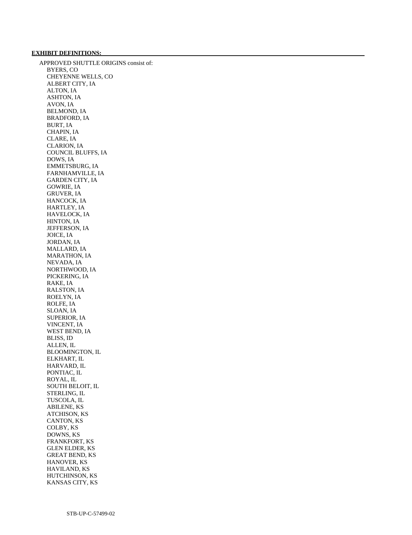## **EXHIBIT DEFINITIONS:**

 APPROVED SHUTTLE ORIGINS consist of: BYERS, CO CHEYENNE WELLS, CO ALBERT CITY, IA ALTON, IA ASHTON, IA AVON, IA BELMOND, IA BRADFORD, IA BURT, IA CHAPIN, IA CLARE, IA CLARION, IA COUNCIL BLUFFS, IA DOWS, IA EMMETSBURG, IA FARNHAMVILLE, IA GARDEN CITY, IA GOWRIE, IA GRUVER, IA HANCOCK, IA HARTLEY, IA HAVELOCK, IA HINTON, IA JEFFERSON, IA JOICE, IA JORDAN, IA MALLARD, IA MARATHON, IA NEVADA, IA NORTHWOOD, IA PICKERING, IA RAKE, IA RALSTON, IA ROELYN, IA ROLFE, IA SLOAN, IA SUPERIOR, IA VINCENT, IA WEST BEND, IA BLISS, ID ALLEN, IL BLOOMINGTON, IL ELKHART, IL HARVARD, IL PONTIAC, IL ROYAL, IL SOUTH BELOIT, IL STERLING, IL TUSCOLA, IL ABILENE, KS ATCHISON, KS CANTON, KS COLBY, KS DOWNS, KS FRANKFORT, KS GLEN ELDER, KS GREAT BEND, KS HANOVER, KS HAVILAND, KS HUTCHINSON, KS KANSAS CITY, KS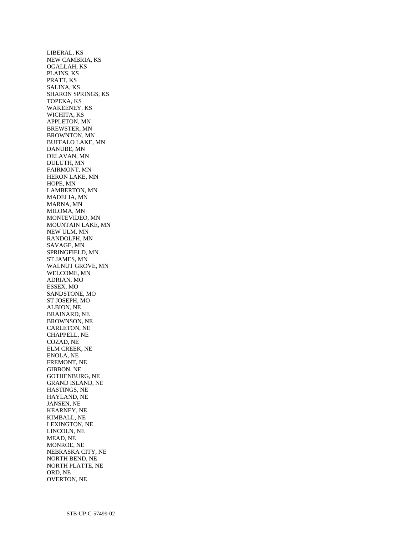LIBERAL, KS NEW CAMBRIA, KS OGALLAH, KS PLAINS, KS PRATT, KS SALINA, KS SHARON SPRINGS, KS TOPEKA, KS WAKEENEY, KS WICHITA, KS APPLETON, MN BREWSTER, MN BROWNTON, MN BUFFALO LAKE, MN DANUBE, MN DELAVAN, MN DULUTH, MN FAIRMONT, MN HERON LAKE, MN HOPE, MN LAMBERTON, MN MADELIA, MN MARNA, MN MILOMA, MN MONTEVIDEO, MN MOUNTAIN LAKE, MN NEW ULM, MN RANDOLPH, MN SAVAGE, MN SPRINGFIELD, MN ST JAMES, MN WALNUT GROVE, MN WELCOME, MN ADRIAN, MO ESSEX, MO SANDSTONE, MO ST JOSEPH, MO ALBION, NE BRAINARD, NE BROWNSON, NE CARLETON, NE CHAPPELL, NE COZAD, NE ELM CREEK, NE ENOLA, NE FREMONT, NE GIBBON, NE GOTHENBURG, NE GRAND ISLAND, NE HASTINGS, NE HAYLAND, NE JANSEN, NE KEARNEY, NE KIMBALL, NE LEXINGTON, NE LINCOLN, NE MEAD, NE MONROE, NE NEBRASKA CITY, NE NORTH BEND, NE NORTH PLATTE, NE ORD, NE OVERTON, NE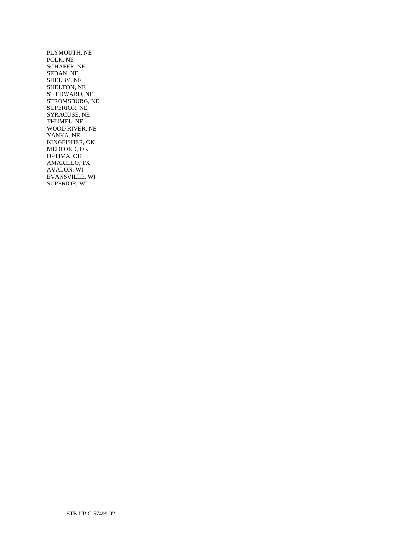PLYMOUTH, NE POLK, NE SCHAFER, NE SEDAN, NE SHELBY, NE SHELTON, NE ST EDWARD, NE STROMSBURG, NE SUPERIOR, NE SYRACUSE, NE THUMEL, NE WOOD RIVER, NE YANKA, NE KINGFISHER, OK MEDFORD, OK OPTIMA, OK AMARILLO, TX AVALON, WI EVANSVILLE, WI SUPERIOR, WI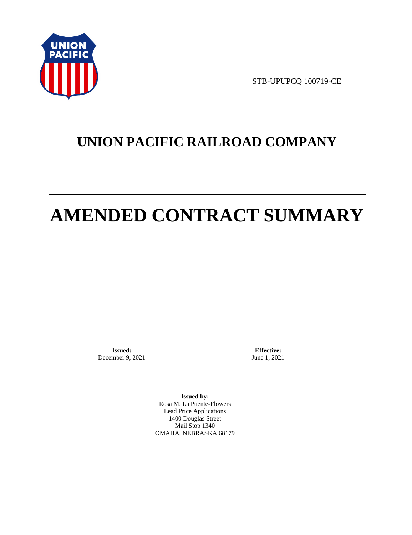

STB-UPUPCQ 100719-CE

## **UNION PACIFIC RAILROAD COMPANY**

# **AMENDED CONTRACT SUMMARY**

**Issued:**  December 9, 2021

**Effective:** June 1, 2021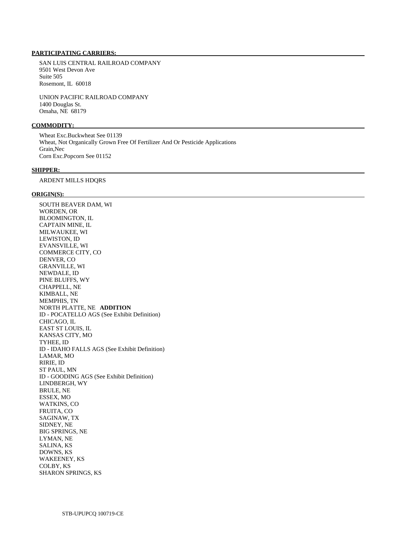SAN LUIS CENTRAL RAILROAD COMPANY 9501 West Devon Ave Suite 505 Rosemont, IL 60018

 UNION PACIFIC RAILROAD COMPANY 1400 Douglas St. Omaha, NE 68179

## **COMMODITY:**

 Wheat Exc.Buckwheat See 01139 Wheat, Not Organically Grown Free Of Fertilizer And Or Pesticide Applications Grain,Nec Corn Exc.Popcorn See 01152

## **SHIPPER:**

ARDENT MILLS HDQRS

#### **ORIGIN(S):**

 SOUTH BEAVER DAM, WI WORDEN, OR BLOOMINGTON, IL CAPTAIN MINE, IL MILWAUKEE, WI LEWISTON, ID EVANSVILLE, WI COMMERCE CITY, CO DENVER, CO GRANVILLE, WI NEWDALE, ID PINE BLUFFS, WY CHAPPELL, NE KIMBALL, NE MEMPHIS, TN NORTH PLATTE, NE **ADDITION**  ID - POCATELLO AGS (See Exhibit Definition) CHICAGO, IL EAST ST LOUIS, IL KANSAS CITY, MO TYHEE, ID ID - IDAHO FALLS AGS (See Exhibit Definition) LAMAR, MO RIRIE, ID ST PAUL, MN ID - GOODING AGS (See Exhibit Definition) LINDBERGH, WY BRULE, NE ESSEX, MO WATKINS, CO FRUITA, CO SAGINAW, TX SIDNEY, NE BIG SPRINGS, NE LYMAN, NE SALINA, KS DOWNS, KS WAKEENEY, KS COLBY, KS SHARON SPRINGS, KS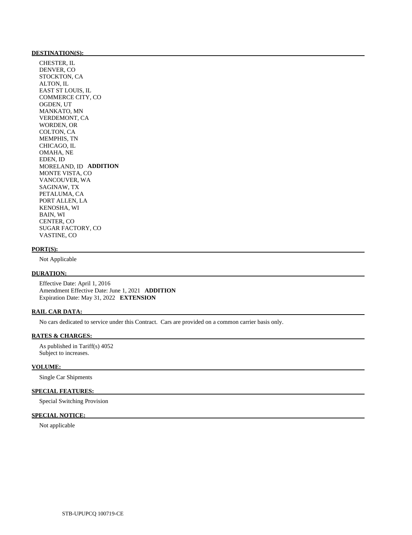#### **DESTINATION(S):**

 CHESTER, IL DENVER, CO STOCKTON, CA ALTON, IL EAST ST LOUIS, IL COMMERCE CITY, CO OGDEN, UT MANKATO, MN VERDEMONT, CA WORDEN, OR COLTON, CA MEMPHIS, TN CHICAGO, IL OMAHA, NE EDEN, ID MORELAND, ID **ADDITION**  MONTE VISTA, CO VANCOUVER, WA SAGINAW, TX PETALUMA, CA PORT ALLEN, LA KENOSHA, WI BAIN, WI CENTER, CO SUGAR FACTORY, CO VASTINE, CO

#### **PORT(S):**

Not Applicable

## **DURATION:**

 Effective Date: April 1, 2016 Amendment Effective Date: June 1, 2021 **ADDITION**  Expiration Date: May 31, 2022 **EXTENSION** 

### **RAIL CAR DATA:**

No cars dedicated to service under this Contract. Cars are provided on a common carrier basis only.

## **RATES & CHARGES:**

 As published in Tariff(s) 4052 Subject to increases.

#### **VOLUME:**

Single Car Shipments

## **SPECIAL FEATURES:**

Special Switching Provision

## **SPECIAL NOTICE:**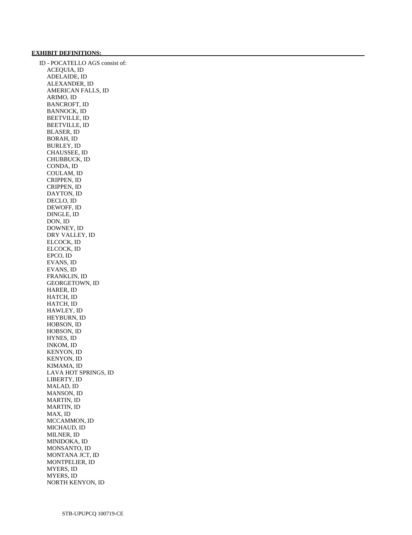## **EXHIBIT DEFINITIONS:**

 ID - POCATELLO AGS consist of: ACEQUIA, ID ADELAIDE, ID ALEXANDER, ID AMERICAN FALLS, ID ARIMO, ID BANCROFT, ID BANNOCK, ID BEETVILLE, ID BEETVILLE, ID BLASER, ID BORAH, ID BURLEY, ID CHAUSSEE, ID CHUBBUCK, ID CONDA, ID COULAM, ID CRIPPEN, ID CRIPPEN, ID DAYTON, ID DECLO, ID DEWOFF, ID DINGLE, ID DON, ID DOWNEY, ID DRY VALLEY, ID ELCOCK, ID ELCOCK, ID EPCO, ID EVANS, ID EVANS, ID FRANKLIN, ID GEORGETOWN, ID HARER, ID HATCH, ID HATCH, ID HAWLEY, ID HEYBURN, ID HOBSON, ID HOBSON, ID HYNES, ID INKOM, ID KENYON, ID KENYON, ID KIMAMA, ID LAVA HOT SPRINGS, ID LIBERTY, ID MALAD, ID MANSON, ID MARTIN, ID MARTIN, ID MAX, ID MCCAMMON, ID MICHAUD, ID MILNER, ID MINIDOKA, ID MONSANTO, ID MONTANA JCT, ID MONTPELIER, ID MYERS, ID MYERS, ID NORTH KENYON, ID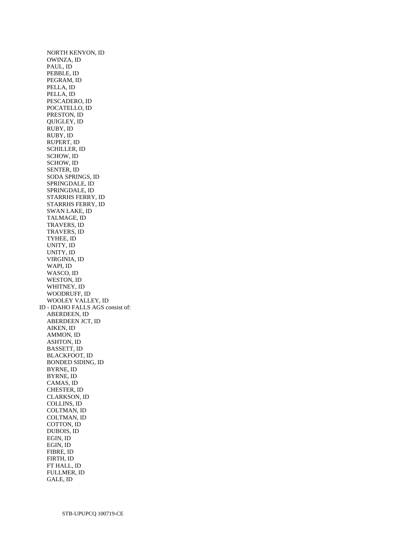NORTH KENYON, ID OWINZA, ID PAUL, ID PEBBLE, ID PEGRAM, ID PELLA, ID PELLA, ID PESCADERO, ID POCATELLO, ID PRESTON, ID QUIGLEY, ID RUBY, ID RUBY, ID RUPERT, ID SCHILLER, ID SCHOW, ID SCHOW, ID SENTER, ID SODA SPRINGS, ID SPRINGDALE, ID SPRINGDALE, ID STARRHS FERRY, ID STARRHS FERRY, ID SWAN LAKE, ID TALMAGE, ID TRAVERS, ID TRAVERS, ID TYHEE, ID UNITY, ID UNITY, ID VIRGINIA, ID WAPI, ID WASCO, ID WESTON, ID WHITNEY, ID WOODRUFF, ID WOOLEY VALLEY, ID ID - IDAHO FALLS AGS consist of: ABERDEEN, ID ABERDEEN JCT, ID AIKEN, ID AMMON, ID ASHTON, ID BASSETT, ID BLACKFOOT, ID BONDED SIDING, ID BYRNE, ID BYRNE, ID CAMAS, ID CHESTER, ID CLARKSON, ID COLLINS, ID COLTMAN, ID COLTMAN, ID COTTON, ID DUBOIS, ID EGIN, ID EGIN, ID FIBRE, ID FIRTH, ID FT HALL, ID FULLMER, ID GALE, ID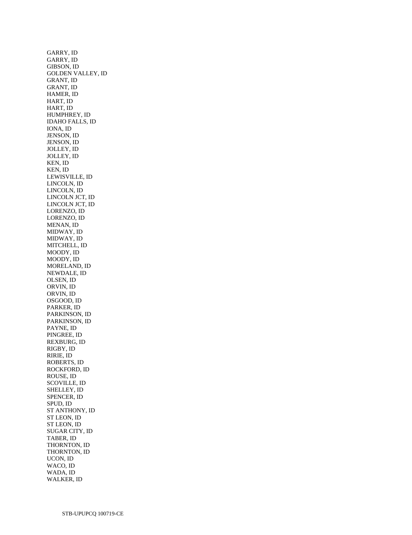GARRY, ID GARRY, ID GIBSON, ID GOLDEN VALLEY, ID GRANT, ID GRANT, ID HAMER, ID HART, ID HART, ID HUMPHREY, ID IDAHO FALLS, ID IONA, ID JENSON, ID JENSON, ID JOLLEY, ID JOLLEY, ID KEN, ID KEN, ID LEWISVILLE, ID LINCOLN, ID LINCOLN, ID LINCOLN JCT, ID LINCOLN JCT, ID LORENZO, ID LORENZO, ID MENAN, ID MIDWAY, ID MIDWAY, ID MITCHELL, ID MOODY, ID MOODY, ID MORELAND, ID NEWDALE, ID OLSEN, ID ORVIN, ID ORVIN, ID OSGOOD, ID PARKER, ID PARKINSON, ID PARKINSON, ID PAYNE, ID PINGREE, ID REXBURG, ID RIGBY, ID RIRIE, ID ROBERTS, ID ROCKFORD, ID ROUSE, ID SCOVILLE, ID SHELLEY, ID SPENCER, ID SPUD, ID ST ANTHONY, ID ST LEON, ID ST LEON, ID SUGAR CITY, ID TABER, ID THORNTON, ID THORNTON, ID UCON, ID WACO, ID WADA, ID WALKER, ID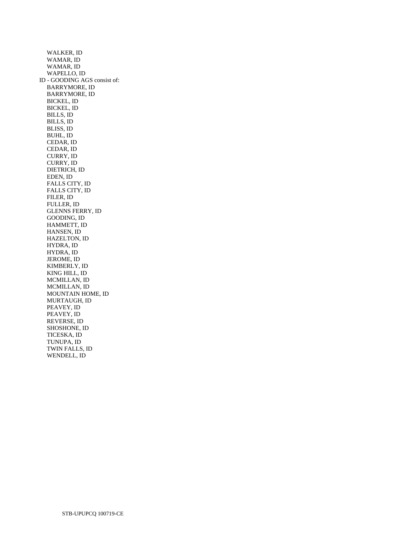WALKER, ID WAMAR, ID WAMAR, ID WAPELLO, ID ID - GOODING AGS consist of: BARRYMORE, ID BARRYMORE, ID BICKEL, ID BICKEL, ID BILLS, ID BILLS, ID BLISS, ID BUHL, ID CEDAR, ID CEDAR, ID CURRY, ID CURRY, ID DIETRICH, ID EDEN, ID FALLS CITY, ID FALLS CITY, ID FILER, ID FULLER, ID GLENNS FERRY, ID GOODING, ID HAMMETT, ID HANSEN, ID HAZELTON, ID HYDRA, ID HYDRA, ID JEROME, ID KIMBERLY, ID KING HILL, ID MCMILLAN, ID MCMILLAN, ID MOUNTAIN HOME, ID MURTAUGH, ID PEAVEY, ID PEAVEY, ID REVERSE, ID SHOSHONE, ID TICESKA, ID TUNUPA, ID TWIN FALLS, ID WENDELL, ID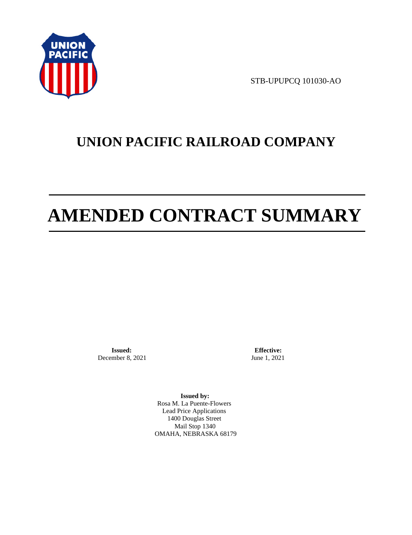

STB-UPUPCQ 101030-AO

## **UNION PACIFIC RAILROAD COMPANY**

# **AMENDED CONTRACT SUMMARY**

**Issued:**  December 8, 2021

**Effective:** June 1, 2021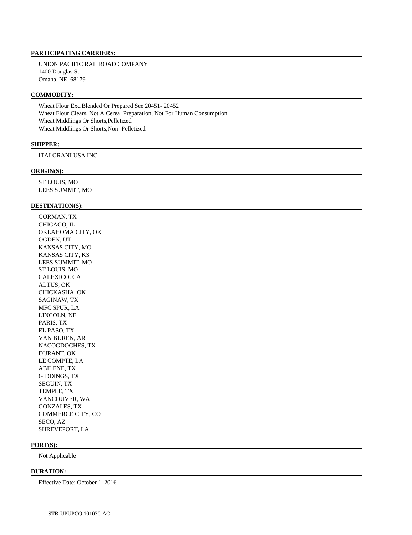UNION PACIFIC RAILROAD COMPANY 1400 Douglas St. Omaha, NE 68179

## **COMMODITY:**

 Wheat Flour Exc.Blended Or Prepared See 20451- 20452 Wheat Flour Clears, Not A Cereal Preparation, Not For Human Consumption Wheat Middlings Or Shorts,Pelletized Wheat Middlings Or Shorts,Non- Pelletized

### **SHIPPER:**

ITALGRANI USA INC

### **ORIGIN(S):**

 ST LOUIS, MO LEES SUMMIT, MO

## **DESTINATION(S):**

 GORMAN, TX CHICAGO, IL OKLAHOMA CITY, OK OGDEN, UT KANSAS CITY, MO KANSAS CITY, KS LEES SUMMIT, MO ST LOUIS, MO CALEXICO, CA ALTUS, OK CHICKASHA, OK SAGINAW, TX MFC SPUR, LA LINCOLN, NE PARIS, TX EL PASO, TX VAN BUREN, AR NACOGDOCHES, TX DURANT, OK LE COMPTE, LA ABILENE, TX GIDDINGS, TX SEGUIN, TX TEMPLE, TX VANCOUVER, WA GONZALES, TX COMMERCE CITY, CO SECO, AZ SHREVEPORT, LA

#### **PORT(S):**

Not Applicable

## **DURATION:**

Effective Date: October 1, 2016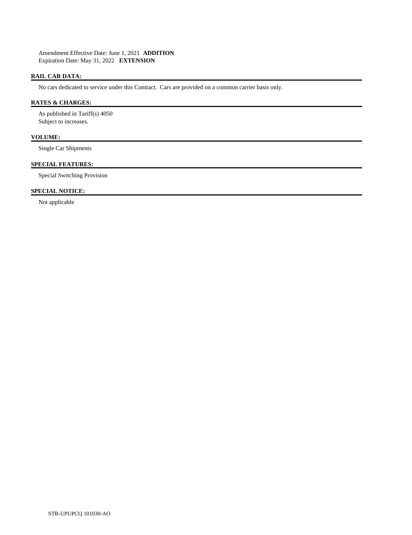Amendment Effective Date: June 1, 2021 **ADDITION**  Expiration Date: May 31, 2022 **EXTENSION** 

## **RAIL CAR DATA:**

No cars dedicated to service under this Contract. Cars are provided on a common carrier basis only.

## **RATES & CHARGES:**

 As published in Tariff(s) 4050 Subject to increases.

## **VOLUME:**

Single Car Shipments

## **SPECIAL FEATURES:**

Special Switching Provision

## **SPECIAL NOTICE:**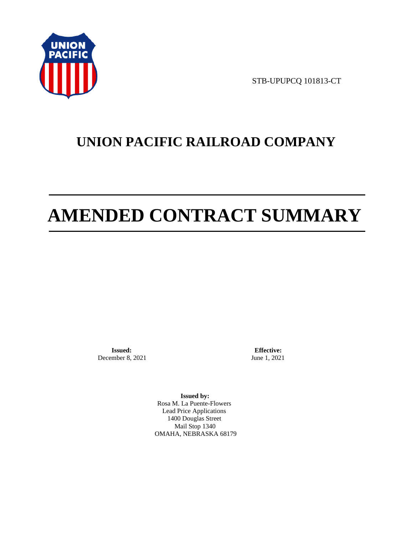

STB-UPUPCQ 101813-CT

## **UNION PACIFIC RAILROAD COMPANY**

# **AMENDED CONTRACT SUMMARY**

**Issued:**  December 8, 2021

**Effective:** June 1, 2021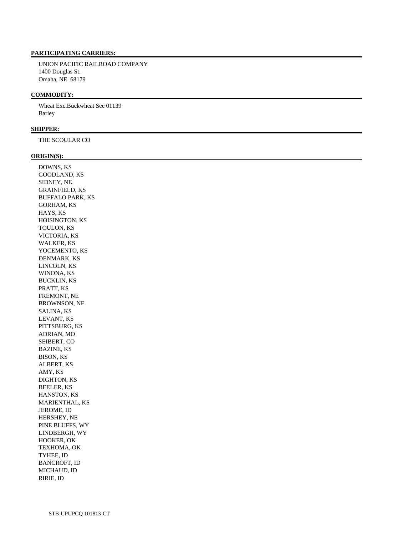UNION PACIFIC RAILROAD COMPANY 1400 Douglas St. Omaha, NE 68179

## **COMMODITY:**

 Wheat Exc.Buckwheat See 01139 Barley

## **SHIPPER:**

THE SCOULAR CO

#### **ORIGIN(S):**

 DOWNS, KS GOODLAND, KS SIDNEY, NE GRAINFIELD, KS BUFFALO PARK, KS GORHAM, KS HAYS, KS HOISINGTON, KS TOULON, KS VICTORIA, KS WALKER, KS YOCEMENTO, KS DENMARK, KS LINCOLN, KS WINONA, KS BUCKLIN, KS PRATT, KS FREMONT, NE BROWNSON, NE SALINA, KS LEVANT, KS PITTSBURG, KS ADRIAN, MO SEIBERT, CO BAZINE, KS BISON, KS ALBERT, KS AMY, KS DIGHTON, KS BEELER, KS HANSTON, KS MARIENTHAL, KS JEROME, ID HERSHEY, NE PINE BLUFFS, WY LINDBERGH, WY HOOKER, OK TEXHOMA, OK TYHEE, ID BANCROFT, ID MICHAUD, ID RIRIE, ID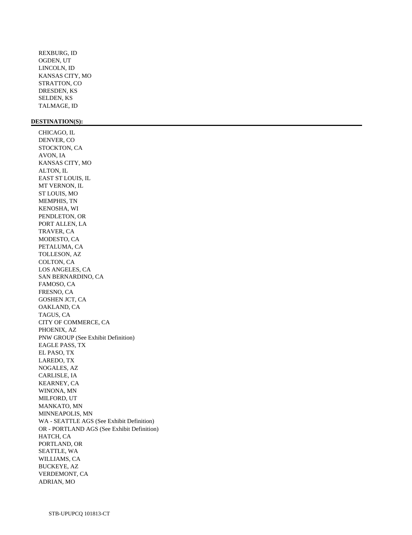REXBURG, ID OGDEN, UT LINCOLN, ID KANSAS CITY, MO STRATTON, CO DRESDEN, KS SELDEN, KS TALMAGE, ID

## **DESTINATION(S):**

 CHICAGO, IL DENVER, CO STOCKTON, CA AVON, IA KANSAS CITY, MO ALTON, IL EAST ST LOUIS, IL MT VERNON, IL ST LOUIS, MO MEMPHIS, TN KENOSHA, WI PENDLETON, OR PORT ALLEN, LA TRAVER, CA MODESTO, CA PETALUMA, CA TOLLESON, AZ COLTON, CA LOS ANGELES, CA SAN BERNARDINO, CA FAMOSO, CA FRESNO, CA GOSHEN JCT, CA OAKLAND, CA TAGUS, CA CITY OF COMMERCE, CA PHOENIX, AZ PNW GROUP (See Exhibit Definition) EAGLE PASS, TX EL PASO, TX LAREDO, TX NOGALES, AZ CARLISLE, IA KEARNEY, CA WINONA, MN MILFORD, UT MANKATO, MN MINNEAPOLIS, MN WA - SEATTLE AGS (See Exhibit Definition) OR - PORTLAND AGS (See Exhibit Definition) HATCH, CA PORTLAND, OR SEATTLE, WA WILLIAMS, CA BUCKEYE, AZ VERDEMONT, CA ADRIAN, MO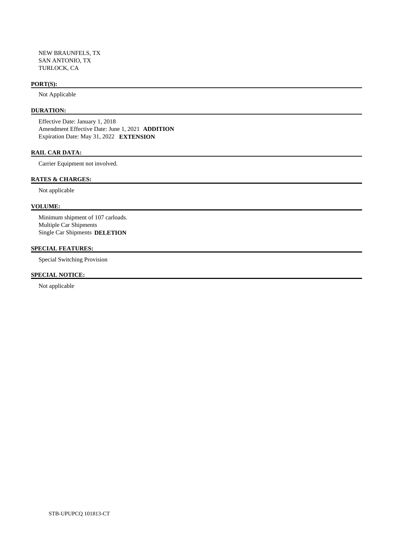NEW BRAUNFELS, TX SAN ANTONIO, TX TURLOCK, CA

#### **PORT(S):**

Not Applicable

# **DURATION:**

 Effective Date: January 1, 2018 Amendment Effective Date: June 1, 2021 **ADDITION**  Expiration Date: May 31, 2022 **EXTENSION** 

#### **RAIL CAR DATA:**

Carrier Equipment not involved.

#### **RATES & CHARGES:**

Not applicable

# **VOLUME:**

 Minimum shipment of 107 carloads. Multiple Car Shipments Single Car Shipments **DELETION** 

# **SPECIAL FEATURES:**

Special Switching Provision

#### **SPECIAL NOTICE:**

Not applicable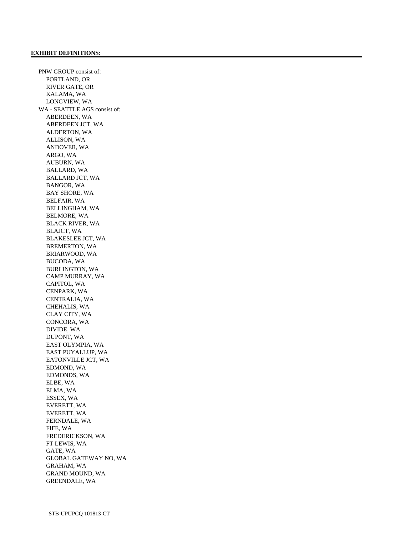PNW GROUP consist of: PORTLAND, OR RIVER GATE, OR KALAMA, WA LONGVIEW, WA WA - SEATTLE AGS consist of: ABERDEEN, WA ABERDEEN JCT, WA ALDERTON, WA ALLISON, WA ANDOVER, WA ARGO, WA AUBURN, WA BALLARD, WA BALLARD JCT, WA BANGOR, WA BAY SHORE, WA BELFAIR, WA BELLINGHAM, WA BELMORE, WA BLACK RIVER, WA BLAJCT, WA BLAKESLEE JCT, WA BREMERTON, WA BRIARWOOD, WA BUCODA, WA BURLINGTON, WA CAMP MURRAY, WA CAPITOL, WA CENPARK, WA CENTRALIA, WA CHEHALIS, WA CLAY CITY, WA CONCORA, WA DIVIDE, WA DUPONT, WA EAST OLYMPIA, WA EAST PUYALLUP, WA EATONVILLE JCT, WA EDMOND, WA EDMONDS, WA ELBE, WA ELMA, WA ESSEX, WA EVERETT, WA EVERETT, WA FERNDALE, WA FIFE, WA FREDERICKSON, WA FT LEWIS, WA GATE, WA GLOBAL GATEWAY NO, WA GRAHAM, WA GRAND MOUND, WA GREENDALE, WA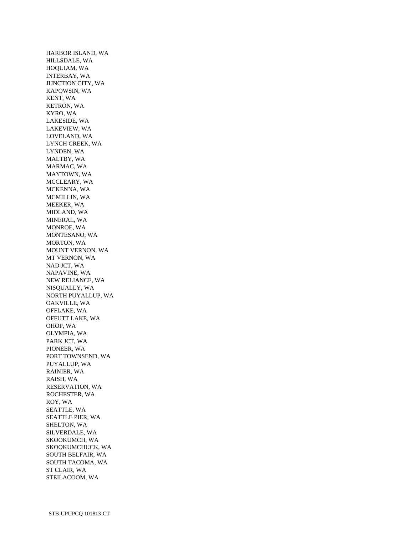HARBOR ISLAND, WA HILLSDALE, WA HOQUIAM, WA INTERBAY, WA JUNCTION CITY, WA KAPOWSIN, WA KENT, WA KETRON, WA KYRO, WA LAKESIDE, WA LAKEVIEW, WA LOVELAND, WA LYNCH CREEK, WA LYNDEN, WA MALTBY, WA MARMAC, WA MAYTOWN, WA MCCLEARY, WA MCKENNA, WA MCMILLIN, WA MEEKER, WA MIDLAND, WA MINERAL, WA MONROE, WA MONTESANO, WA MORTON, WA MOUNT VERNON, WA MT VERNON, WA NAD JCT, WA NAPAVINE, WA NEW RELIANCE, WA NISQUALLY, WA NORTH PUYALLUP, WA OAKVILLE, WA OFFLAKE, WA OFFUTT LAKE, WA OHOP, WA OLYMPIA, WA PARK JCT, WA PIONEER, WA PORT TOWNSEND, WA PUYALLUP, WA RAINIER, WA RAISH, WA RESERVATION, WA ROCHESTER, WA ROY, WA SEATTLE, WA SEATTLE PIER, WA SHELTON, WA SILVERDALE, WA SKOOKUMCH, WA SKOOKUMCHUCK, WA SOUTH BELFAIR, WA SOUTH TACOMA, WA ST CLAIR, WA STEILACOOM, WA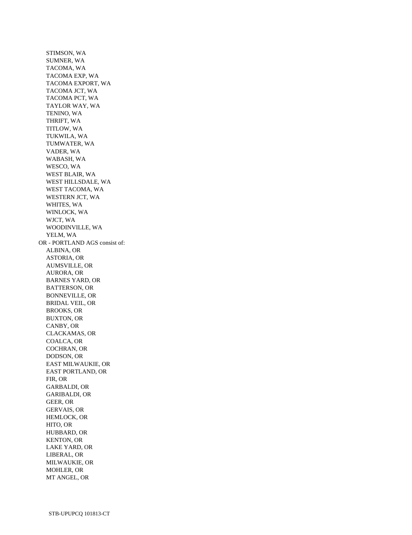STIMSON, WA SUMNER, WA TACOMA, WA TACOMA EXP, WA TACOMA EXPORT, WA TACOMA JCT, WA TACOMA PCT, WA TAYLOR WAY, WA TENINO, WA THRIFT, WA TITLOW, WA TUKWILA, WA TUMWATER, WA VADER, WA WABASH, WA WESCO, WA WEST BLAIR, WA WEST HILLSDALE, WA WEST TACOMA, WA WESTERN JCT, WA WHITES, WA WINLOCK, WA WJCT, WA WOODINVILLE, WA YELM, WA OR - PORTLAND AGS consist of: ALBINA, OR ASTORIA, OR AUMSVILLE, OR AURORA, OR BARNES YARD, OR BATTERSON, OR BONNEVILLE, OR BRIDAL VEIL, OR BROOKS, OR BUXTON, OR CANBY, OR CLACKAMAS, OR COALCA, OR COCHRAN, OR DODSON, OR EAST MILWAUKIE, OR EAST PORTLAND, OR FIR, OR GARBALDI, OR GARIBALDI, OR GEER, OR GERVAIS, OR HEMLOCK, OR HITO, OR HUBBARD, OR KENTON, OR LAKE YARD, OR LIBERAL, OR MILWAUKIE, OR MOHLER, OR MT ANGEL, OR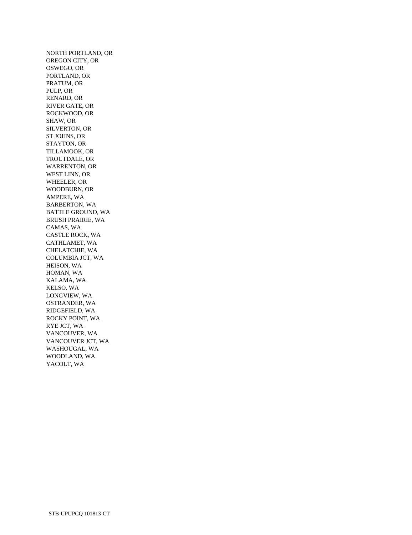NORTH PORTLAND, OR OREGON CITY, OR OSWEGO, OR PORTLAND, OR PRATUM, OR PULP, OR RENARD, OR RIVER GATE, OR ROCKWOOD, OR SHAW, OR SILVERTON, OR ST JOHNS, OR STAYTON, OR TILLAMOOK, OR TROUTDALE, OR WARRENTON, OR WEST LINN, OR WHEELER, OR WOODBURN, OR AMPERE, WA BARBERTON, WA BATTLE GROUND, WA BRUSH PRAIRIE, WA CAMAS, WA CASTLE ROCK, WA CATHLAMET, WA CHELATCHIE, WA COLUMBIA JCT, WA HEISON, WA HOMAN, WA KALAMA, WA KELSO, WA LONGVIEW, WA OSTRANDER, WA RIDGEFIELD, WA ROCKY POINT, WA RYE JCT, WA VANCOUVER, WA VANCOUVER JCT, WA WASHOUGAL, WA WOODLAND, WA YACOLT, WA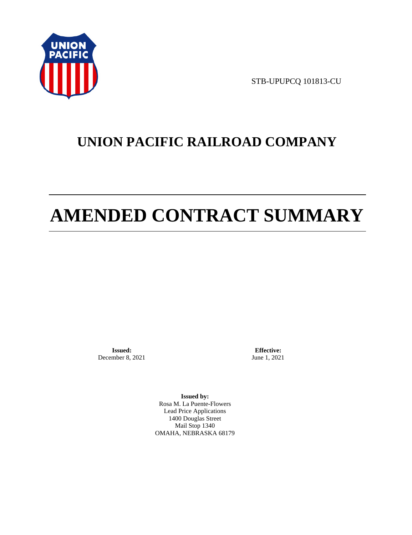

STB-UPUPCQ 101813-CU

# **UNION PACIFIC RAILROAD COMPANY**

# **AMENDED CONTRACT SUMMARY**

**Issued:**  December 8, 2021

**Effective:** June 1, 2021

**Issued by:**  Rosa M. La Puente-Flowers Lead Price Applications 1400 Douglas Street Mail Stop 1340 OMAHA, NEBRASKA 68179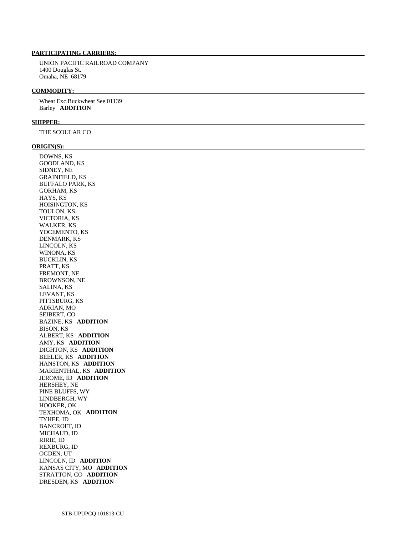### **PARTICIPATING CARRIERS:**

 UNION PACIFIC RAILROAD COMPANY 1400 Douglas St. Omaha, NE 68179

#### **COMMODITY:**

 Wheat Exc.Buckwheat See 01139 Barley **ADDITION** 

#### **SHIPPER:**

THE SCOULAR CO

#### **ORIGIN(S):**

 DOWNS, KS GOODLAND, KS SIDNEY, NE GRAINFIELD, KS BUFFALO PARK, KS GORHAM, KS HAYS, KS HOISINGTON, KS TOULON, KS VICTORIA, KS WALKER, KS YOCEMENTO, KS DENMARK, KS LINCOLN, KS WINONA, KS BUCKLIN, KS PRATT, KS FREMONT, NE BROWNSON, NE SALINA, KS LEVANT, KS PITTSBURG, KS ADRIAN, MO SEIBERT, CO BAZINE, KS **ADDITION**  BISON, KS ALBERT, KS **ADDITION**  AMY, KS **ADDITION**  DIGHTON, KS **ADDITION**  BEELER, KS **ADDITION**  HANSTON, KS **ADDITION**  MARIENTHAL, KS **ADDITION**  JEROME, ID **ADDITION**  HERSHEY, NE PINE BLUFFS, WY LINDBERGH, WY HOOKER, OK TEXHOMA, OK **ADDITION**  TYHEE, ID BANCROFT, ID MICHAUD, ID RIRIE, ID REXBURG, ID OGDEN, UT LINCOLN, ID **ADDITION**  KANSAS CITY, MO **ADDITION**  STRATTON, CO **ADDITION**  DRESDEN, KS **ADDITION**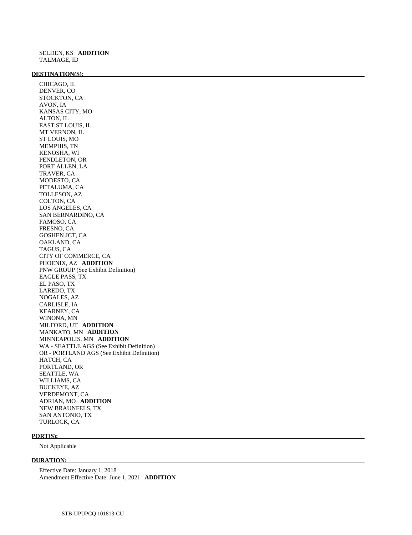#### **DESTINATION(S):**

 CHICAGO, IL DENVER, CO STOCKTON, CA AVON, IA KANSAS CITY, MO ALTON, IL EAST ST LOUIS, IL MT VERNON, IL ST LOUIS, MO MEMPHIS, TN KENOSHA, WI PENDLETON, OR PORT ALLEN, LA TRAVER, CA MODESTO, CA PETALUMA, CA TOLLESON, AZ COLTON, CA LOS ANGELES, CA SAN BERNARDINO, CA FAMOSO, CA FRESNO, CA GOSHEN JCT, CA OAKLAND, CA TAGUS, CA CITY OF COMMERCE, CA PHOENIX, AZ **ADDITION**  PNW GROUP (See Exhibit Definition) EAGLE PASS, TX EL PASO, TX LAREDO, TX NOGALES, AZ CARLISLE, IA KEARNEY, CA WINONA, MN MILFORD, UT **ADDITION**  MANKATO, MN **ADDITION**  MINNEAPOLIS, MN **ADDITION**  WA - SEATTLE AGS (See Exhibit Definition) OR - PORTLAND AGS (See Exhibit Definition) HATCH, CA PORTLAND, OR SEATTLE, WA WILLIAMS, CA BUCKEYE, AZ VERDEMONT, CA ADRIAN, MO **ADDITION**  NEW BRAUNFELS, TX SAN ANTONIO, TX TURLOCK, CA

#### **PORT(S):**

Not Applicable

### **DURATION:**

 Effective Date: January 1, 2018 Amendment Effective Date: June 1, 2021 **ADDITION**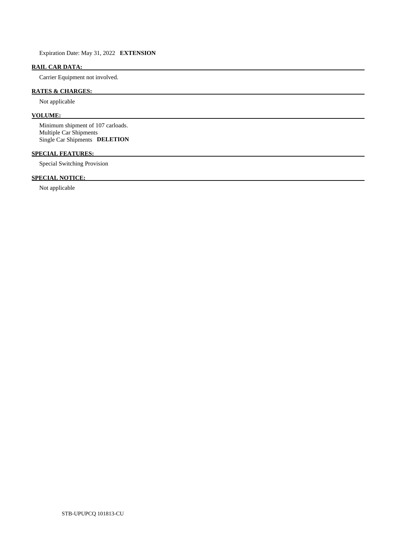Expiration Date: May 31, 2022 **EXTENSION** 

# **RAIL CAR DATA:**

Carrier Equipment not involved.

# **RATES & CHARGES:**

Not applicable

## **VOLUME:**

 Minimum shipment of 107 carloads. Multiple Car Shipments Single Car Shipments **DELETION** 

#### **SPECIAL FEATURES:**

Special Switching Provision

# **SPECIAL NOTICE:**

Not applicable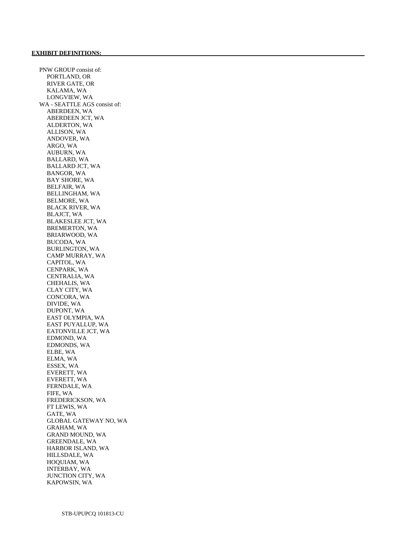PNW GROUP consist of: PORTLAND, OR RIVER GATE, OR KALAMA, WA LONGVIEW, WA WA - SEATTLE AGS consist of: ABERDEEN, WA ABERDEEN JCT, WA ALDERTON, WA ALLISON, WA ANDOVER, WA ARGO, WA AUBURN, WA BALLARD, WA BALLARD JCT, WA BANGOR, WA BAY SHORE, WA BELFAIR, WA BELLINGHAM, WA BELMORE, WA BLACK RIVER, WA BLAJCT, WA BLAKESLEE JCT, WA BREMERTON, WA BRIARWOOD, WA BUCODA, WA BURLINGTON, WA CAMP MURRAY, WA CAPITOL, WA CENPARK, WA CENTRALIA, WA CHEHALIS, WA CLAY CITY, WA CONCORA, WA DIVIDE, WA DUPONT, WA EAST OLYMPIA, WA EAST PUYALLUP, WA EATONVILLE JCT, WA EDMOND, WA EDMONDS, WA ELBE, WA ELMA, WA ESSEX, WA EVERETT, WA EVERETT, WA FERNDALE, WA FIFE, WA FREDERICKSON, WA FT LEWIS, WA GATE, WA GLOBAL GATEWAY NO, WA GRAHAM, WA GRAND MOUND, WA GREENDALE, WA HARBOR ISLAND, WA HILLSDALE, WA HOQUIAM, WA INTERBAY, WA JUNCTION CITY, WA KAPOWSIN, WA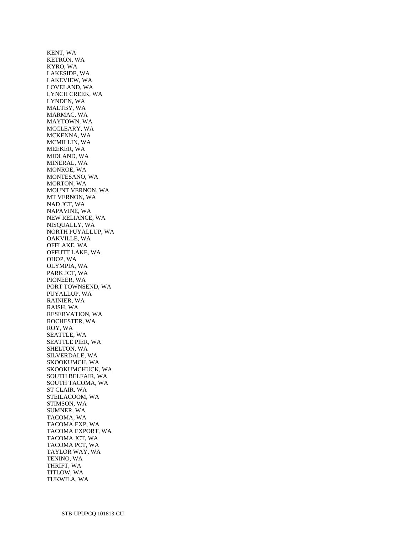KENT, WA KETRON, WA KYRO, WA LAKESIDE, WA LAKEVIEW, WA LOVELAND, WA LYNCH CREEK, WA LYNDEN, WA MALTBY, WA MARMAC, WA MAYTOWN, WA MCCLEARY, WA MCKENNA, WA MCMILLIN, WA MEEKER, WA MIDLAND, WA MINERAL, WA MONROE, WA MONTESANO, WA MORTON, WA MOUNT VERNON, WA MT VERNON, WA NAD JCT, WA NAPAVINE, WA NEW RELIANCE, WA NISQUALLY, WA NORTH PUYALLUP, WA OAKVILLE, WA OFFLAKE, WA OFFUTT LAKE, WA OHOP, WA OLYMPIA, WA PARK JCT, WA PIONEER, WA PORT TOWNSEND, WA PUYALLUP, WA RAINIER, WA RAISH, WA RESERVATION, WA ROCHESTER, WA ROY, WA SEATTLE, WA SEATTLE PIER, WA SHELTON, WA SILVERDALE, WA SKOOKUMCH, WA SKOOKUMCHUCK, WA SOUTH BELFAIR, WA SOUTH TACOMA, WA ST CLAIR, WA STEILACOOM, WA STIMSON, WA SUMNER, WA TACOMA, WA TACOMA EXP, WA TACOMA EXPORT, WA TACOMA JCT, WA TACOMA PCT, WA TAYLOR WAY, WA TENINO, WA THRIFT, WA TITLOW, WA TUKWILA, WA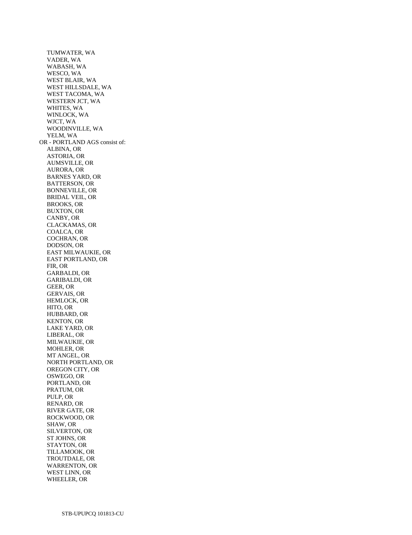TUMWATER, WA VADER, WA WABASH, WA WESCO, WA WEST BLAIR, WA WEST HILLSDALE, WA WEST TACOMA, WA WESTERN JCT, WA WHITES, WA WINLOCK, WA WJCT, WA WOODINVILLE, WA YELM, WA OR - PORTLAND AGS consist of: ALBINA, OR ASTORIA, OR AUMSVILLE, OR AURORA, OR BARNES YARD, OR BATTERSON, OR BONNEVILLE, OR BRIDAL VEIL, OR BROOKS, OR BUXTON, OR CANBY, OR CLACKAMAS, OR COALCA, OR COCHRAN, OR DODSON, OR EAST MILWAUKIE, OR EAST PORTLAND, OR FIR, OR GARBALDI, OR GARIBALDI, OR GEER, OR GERVAIS, OR HEMLOCK, OR HITO, OR HUBBARD, OR KENTON, OR LAKE YARD, OR LIBERAL, OR MILWAUKIE, OR MOHLER, OR MT ANGEL, OR NORTH PORTLAND, OR OREGON CITY, OR OSWEGO, OR PORTLAND, OR PRATUM, OR PULP, OR RENARD, OR RIVER GATE, OR ROCKWOOD, OR SHAW, OR SILVERTON, OR ST JOHNS, OR STAYTON, OR TILLAMOOK, OR TROUTDALE, OR WARRENTON, OR WEST LINN, OR WHEELER, OR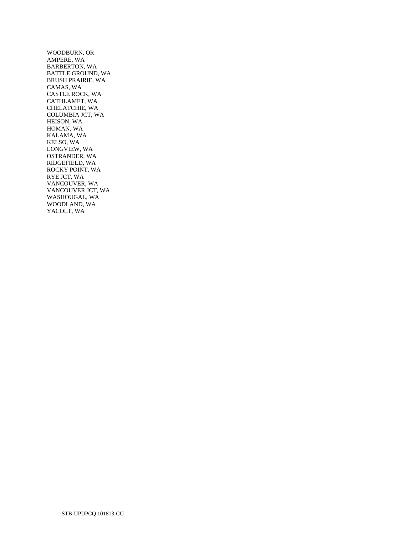WOODBURN, OR AMPERE, WA BARBERTON, WA BATTLE GROUND, WA BRUSH PRAIRIE, WA CAMAS, WA CASTLE ROCK, WA CATHLAMET, WA CHELATCHIE, WA COLUMBIA JCT, WA HEISON, WA HOMAN, WA KALAMA, WA KELSO, WA LONGVIEW, WA OSTRANDER, WA RIDGEFIELD, WA ROCKY POINT, WA RYE JCT, WA VANCOUVER, WA VANCOUVER JCT, WA WASHOUGAL, WA WOODLAND, WA YACOLT, WA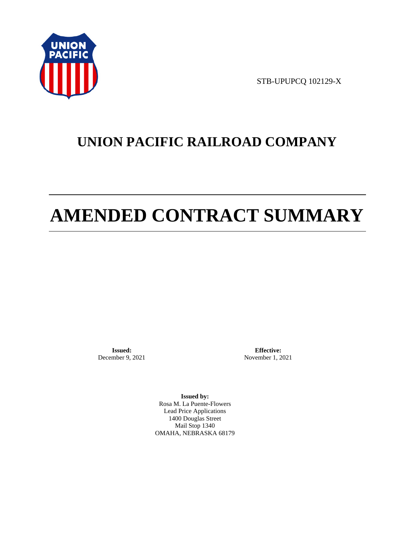

STB-UPUPCQ 102129-X

# **UNION PACIFIC RAILROAD COMPANY**

# **AMENDED CONTRACT SUMMARY**

**Issued:**  December 9, 2021

**Effective:** November 1, 2021

**Issued by:**  Rosa M. La Puente-Flowers Lead Price Applications 1400 Douglas Street Mail Stop 1340 OMAHA, NEBRASKA 68179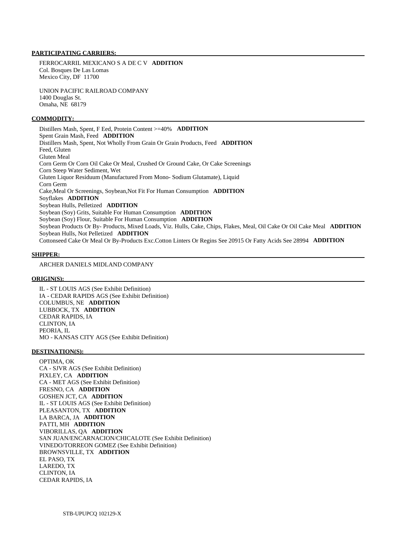#### **PARTICIPATING CARRIERS:**

 FERROCARRIL MEXICANO S A DE C V **ADDITION**  Col. Bosques De Las Lomas Mexico City, DF 11700

 UNION PACIFIC RAILROAD COMPANY 1400 Douglas St. Omaha, NE 68179

#### **COMMODITY:**

 Distillers Mash, Spent, F Eed, Protein Content >=40% **ADDITION**  Spent Grain Mash, Feed **ADDITION**  Distillers Mash, Spent, Not Wholly From Grain Or Grain Products, Feed **ADDITION**  Feed, Gluten Gluten Meal Corn Germ Or Corn Oil Cake Or Meal, Crushed Or Ground Cake, Or Cake Screenings Corn Steep Water Sediment, Wet Gluten Liquor Residuum (Manufactured From Mono- Sodium Glutamate), Liquid Corn Germ Cake,Meal Or Screenings, Soybean,Not Fit For Human Consumption **ADDITION**  Soyflakes **ADDITION**  Soybean Hulls, Pelletized **ADDITION**  Soybean (Soy) Grits, Suitable For Human Consumption **ADDITION**  Soybean (Soy) Flour, Suitable For Human Consumption **ADDITION**  Soybean Products Or By- Products, Mixed Loads, Viz. Hulls, Cake, Chips, Flakes, Meal, Oil Cake Or Oil Cake Meal **ADDITION**  Soybean Hulls, Not Pelletized **ADDITION**  Cottonseed Cake Or Meal Or By-Products Exc.Cotton Linters Or Regins See 20915 Or Fatty Acids See 28994 **ADDITION** 

#### **SHIPPER:**

ARCHER DANIELS MIDLAND COMPANY

#### **ORIGIN(S):**

 IL - ST LOUIS AGS (See Exhibit Definition) IA - CEDAR RAPIDS AGS (See Exhibit Definition) COLUMBUS, NE **ADDITION**  LUBBOCK, TX **ADDITION**  CEDAR RAPIDS, IA CLINTON, IA PEORIA, IL MO - KANSAS CITY AGS (See Exhibit Definition)

#### **DESTINATION(S):**

 OPTIMA, OK CA - SJVR AGS (See Exhibit Definition) PIXLEY, CA **ADDITION**  CA - MET AGS (See Exhibit Definition) FRESNO, CA **ADDITION**  GOSHEN JCT, CA **ADDITION**  IL - ST LOUIS AGS (See Exhibit Definition) PLEASANTON, TX **ADDITION**  LA BARCA, JA **ADDITION**  PATTI, MH **ADDITION**  VIBORILLAS, QA **ADDITION**  SAN JUAN/ENCARNACION/CHICALOTE (See Exhibit Definition) VINEDO/TORREON GOMEZ (See Exhibit Definition) BROWNSVILLE, TX **ADDITION**  EL PASO, TX LAREDO, TX CLINTON, IA CEDAR RAPIDS, IA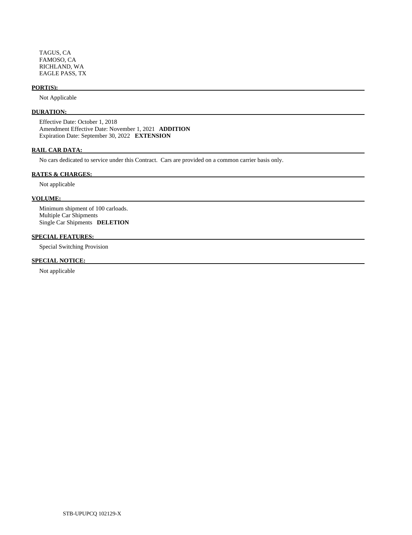TAGUS, CA FAMOSO, CA RICHLAND, WA EAGLE PASS, TX

#### **PORT(S):**

Not Applicable

## **DURATION:**

 Effective Date: October 1, 2018 Amendment Effective Date: November 1, 2021 **ADDITION**  Expiration Date: September 30, 2022 **EXTENSION** 

#### **RAIL CAR DATA:**

No cars dedicated to service under this Contract. Cars are provided on a common carrier basis only.

#### **RATES & CHARGES:**

Not applicable

#### **VOLUME:**

 Minimum shipment of 100 carloads. Multiple Car Shipments Single Car Shipments **DELETION** 

#### **SPECIAL FEATURES:**

Special Switching Provision

#### **SPECIAL NOTICE:**

Not applicable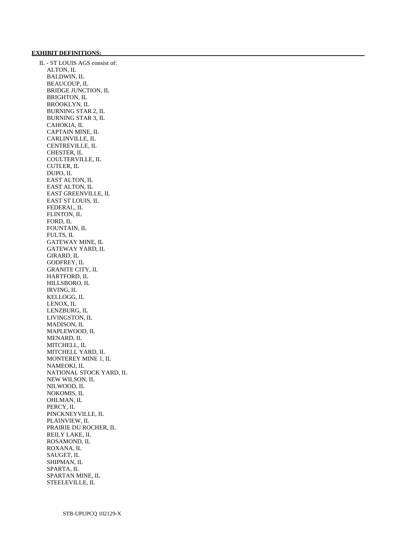#### **EXHIBIT DEFINITIONS:**

 IL - ST LOUIS AGS consist of: ALTON, IL BALDWIN, IL BEAUCOUP, IL BRIDGE JUNCTION, IL BRIGHTON, IL BROOKLYN, IL BURNING STAR 2, IL BURNING STAR 3, IL CAHOKIA, IL CAPTAIN MINE, IL CARLINVILLE, IL CENTREVILLE, IL CHESTER, IL COULTERVILLE, IL CUTLER, IL DUPO, IL EAST ALTON, IL EAST ALTON, IL EAST GREENVILLE, IL EAST ST LOUIS, IL FEDERAL, IL FLINTON, IL FORD, IL FOUNTAIN, IL FULTS, IL GATEWAY MINE, IL GATEWAY YARD, IL GIRARD, IL GODFREY, IL GRANITE CITY, IL HARTFORD, IL HILLSBORO, IL IRVING, IL KELLOGG, IL LENOX, IL LENZBURG, IL LIVINGSTON, IL MADISON, IL MAPLEWOOD, IL MENARD, IL MITCHELL, IL MITCHELL YARD, IL MONTEREY MINE 1, IL NAMEOKI, IL NATIONAL STOCK YARD, IL NEW WILSON, IL NILWOOD, IL NOKOMIS, IL OHLMAN, IL PERCY, IL PINCKNEYVILLE, IL PLAINVIEW, IL PRAIRIE DU ROCHER, IL REILY LAKE, IL ROSAMOND, IL ROXANA, IL SAUGET, IL SHIPMAN, IL SPARTA, IL SPARTAN MINE, IL STEELEVILLE, IL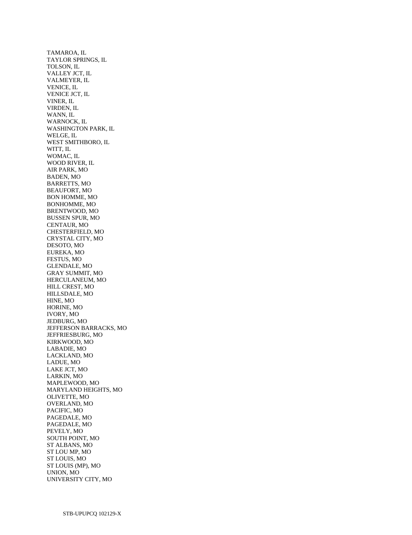TAMAROA, IL TAYLOR SPRINGS, IL TOLSON, IL VALLEY JCT, IL VALMEYER, IL VENICE, IL VENICE JCT, IL VINER, IL VIRDEN, IL WANN, IL WARNOCK, IL WASHINGTON PARK, IL WELGE, IL WEST SMITHBORO, IL WITT, IL WOMAC, IL WOOD RIVER, IL AIR PARK, MO BADEN, MO BARRETTS, MO BEAUFORT, MO BON HOMME, MO BONHOMME, MO BRENTWOOD, MO BUSSEN SPUR, MO CENTAUR, MO CHESTERFIELD, MO CRYSTAL CITY, MO DESOTO, MO EUREKA, MO FESTUS, MO GLENDALE, MO GRAY SUMMIT, MO HERCULANEUM, MO HILL CREST, MO HILLSDALE, MO HINE, MO HORINE, MO IVORY, MO JEDBURG, MO JEFFERSON BARRACKS, MO JEFFRIESBURG, MO KIRKWOOD, MO LABADIE, MO LACKLAND, MO LADUE, MO LAKE JCT, MO LARKIN, MO MAPLEWOOD, MO MARYLAND HEIGHTS, MO OLIVETTE, MO OVERLAND, MO PACIFIC, MO PAGEDALE, MO PAGEDALE, MO PEVELY, MO SOUTH POINT, MO ST ALBANS, MO ST LOU MP, MO ST LOUIS, MO ST LOUIS (MP), MO UNION, MO UNIVERSITY CITY, MO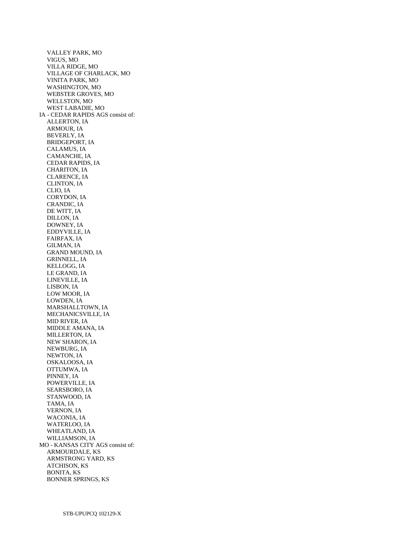VALLEY PARK, MO VIGUS, MO VILLA RIDGE, MO VILLAGE OF CHARLACK, MO VINITA PARK, MO WASHINGTON, MO WEBSTER GROVES, MO WELLSTON, MO WEST LABADIE, MO IA - CEDAR RAPIDS AGS consist of: ALLERTON, IA ARMOUR, IA BEVERLY, IA BRIDGEPORT, IA CALAMUS, IA CAMANCHE, IA CEDAR RAPIDS, IA CHARITON, IA CLARENCE, IA CLINTON, IA CLIO, IA CORYDON, IA CRANDIC, IA DE WITT, IA DILLON, IA DOWNEY, IA EDDYVILLE, IA FAIRFAX, IA GILMAN, IA GRAND MOUND, IA GRINNELL, IA KELLOGG, IA LE GRAND, IA LINEVILLE, IA LISBON, IA LOW MOOR, IA LOWDEN, IA MARSHALLTOWN, IA MECHANICSVILLE, IA MID RIVER, IA MIDDLE AMANA, IA MILLERTON, IA NEW SHARON, IA NEWBURG, IA NEWTON, IA OSKALOOSA, IA OTTUMWA, IA PINNEY, IA POWERVILLE, IA SEARSBORO, IA STANWOOD, IA TAMA, IA VERNON, IA WACONIA, IA WATERLOO, IA WHEATLAND, IA WILLIAMSON, IA MO - KANSAS CITY AGS consist of: ARMOURDALE, KS ARMSTRONG YARD, KS ATCHISON, KS BONITA, KS BONNER SPRINGS, KS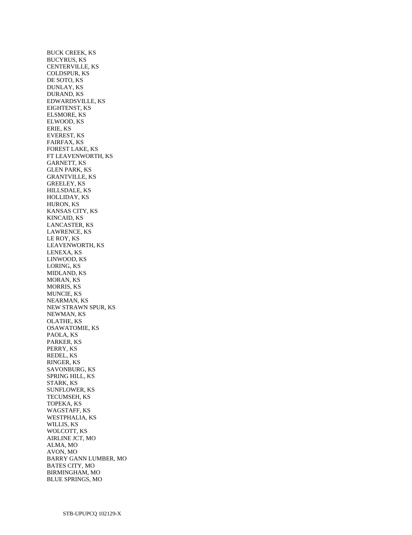BUCK CREEK, KS BUCYRUS, KS CENTERVILLE, KS COLDSPUR, KS DE SOTO, KS DUNLAY, KS DURAND, KS EDWARDSVILLE, KS EIGHTENST, KS ELSMORE, KS ELWOOD, KS ERIE, KS EVEREST, KS FAIRFAX, KS FOREST LAKE, KS FT LEAVENWORTH, KS GARNETT, KS GLEN PARK, KS GRANTVILLE, KS GREELEY, KS HILLSDALE, KS HOLLIDAY, KS HURON, KS KANSAS CITY, KS KINCAID, KS LANCASTER, KS LAWRENCE, KS LE ROY, KS LEAVENWORTH, KS LENEXA, KS LINWOOD, KS LORING, KS MIDLAND, KS MORAN, KS MORRIS, KS MUNCIE, KS NEARMAN, KS NEW STRAWN SPUR, KS NEWMAN, KS OLATHE, KS OSAWATOMIE, KS PAOLA, KS PARKER, KS PERRY, KS REDEL, KS RINGER, KS SAVONBURG, KS SPRING HILL, KS STARK, KS SUNFLOWER, KS TECUMSEH, KS TOPEKA, KS WAGSTAFF, KS WESTPHALIA, KS WILLIS, KS WOLCOTT, KS AIRLINE JCT, MO ALMA, MO AVON, MO BARRY GANN LUMBER, MO BATES CITY, MO BIRMINGHAM, MO BLUE SPRINGS, MO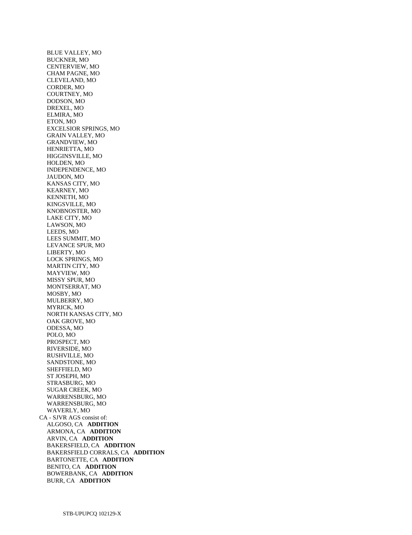BLUE VALLEY, MO BUCKNER, MO CENTERVIEW, MO CHAM PAGNE, MO CLEVELAND, MO CORDER, MO COURTNEY, MO DODSON, MO DREXEL, MO ELMIRA, MO ETON, MO EXCELSIOR SPRINGS, MO GRAIN VALLEY, MO GRANDVIEW, MO HENRIETTA, MO HIGGINSVILLE, MO HOLDEN, MO INDEPENDENCE, MO JAUDON, MO KANSAS CITY, MO KEARNEY, MO KENNETH, MO KINGSVILLE, MO KNOBNOSTER, MO LAKE CITY, MO LAWSON, MO LEEDS, MO LEES SUMMIT, MO LEVANCE SPUR, MO LIBERTY, MO LOCK SPRINGS, MO MARTIN CITY, MO MAYVIEW, MO MISSY SPUR, MO MONTSERRAT, MO MOSBY, MO MULBERRY, MO MYRICK, MO NORTH KANSAS CITY, MO OAK GROVE, MO ODESSA, MO POLO, MO PROSPECT, MO RIVERSIDE, MO RUSHVILLE, MO SANDSTONE, MO SHEFFIELD, MO ST JOSEPH, MO STRASBURG, MO SUGAR CREEK, MO WARRENSBURG, MO WARRENSBURG, MO WAVERLY, MO CA - SJVR AGS consist of: ALGOSO, CA **ADDITION**  ARMONA, CA **ADDITION**  ARVIN, CA **ADDITION**  BAKERSFIELD, CA **ADDITION**  BAKERSFIELD CORRALS, CA **ADDITION**  BARTONETTE, CA **ADDITION**  BENITO, CA **ADDITION**  BOWERBANK, CA **ADDITION**  BURR, CA **ADDITION**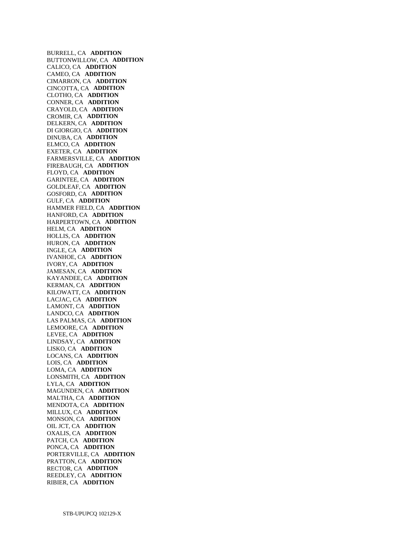BURRELL, CA **ADDITION**  BUTTONWILLOW, CA **ADDITION**  CALICO, CA **ADDITION**  CAMEO, CA **ADDITION**  CIMARRON, CA **ADDITION**  CINCOTTA, CA **ADDITION**  CLOTHO, CA **ADDITION**  CONNER, CA **ADDITION**  CRAYOLD, CA **ADDITION**  CROMIR, CA **ADDITION**  DELKERN, CA **ADDITION**  DI GIORGIO, CA **ADDITION**  DINUBA, CA **ADDITION**  ELMCO, CA **ADDITION**  EXETER, CA **ADDITION**  FARMERSVILLE, CA **ADDITION**  FIREBAUGH, CA **ADDITION**  FLOYD, CA **ADDITION**  GARINTEE, CA **ADDITION**  GOLDLEAF, CA **ADDITION**  GOSFORD, CA **ADDITION**  GULF, CA **ADDITION**  HAMMER FIELD, CA **ADDITION**  HANFORD, CA **ADDITION**  HARPERTOWN, CA **ADDITION**  HELM, CA **ADDITION**  HOLLIS, CA **ADDITION**  HURON, CA **ADDITION**  INGLE, CA **ADDITION**  IVANHOE, CA **ADDITION**  IVORY, CA **ADDITION**  JAMESAN, CA **ADDITION**  KAYANDEE, CA **ADDITION**  KERMAN, CA **ADDITION**  KILOWATT, CA **ADDITION**  LACJAC, CA **ADDITION**  LAMONT, CA **ADDITION**  LANDCO, CA **ADDITION**  LAS PALMAS, CA **ADDITION**  LEMOORE, CA **ADDITION**  LEVEE, CA **ADDITION**  LINDSAY, CA **ADDITION**  LISKO, CA **ADDITION**  LOCANS, CA **ADDITION**  LOIS, CA **ADDITION**  LOMA, CA **ADDITION**  LONSMITH, CA **ADDITION**  LYLA, CA **ADDITION**  MAGUNDEN, CA **ADDITION**  MALTHA, CA **ADDITION**  MENDOTA, CA **ADDITION**  MILLUX, CA **ADDITION**  MONSON, CA **ADDITION**  OIL JCT, CA **ADDITION**  OXALIS, CA **ADDITION**  PATCH, CA **ADDITION**  PONCA, CA **ADDITION**  PORTERVILLE, CA **ADDITION**  PRATTON, CA **ADDITION**  RECTOR, CA **ADDITION**  REEDLEY, CA **ADDITION**  RIBIER, CA **ADDITION**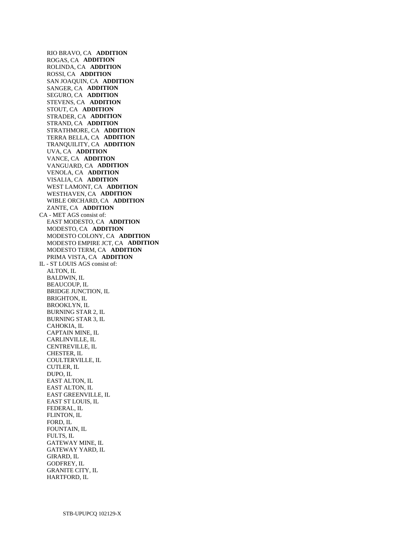RIO BRAVO, CA **ADDITION**  ROGAS, CA **ADDITION**  ROLINDA, CA **ADDITION**  ROSSI, CA **ADDITION**  SAN JOAQUIN, CA **ADDITION**  SANGER, CA **ADDITION**  SEGURO, CA **ADDITION**  STEVENS, CA **ADDITION**  STOUT, CA **ADDITION**  STRADER, CA **ADDITION**  STRAND, CA **ADDITION**  STRATHMORE, CA **ADDITION**  TERRA BELLA, CA **ADDITION**  TRANQUILITY, CA **ADDITION**  UVA, CA **ADDITION**  VANCE, CA **ADDITION**  VANGUARD, CA **ADDITION**  VENOLA, CA **ADDITION**  VISALIA, CA **ADDITION**  WEST LAMONT, CA **ADDITION**  WESTHAVEN, CA **ADDITION**  WIBLE ORCHARD, CA **ADDITION**  ZANTE, CA **ADDITION**  CA - MET AGS consist of: EAST MODESTO, CA **ADDITION**  MODESTO, CA **ADDITION**  MODESTO COLONY, CA **ADDITION**  MODESTO EMPIRE JCT, CA **ADDITION**  MODESTO TERM, CA **ADDITION**  PRIMA VISTA, CA **ADDITION**  IL - ST LOUIS AGS consist of: ALTON, IL BALDWIN, IL BEAUCOUP, IL BRIDGE JUNCTION, IL BRIGHTON, IL BROOKLYN, IL BURNING STAR 2, IL BURNING STAR 3, IL CAHOKIA, IL CAPTAIN MINE, IL CARLINVILLE, IL CENTREVILLE, IL CHESTER, IL COULTERVILLE, IL CUTLER, IL DUPO, IL EAST ALTON, IL EAST ALTON, IL EAST GREENVILLE, IL EAST ST LOUIS, IL FEDERAL, IL FLINTON, IL FORD, IL FOUNTAIN, IL FULTS, IL GATEWAY MINE, IL GATEWAY YARD, IL GIRARD, IL GODFREY, IL GRANITE CITY, IL

HARTFORD, IL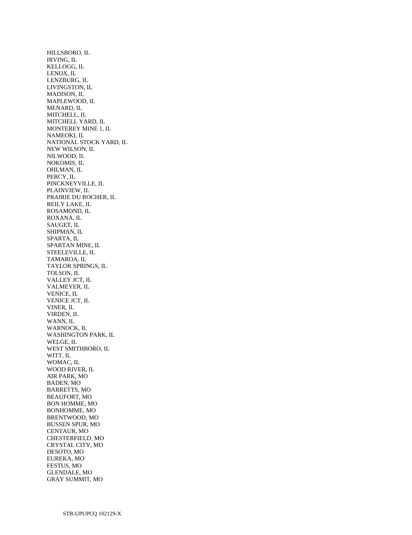HILLSBORO, IL IRVING, IL KELLOGG, IL LENOX, IL LENZBURG, IL LIVINGSTON, IL MADISON, IL MAPLEWOOD, IL MENARD, IL MITCHELL, IL MITCHELL YARD, IL MONTEREY MINE 1, IL NAMEOKI, IL NATIONAL STOCK YARD, IL NEW WILSON, IL NILWOOD, IL NOKOMIS, IL OHLMAN, IL PERCY, IL PINCKNEYVILLE, IL PLAINVIEW, IL PRAIRIE DU ROCHER, IL REILY LAKE, IL ROSAMOND, IL ROXANA, IL SAUGET, IL SHIPMAN, IL SPARTA, IL SPARTAN MINE, IL STEELEVILLE, IL TAMAROA, IL TAYLOR SPRINGS, IL TOLSON, IL VALLEY JCT, IL VALMEYER, IL VENICE, IL VENICE JCT, IL VINER, IL VIRDEN, IL WANN, IL WARNOCK, IL WASHINGTON PARK, IL WELGE, IL WEST SMITHBORO, IL WITT, IL WOMAC, IL WOOD RIVER, IL AIR PARK, MO BADEN, MO BARRETTS, MO BEAUFORT, MO BON HOMME, MO BONHOMME, MO BRENTWOOD, MO BUSSEN SPUR, MO CENTAUR, MO CHESTERFIELD, MO CRYSTAL CITY, MO DESOTO, MO EUREKA, MO FESTUS, MO GLENDALE, MO GRAY SUMMIT, MO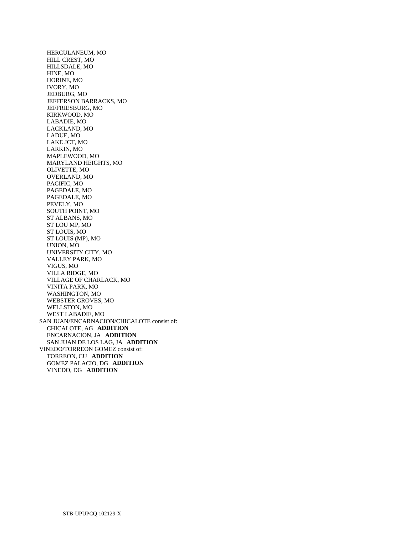HERCULANEUM, MO HILL CREST, MO HILLSDALE, MO HINE, MO HORINE, MO IVORY, MO JEDBURG, MO JEFFERSON BARRACKS, MO JEFFRIESBURG, MO KIRKWOOD, MO LABADIE, MO LACKLAND, MO LADUE, MO LAKE JCT, MO LARKIN, MO MAPLEWOOD, MO MARYLAND HEIGHTS, MO OLIVETTE, MO OVERLAND, MO PACIFIC, MO PAGEDALE, MO PAGEDALE, MO PEVELY, MO SOUTH POINT, MO ST ALBANS, MO ST LOU MP, MO ST LOUIS, MO ST LOUIS (MP), MO UNION, MO UNIVERSITY CITY, MO VALLEY PARK, MO VIGUS, MO VILLA RIDGE, MO VILLAGE OF CHARLACK, MO VINITA PARK, MO WASHINGTON, MO WEBSTER GROVES, MO WELLSTON, MO WEST LABADIE, MO SAN JUAN/ENCARNACION/CHICALOTE consist of: CHICALOTE, AG **ADDITION**  ENCARNACION, JA **ADDITION**  SAN JUAN DE LOS LAG, JA **ADDITION**  VINEDO/TORREON GOMEZ consist of: TORREON, CU **ADDITION**  GOMEZ PALACIO, DG **ADDITION**  VINEDO, DG **ADDITION**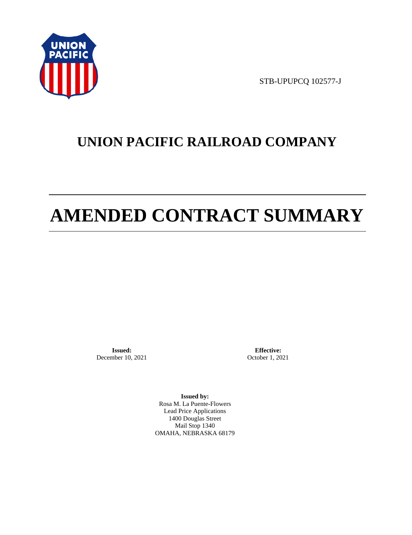

STB-UPUPCQ 102577-J

# **UNION PACIFIC RAILROAD COMPANY**

# **AMENDED CONTRACT SUMMARY**

**Issued:**  December 10, 2021

**Effective:** October 1, 2021

**Issued by:**  Rosa M. La Puente-Flowers Lead Price Applications 1400 Douglas Street Mail Stop 1340 OMAHA, NEBRASKA 68179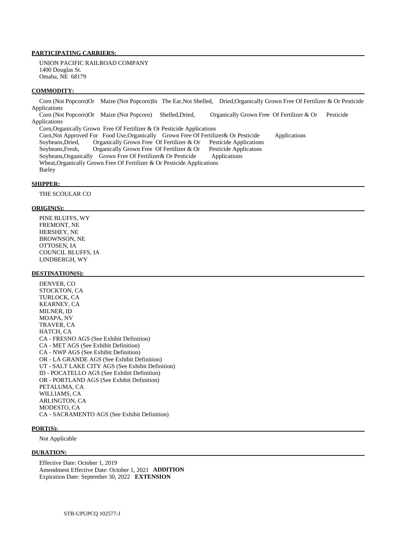# **PARTICIPATING CARRIERS:**

 UNION PACIFIC RAILROAD COMPANY 1400 Douglas St. Omaha, NE 68179

#### **COMMODITY:**

 Corn (Not Popcorn)Or Maize (Not Popcorn)In The Ear,Not Shelled, Dried,Organically Grown Free Of Fertilizer & Or Pesticide Applications Corn (Not Popcorn)Or Maize (Not Popcorn) Shelled,Dried, Organically Grown Free Of Fertilizer & Or Pesticide

Applications Corn,Organically Grown Free Of Fertilizer & Or Pesticide Applications

 Corn,Not Approved For Food Use,Organically Grown Free Of Fertilizer& Or Pesticide Applications Soybeans,Dried, Organically Grown Free Of Fertilizer & Or Pesticide Applications Soybeans,Fresh, Organically Grown Free Of Fertilizer & Or Pesticide Applicatons Soybeans,Organically Grown Free Of Fertilizer& Or Pesticide Applications Wheat,Organically Grown Free Of Fertilizer & Or Pesticide Applications Barley

#### **SHIPPER:**

THE SCOULAR CO

#### **ORIGIN(S):**

 PINE BLUFFS, WY FREMONT, NE HERSHEY, NE BROWNSON, NE OTTOSEN, IA COUNCIL BLUFFS, IA LINDBERGH, WY

#### **DESTINATION(S):**

 DENVER, CO STOCKTON, CA TURLOCK, CA KEARNEY, CA MILNER, ID MOAPA, NV TRAVER, CA HATCH, CA CA - FRESNO AGS (See Exhibit Definition) CA - MET AGS (See Exhibit Definition) CA - NWP AGS (See Exhibit Definition) OR - LA GRANDE AGS (See Exhibit Definition) UT - SALT LAKE CITY AGS (See Exhibit Definition) ID - POCATELLO AGS (See Exhibit Definition) OR - PORTLAND AGS (See Exhibit Definition) PETALUMA, CA WILLIAMS, CA ARLINGTON, CA MODESTO, CA CA - SACRAMENTO AGS (See Exhibit Definition)

#### **PORT(S):**

Not Applicable

#### **DURATION:**

 Effective Date: October 1, 2019 Amendment Effective Date: October 1, 2021 **ADDITION**  Expiration Date: September 30, 2022 **EXTENSION**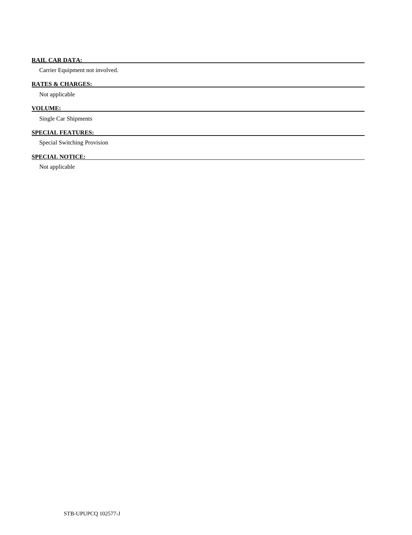# **RAIL CAR DATA:**

Carrier Equipment not involved.

# **RATES & CHARGES:**

Not applicable

# **VOLUME:**

Single Car Shipments

# **SPECIAL FEATURES:**

Special Switching Provision

# **SPECIAL NOTICE:**

Not applicable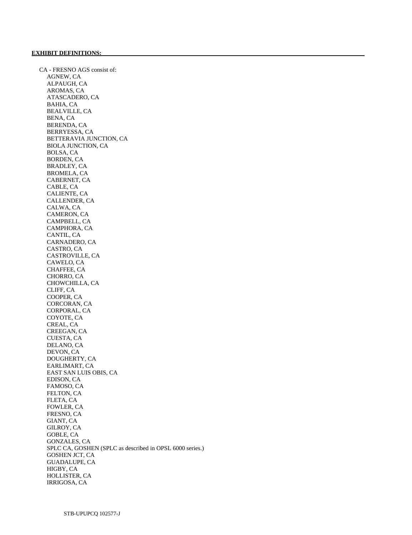CA - FRESNO AGS consist of: AGNEW, CA ALPAUGH, CA AROMAS, CA ATASCADERO, CA BAHIA, CA BEALVILLE, CA BENA, CA BERENDA, CA BERRYESSA, CA BETTERAVIA JUNCTION, CA BIOLA JUNCTION, CA BOLSA, CA BORDEN, CA BRADLEY, CA BROMELA, CA CABERNET, CA CABLE, CA CALIENTE, CA CALLENDER, CA CALWA, CA CAMERON, CA CAMPBELL, CA CAMPHORA, CA CANTIL, CA CARNADERO, CA CASTRO, CA CASTROVILLE, CA CAWELO, CA CHAFFEE, CA CHORRO, CA CHOWCHILLA, CA CLIFF, CA COOPER, CA CORCORAN, CA CORPORAL, CA COYOTE, CA CREAL, CA CREEGAN, CA CUESTA, CA DELANO, CA DEVON, CA DOUGHERTY, CA EARLIMART, CA EAST SAN LUIS OBIS, CA EDISON, CA FAMOSO, CA FELTON, CA FLETA, CA FOWLER, CA FRESNO, CA GIANT, CA GILROY, CA GOBLE, CA GONZALES, CA SPLC CA, GOSHEN (SPLC as described in OPSL 6000 series.) GOSHEN JCT, CA GUADALUPE, CA HIGBY, CA HOLLISTER, CA IRRIGOSA, CA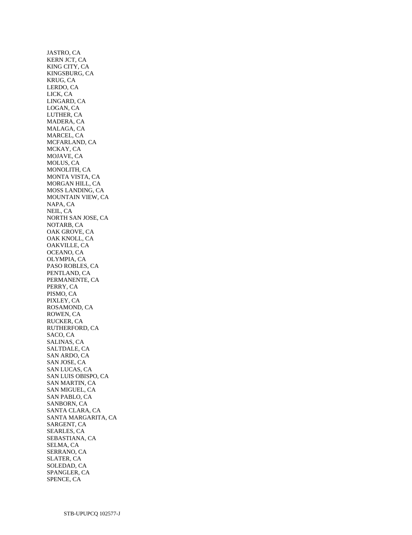JASTRO, CA KERN JCT, CA KING CITY, CA KINGSBURG, CA KRUG, CA LERDO, CA LICK, CA LINGARD, CA LOGAN, CA LUTHER, CA MADERA, CA MALAGA, CA MARCEL, CA MCFARLAND, CA MCKAY, CA MOJAVE, CA MOLUS, CA MONOLITH, CA MONTA VISTA, CA MORGAN HILL, CA MOSS LANDING, CA MOUNTAIN VIEW, CA NAPA, CA NEIL, CA NORTH SAN JOSE, CA NOTARB, CA OAK GROVE, CA OAK KNOLL, CA OAKVILLE, CA OCEANO, CA OLYMPIA, CA PASO ROBLES, CA PENTLAND, CA PERMANENTE, CA PERRY, CA PISMO, CA PIXLEY, CA ROSAMOND, CA ROWEN, CA RUCKER, CA RUTHERFORD, CA SACO, CA SALINAS, CA SALTDALE, CA SAN ARDO, CA SAN JOSE, CA SAN LUCAS, CA SAN LUIS OBISPO, CA SAN MARTIN, CA SAN MIGUEL, CA SAN PABLO, CA SANBORN, CA SANTA CLARA, CA SANTA MARGARITA, CA SARGENT, CA SEARLES, CA SEBASTIANA, CA SELMA, CA SERRANO, CA SLATER, CA SOLEDAD, CA SPANGLER, CA SPENCE, CA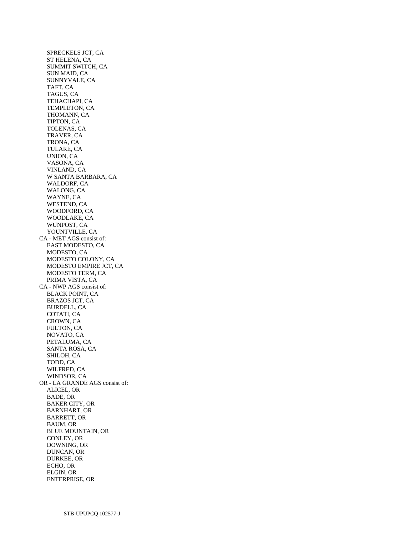SPRECKELS JCT, CA ST HELENA, CA SUMMIT SWITCH, CA SUN MAID, CA SUNNYVALE, CA TAFT, CA TAGUS, CA TEHACHAPI, CA TEMPLETON, CA THOMANN, CA TIPTON, CA TOLENAS, CA TRAVER, CA TRONA, CA TULARE, CA UNION, CA VASONA, CA VINLAND, CA W SANTA BARBARA, CA WALDORF, CA WALONG, CA WAYNE, CA WESTEND, CA WOODFORD, CA WOODLAKE, CA WUNPOST, CA YOUNTVILLE, CA CA - MET AGS consist of: EAST MODESTO, CA MODESTO, CA MODESTO COLONY, CA MODESTO EMPIRE JCT, CA MODESTO TERM, CA PRIMA VISTA, CA CA - NWP AGS consist of: BLACK POINT, CA BRAZOS JCT, CA BURDELL, CA COTATI, CA CROWN, CA FULTON, CA NOVATO, CA PETALUMA, CA SANTA ROSA, CA SHILOH, CA TODD, CA WILFRED, CA WINDSOR, CA OR - LA GRANDE AGS consist of: ALICEL, OR BADE, OR BAKER CITY, OR BARNHART, OR BARRETT, OR BAUM, OR BLUE MOUNTAIN, OR CONLEY, OR DOWNING, OR DUNCAN, OR DURKEE, OR ECHO, OR ELGIN, OR ENTERPRISE, OR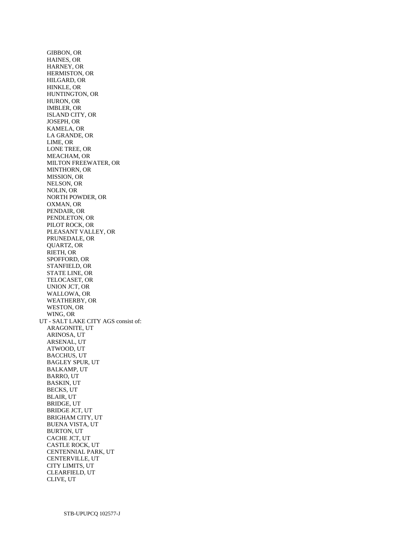GIBBON, OR HAINES, OR HARNEY, OR HERMISTON, OR HILGARD, OR HINKLE, OR HUNTINGTON, OR HURON, OR IMBLER, OR ISLAND CITY, OR JOSEPH, OR KAMELA, OR LA GRANDE, OR LIME, OR LONE TREE, OR MEACHAM, OR MILTON FREEWATER, OR MINTHORN, OR MISSION, OR NELSON, OR NOLIN, OR NORTH POWDER, OR OXMAN, OR PENDAIR, OR PENDLETON, OR PILOT ROCK, OR PLEASANT VALLEY, OR PRUNEDALE, OR QUARTZ, OR RIETH, OR SPOFFORD, OR STANFIELD, OR STATE LINE, OR TELOCASET, OR UNION JCT, OR WALLOWA, OR WEATHERBY, OR WESTON, OR WING, OR UT - SALT LAKE CITY AGS consist of: ARAGONITE, UT ARINOSA, UT ARSENAL, UT ATWOOD, UT BACCHUS, UT BAGLEY SPUR, UT BALKAMP, UT BARRO, UT BASKIN, UT BECKS, UT BLAIR, UT BRIDGE, UT BRIDGE JCT, UT BRIGHAM CITY, UT BUENA VISTA, UT BURTON, UT CACHE JCT, UT CASTLE ROCK, UT CENTENNIAL PARK, UT CENTERVILLE, UT CITY LIMITS, UT CLEARFIELD, UT CLIVE, UT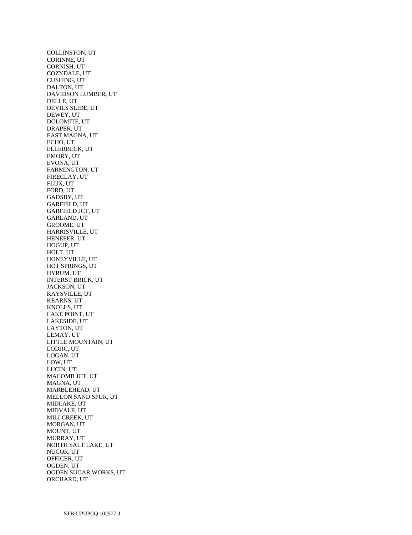COLLINSTON, UT CORINNE, UT CORNISH, UT COZYDALE, UT CUSHING, UT DALTON, UT DAVIDSON LUMBER, UT DELLE, UT DEVILS SLIDE, UT DEWEY, UT DOLOMITE, UT DRAPER, UT EAST MAGNA, UT ECHO, UT ELLERBECK, UT EMORY, UT EVONA, UT FARMINGTON, UT FIRECLAY, UT FLUX, UT FORD, UT GADSBY, UT GARFIELD, UT GARFIELD JCT, UT GARLAND, UT GROOME, UT HARRISVILLE, UT HENEFER, UT HOGUP, UT HOLT, UT HONEYVILLE, UT HOT SPRINGS, UT HYRUM, UT INTERST BRICK, UT JACKSON, UT KAYSVILLE, UT KEARNS, UT KNOLLS, UT LAKE POINT, UT LAKESIDE, UT LAYTON, UT LEMAY, UT LITTLE MOUNTAIN, UT LODJIC, UT LOGAN, UT LOW, UT LUCIN, UT MACOMB JCT, UT MAGNA, UT MARBLEHEAD, UT MELLON SAND SPUR, UT MIDLAKE, UT MIDVALE, UT MILLCREEK, UT MORGAN, UT MOUNT, UT MURRAY, UT NORTH SALT LAKE, UT NUCOR, UT OFFICER, UT OGDEN, UT OGDEN SUGAR WORKS, UT ORCHARD, UT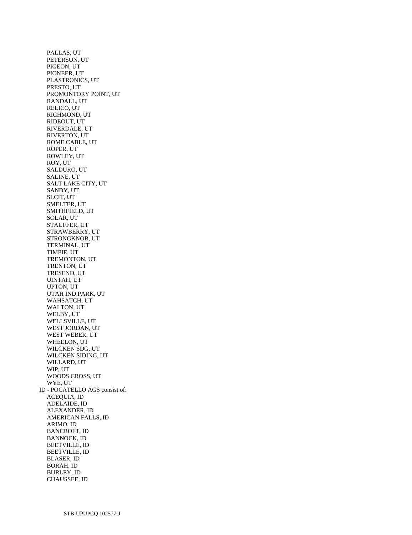PALLAS, UT PETERSON, UT PIGEON, UT PIONEER, UT PLASTRONICS, UT PRESTO, UT PROMONTORY POINT, UT RANDALL, UT RELICO, UT RICHMOND, UT RIDEOUT, UT RIVERDALE, UT RIVERTON, UT ROME CABLE, UT ROPER, UT ROWLEY, UT ROY, UT SALDURO, UT SALINE, UT SALT LAKE CITY, UT SANDY, UT SLCIT, UT SMELTER, UT SMITHFIELD, UT SOLAR, UT STAUFFER, UT STRAWBERRY, UT STRONGKNOB, UT TERMINAL, UT TIMPIE, UT TREMONTON, UT TRENTON, UT TRESEND, UT UINTAH, UT UPTON, UT UTAH IND PARK, UT WAHSATCH, UT WALTON, UT WELBY, UT WELLSVILLE, UT WEST JORDAN, UT WEST WEBER, UT WHEELON, UT WILCKEN SDG, UT WILCKEN SIDING, UT WILLARD, UT WIP, UT WOODS CROSS, UT WYE, UT ID - POCATELLO AGS consist of: ACEQUIA, ID ADELAIDE, ID ALEXANDER, ID AMERICAN FALLS, ID ARIMO, ID BANCROFT, ID BANNOCK, ID BEETVILLE, ID BEETVILLE, ID BLASER, ID BORAH, ID BURLEY, ID CHAUSSEE, ID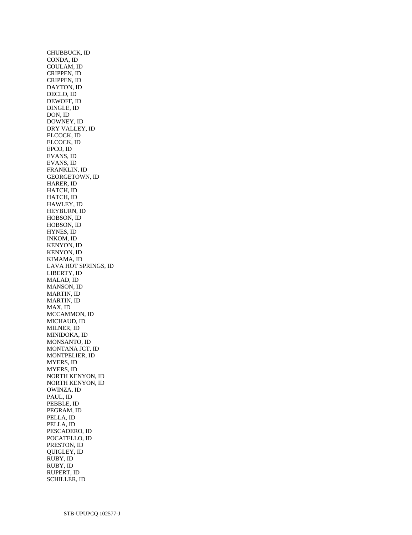CHUBBUCK, ID CONDA, ID COULAM, ID CRIPPEN, ID CRIPPEN, ID DAYTON, ID DECLO, ID DEWOFF, ID DINGLE, ID DON, ID DOWNEY, ID DRY VALLEY, ID ELCOCK, ID ELCOCK, ID EPCO, ID EVANS, ID EVANS, ID FRANKLIN, ID GEORGETOWN, ID HARER, ID HATCH, ID HATCH, ID HAWLEY, ID HEYBURN, ID HOBSON, ID HOBSON, ID HYNES, ID INKOM, ID KENYON, ID KENYON, ID KIMAMA, ID LAVA HOT SPRINGS, ID LIBERTY, ID MALAD, ID MANSON, ID MARTIN, ID MARTIN, ID MAX, ID MCCAMMON, ID MICHAUD, ID MILNER, ID MINIDOKA, ID MONSANTO, ID MONTANA JCT, ID MONTPELIER, ID MYERS, ID MYERS, ID NORTH KENYON, ID NORTH KENYON, ID OWINZA, ID PAUL, ID PEBBLE, ID PEGRAM, ID PELLA, ID PELLA, ID PESCADERO, ID POCATELLO, ID PRESTON, ID QUIGLEY, ID RUBY, ID RUBY, ID RUPERT, ID SCHILLER, ID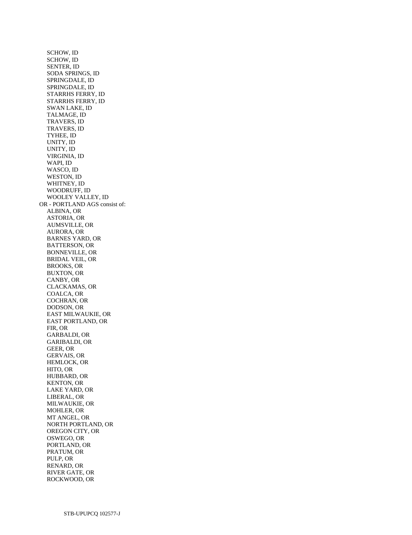SCHOW, ID SCHOW, ID SENTER, ID SODA SPRINGS, ID SPRINGDALE, ID SPRINGDALE, ID STARRHS FERRY, ID STARRHS FERRY, ID SWAN LAKE, ID TALMAGE, ID TRAVERS, ID TRAVERS, ID TYHEE, ID UNITY, ID UNITY, ID VIRGINIA, ID WAPI, ID WASCO, ID WESTON, ID WHITNEY, ID WOODRUFF, ID WOOLEY VALLEY, ID OR - PORTLAND AGS consist of: ALBINA, OR ASTORIA, OR AUMSVILLE, OR AURORA, OR BARNES YARD, OR BATTERSON, OR BONNEVILLE, OR BRIDAL VEIL, OR BROOKS, OR BUXTON, OR CANBY, OR CLACKAMAS, OR COALCA, OR COCHRAN, OR DODSON, OR EAST MILWAUKIE, OR EAST PORTLAND, OR FIR, OR GARBALDI, OR GARIBALDI, OR GEER, OR GERVAIS, OR HEMLOCK, OR HITO, OR HUBBARD, OR KENTON, OR LAKE YARD, OR LIBERAL, OR MILWAUKIE, OR MOHLER, OR MT ANGEL, OR NORTH PORTLAND, OR OREGON CITY, OR OSWEGO, OR PORTLAND, OR PRATUM, OR PULP, OR RENARD, OR RIVER GATE, OR ROCKWOOD, OR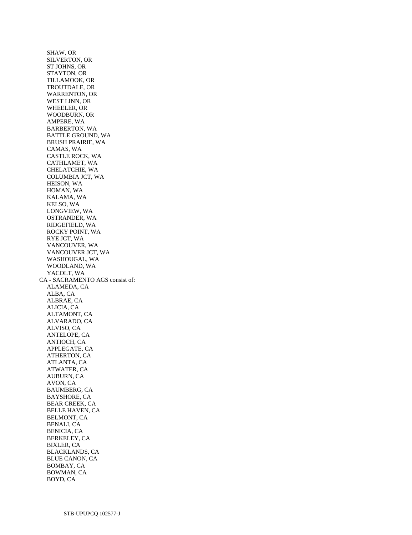SHAW, OR SILVERTON, OR ST JOHNS, OR STAYTON, OR TILLAMOOK, OR TROUTDALE, OR WARRENTON, OR WEST LINN, OR WHEELER, OR WOODBURN, OR AMPERE, WA BARBERTON, WA BATTLE GROUND, WA BRUSH PRAIRIE, WA CAMAS, WA CASTLE ROCK, WA CATHLAMET, WA CHELATCHIE, WA COLUMBIA JCT, WA HEISON, WA HOMAN, WA KALAMA, WA KELSO, WA LONGVIEW, WA OSTRANDER, WA RIDGEFIELD, WA ROCKY POINT, WA RYE JCT, WA VANCOUVER, WA VANCOUVER JCT, WA WASHOUGAL, WA WOODLAND, WA YACOLT, WA CA - SACRAMENTO AGS consist of: ALAMEDA, CA ALBA, CA ALBRAE, CA ALICIA, CA ALTAMONT, CA ALVARADO, CA ALVISO, CA ANTELOPE, CA ANTIOCH, CA APPLEGATE, CA ATHERTON, CA ATLANTA, CA ATWATER, CA AUBURN, CA AVON, CA BAUMBERG, CA BAYSHORE, CA BEAR CREEK, CA BELLE HAVEN, CA BELMONT, CA BENALI, CA BENICIA, CA BERKELEY, CA BIXLER, CA BLACKLANDS, CA BLUE CANON, CA BOMBAY, CA BOWMAN, CA BOYD, CA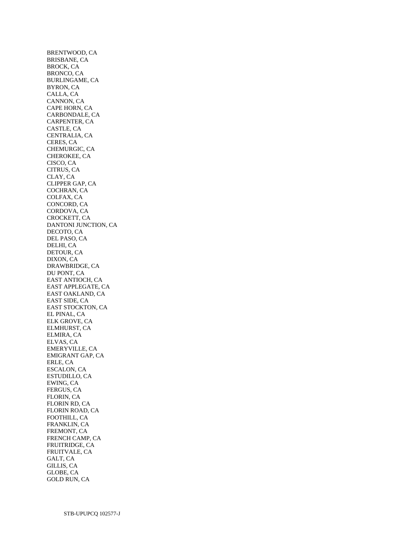BRENTWOOD, CA BRISBANE, CA BROCK, CA BRONCO, CA BURLINGAME, CA BYRON, CA CALLA, CA CANNON, CA CAPE HORN, CA CARBONDALE, CA CARPENTER, CA CASTLE, CA CENTRALIA, CA CERES, CA CHEMURGIC, CA CHEROKEE, CA CISCO, CA CITRUS, CA CLAY, CA CLIPPER GAP, CA COCHRAN, CA COLFAX, CA CONCORD, CA CORDOVA, CA CROCKETT, CA DANTONI JUNCTION, CA DECOTO, CA DEL PASO, CA DELHI, CA DETOUR, CA DIXON, CA DRAWBRIDGE, CA DU PONT, CA EAST ANTIOCH, CA EAST APPLEGATE, CA EAST OAKLAND, CA EAST SIDE, CA EAST STOCKTON, CA EL PINAL, CA ELK GROVE, CA ELMHURST, CA ELMIRA, CA ELVAS, CA EMERYVILLE, CA EMIGRANT GAP, CA ERLE, CA ESCALON, CA ESTUDILLO, CA EWING, CA FERGUS, CA FLORIN, CA FLORIN RD, CA FLORIN ROAD, CA FOOTHILL, CA FRANKLIN, CA FREMONT, CA FRENCH CAMP, CA FRUITRIDGE, CA FRUITVALE, CA GALT, CA GILLIS, CA GLOBE, CA GOLD RUN, CA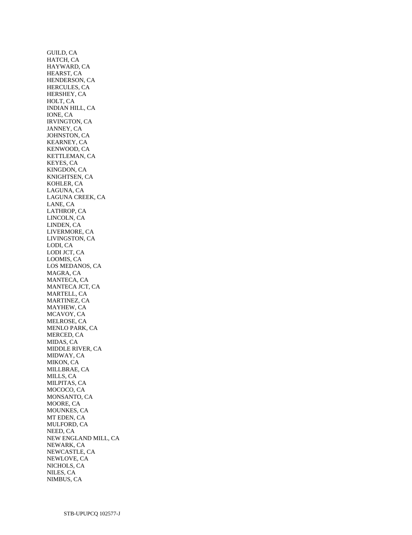GUILD, CA HATCH, CA HAYWARD, CA HEARST, CA HENDERSON, CA HERCULES, CA HERSHEY, CA HOLT, CA INDIAN HILL, CA IONE, CA IRVINGTON, CA JANNEY, CA JOHNSTON, CA KEARNEY, CA KENWOOD, CA KETTLEMAN, CA KEYES, CA KINGDON, CA KNIGHTSEN, CA KOHLER, CA LAGUNA, CA LAGUNA CREEK, CA LANE, CA LATHROP, CA LINCOLN, CA LINDEN, CA LIVERMORE, CA LIVINGSTON, CA LODI, CA LODI JCT, CA LOOMIS, CA LOS MEDANOS, CA MAGRA, CA MANTECA, CA MANTECA JCT, CA MARTELL, CA MARTINEZ, CA MAYHEW, CA MCAVOY, CA MELROSE, CA MENLO PARK, CA MERCED, CA MIDAS, CA MIDDLE RIVER, CA MIDWAY, CA MIKON, CA MILLBRAE, CA MILLS, CA MILPITAS, CA MOCOCO, CA MONSANTO, CA MOORE, CA MOUNKES, CA MT EDEN, CA MULFORD, CA NEED, CA NEW ENGLAND MILL, CA NEWARK, CA NEWCASTLE, CA NEWLOVE, CA NICHOLS, CA NILES, CA NIMBUS, CA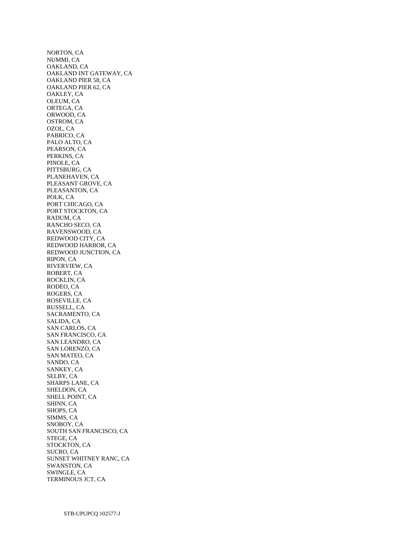NORTON, CA NUMMI, CA OAKLAND, CA OAKLAND INT GATEWAY, CA OAKLAND PIER 58, CA OAKLAND PIER 62, CA OAKLEY, CA OLEUM, CA ORTEGA, CA ORWOOD, CA OSTROM, CA OZOL, CA PABRICO, CA PALO ALTO, CA PEARSON, CA PERKINS, CA PINOLE, CA PITTSBURG, CA PLANEHAVEN, CA PLEASANT GROVE, CA PLEASANTON, CA POLK, CA PORT CHICAGO, CA PORT STOCKTON, CA RADUM, CA RANCHO SECO, CA RAVENSWOOD, CA REDWOOD CITY, CA REDWOOD HARBOR, CA REDWOOD JUNCTION, CA RIPON, CA RIVERVIEW, CA ROBERT, CA ROCKLIN, CA RODEO, CA ROGERS, CA ROSEVILLE, CA RUSSELL, CA SACRAMENTO, CA SALIDA, CA SAN CARLOS, CA SAN FRANCISCO, CA SAN LEANDRO, CA SAN LORENZO, CA SAN MATEO, CA SANDO, CA SANKEY, CA SELBY, CA SHARPS LANE, CA SHELDON, CA SHELL POINT, CA SHINN, CA SHOPS, CA SIMMS, CA SNOBOY, CA SOUTH SAN FRANCISCO, CA STEGE, CA STOCKTON, CA SUCRO, CA SUNSET WHITNEY RANC, CA SWANSTON, CA SWINGLE, CA TERMINOUS JCT, CA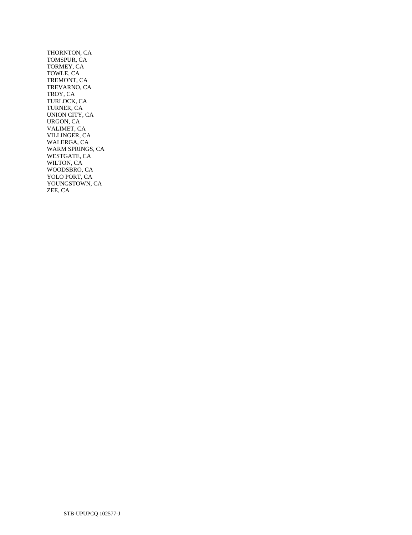THORNTON, CA TOMSPUR, CA TORMEY, CA TOWLE, CA TREMONT, CA TREVARNO, CA TROY, CA TURLOCK, CA TURNER, CA UNION CITY, CA URGON, CA VALIMET, CA VILLINGER, CA WALERGA, CA WARM SPRINGS, CA WESTGATE, CA WILTON, CA WOODSBRO, CA YOLO PORT, CA YOUNGSTOWN, CA ZEE, CA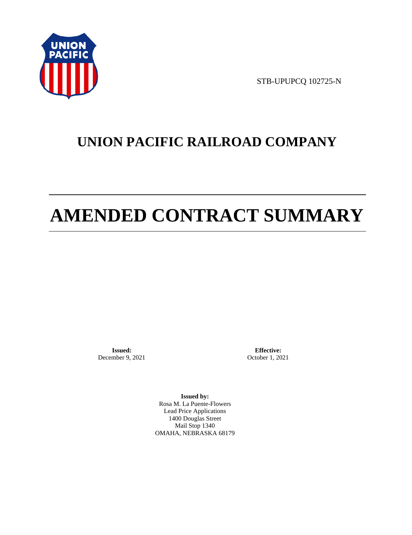

STB-UPUPCQ 102725-N

# **UNION PACIFIC RAILROAD COMPANY**

# **AMENDED CONTRACT SUMMARY**

**Issued:**  December 9, 2021

**Effective:** October 1, 2021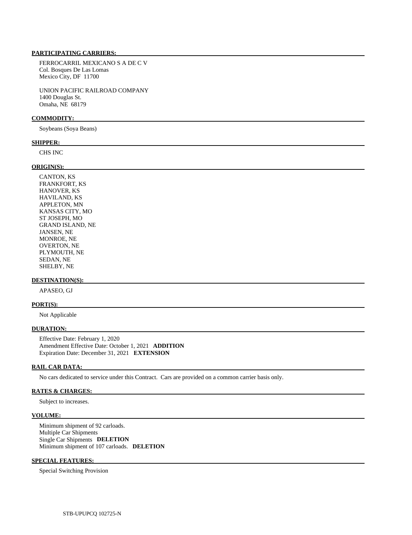FERROCARRIL MEXICANO S A DE C V Col. Bosques De Las Lomas Mexico City, DF 11700

 UNION PACIFIC RAILROAD COMPANY 1400 Douglas St. Omaha, NE 68179

## **COMMODITY:**

Soybeans (Soya Beans)

#### **SHIPPER:**

CHS INC

# **ORIGIN(S):**

 CANTON, KS FRANKFORT, KS HANOVER, KS HAVILAND, KS APPLETON, MN KANSAS CITY, MO ST JOSEPH, MO GRAND ISLAND, NE JANSEN, NE MONROE, NE OVERTON, NE PLYMOUTH, NE SEDAN, NE SHELBY, NE

# **DESTINATION(S):**

APASEO, GJ

#### **PORT(S):**

Not Applicable

#### **DURATION:**

 Effective Date: February 1, 2020 Amendment Effective Date: October 1, 2021 **ADDITION**  Expiration Date: December 31, 2021 **EXTENSION** 

### **RAIL CAR DATA:**

No cars dedicated to service under this Contract. Cars are provided on a common carrier basis only.

# **RATES & CHARGES:**

Subject to increases.

#### **VOLUME:**

 Minimum shipment of 92 carloads. Multiple Car Shipments Single Car Shipments **DELETION**  Minimum shipment of 107 carloads. **DELETION** 

# **SPECIAL FEATURES:**

Special Switching Provision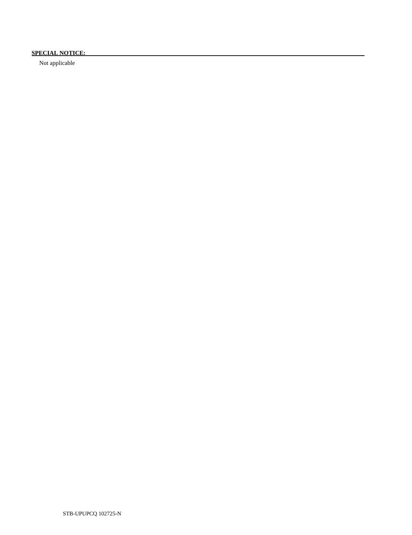# **SPECIAL NOTICE:**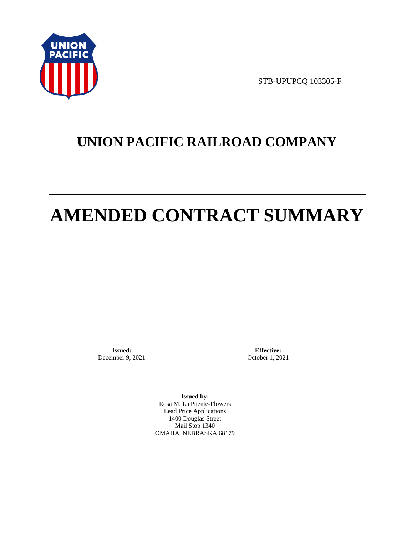

STB-UPUPCQ 103305-F

# **UNION PACIFIC RAILROAD COMPANY**

# **AMENDED CONTRACT SUMMARY**

**Issued:**  December 9, 2021

**Effective:** October 1, 2021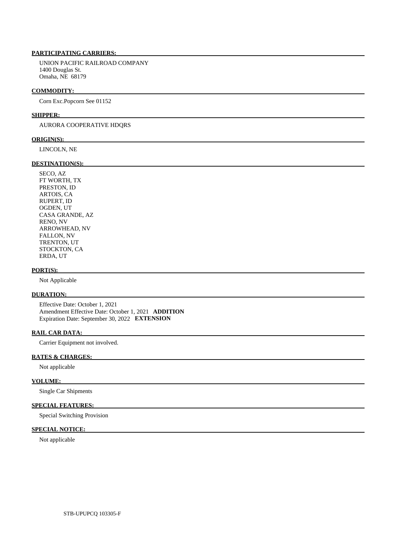UNION PACIFIC RAILROAD COMPANY 1400 Douglas St. Omaha, NE 68179

## **COMMODITY:**

Corn Exc.Popcorn See 01152

## **SHIPPER:**

# AURORA COOPERATIVE HDQRS

## **ORIGIN(S):**

LINCOLN, NE

# **DESTINATION(S):**

 SECO, AZ FT WORTH, TX PRESTON, ID ARTOIS, CA RUPERT, ID OGDEN, UT CASA GRANDE, AZ RENO, NV ARROWHEAD, NV FALLON, NV TRENTON, UT STOCKTON, CA ERDA, UT

## **PORT(S):**

Not Applicable

# **DURATION:**

 Effective Date: October 1, 2021 Amendment Effective Date: October 1, 2021 **ADDITION**  Expiration Date: September 30, 2022 **EXTENSION** 

# **RAIL CAR DATA:**

Carrier Equipment not involved.

# **RATES & CHARGES:**

Not applicable

# **VOLUME:**

Single Car Shipments

# **SPECIAL FEATURES:**

Special Switching Provision

# **SPECIAL NOTICE:**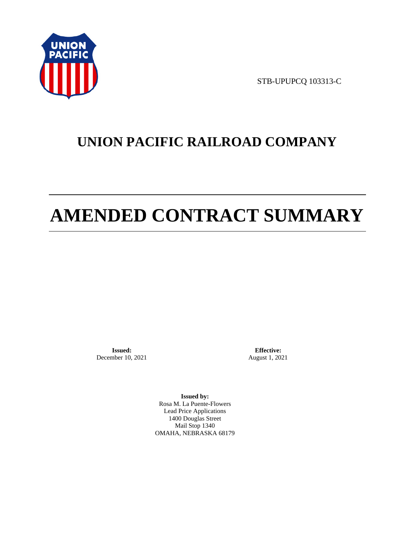

STB-UPUPCQ 103313-C

# **UNION PACIFIC RAILROAD COMPANY**

# **AMENDED CONTRACT SUMMARY**

**Issued:**  December 10, 2021

**Effective:** August 1, 2021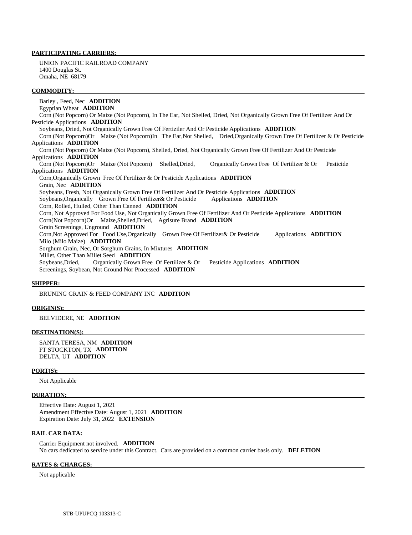UNION PACIFIC RAILROAD COMPANY 1400 Douglas St. Omaha, NE 68179

#### **COMMODITY:**

 Barley , Feed, Nec **ADDITION**  Egyptian Wheat **ADDITION**  Corn (Not Popcorn) Or Maize (Not Popcorn), In The Ear, Not Shelled, Dried, Not Organically Grown Free Of Fertilizer And Or Pesticide Applications **ADDITION**  Soybeans, Dried, Not Organically Grown Free Of Fertiziler And Or Pesticide Applications **ADDITION**  Corn (Not Popcorn)Or Maize (Not Popcorn)In The Ear,Not Shelled, Dried,Organically Grown Free Of Fertilizer & Or Pesticide Applications **ADDITION**  Corn (Not Popcorn) Or Maize (Not Popcorn), Shelled, Dried, Not Organically Grown Free Of Fertilizer And Or Pesticide Applications **ADDITION**  Corn (Not Popcorn)Or Maize (Not Popcorn) Shelled,Dried, Organically Grown Free Of Fertilizer & Or Pesticide Applications **ADDITION**  Corn,Organically Grown Free Of Fertilizer & Or Pesticide Applications **ADDITION**  Grain, Nec **ADDITION**  Soybeans, Fresh, Not Organically Grown Free Of Fertilizer And Or Pesticide Applications **ADDITION**  Soybeans,Organically Grown Free Of Fertilizer& Or Pesticide Applications **ADDITION**  Corn, Rolled, Hulled, Other Than Canned **ADDITION**  Corn, Not Approved For Food Use, Not Organically Grown Free Of Fertilizer And Or Pesticide Applications **ADDITION**  Corn(Not Popcorn)Or Maize,Shelled,Dried, Agrisure Brand **ADDITION**  Grain Screenings, Unground **ADDITION**  Corn,Not Approved For Food Use,Organically Grown Free Of Fertilizer& Or Pesticide Applications **ADDITION**  Milo (Milo Maize) **ADDITION**  Sorghum Grain, Nec, Or Sorghum Grains, In Mixtures **ADDITION**  Millet, Other Than Millet Seed **ADDITION**  Soybeans,Dried, Organically Grown Free Of Fertilizer & Or Pesticide Applications **ADDITION**  Screenings, Soybean, Not Ground Nor Processed **ADDITION** 

# **SHIPPER:**

# BRUNING GRAIN & FEED COMPANY INC **ADDITION**

#### **ORIGIN(S):**

## BELVIDERE, NE **ADDITION**

# **DESTINATION(S):**

 SANTA TERESA, NM **ADDITION**  FT STOCKTON, TX **ADDITION**  DELTA, UT **ADDITION** 

#### **PORT(S):**

Not Applicable

#### **DURATION:**

 Effective Date: August 1, 2021 Amendment Effective Date: August 1, 2021 **ADDITION**  Expiration Date: July 31, 2022 **EXTENSION** 

#### **RAIL CAR DATA:**

 Carrier Equipment not involved. **ADDITION**  No cars dedicated to service under this Contract. Cars are provided on a common carrier basis only. **DELETION** 

# **RATES & CHARGES:**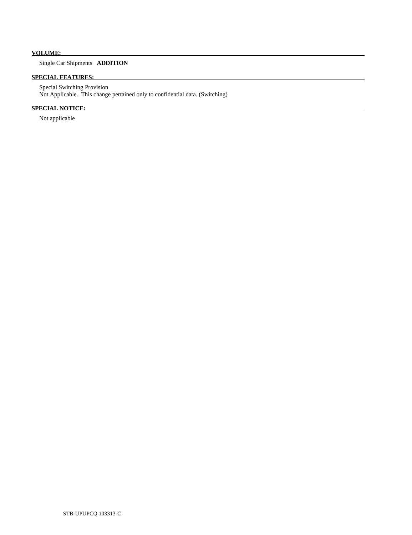# **VOLUME:**

# Single Car Shipments **ADDITION**

# **SPECIAL FEATURES:**

 Special Switching Provision Not Applicable. This change pertained only to confidential data. (Switching)

# **SPECIAL NOTICE:**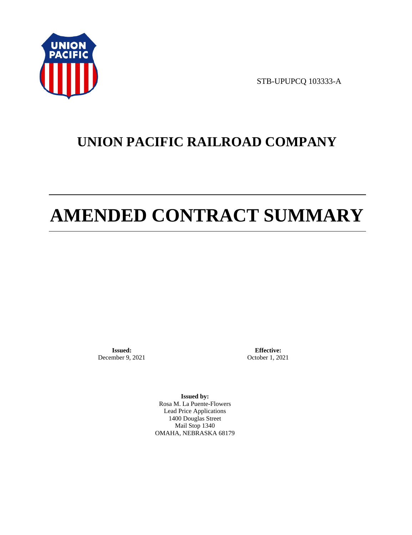

STB-UPUPCQ 103333-A

# **UNION PACIFIC RAILROAD COMPANY**

# **AMENDED CONTRACT SUMMARY**

**Issued:**  December 9, 2021

**Effective:** October 1, 2021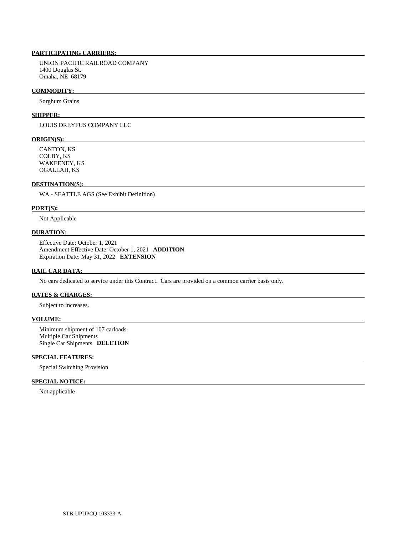UNION PACIFIC RAILROAD COMPANY 1400 Douglas St. Omaha, NE 68179

# **COMMODITY:**

Sorghum Grains

#### **SHIPPER:**

LOUIS DREYFUS COMPANY LLC

# **ORIGIN(S):**

 CANTON, KS COLBY, KS WAKEENEY, KS OGALLAH, KS

# **DESTINATION(S):**

WA - SEATTLE AGS (See Exhibit Definition)

#### **PORT(S):**

Not Applicable

# **DURATION:**

 Effective Date: October 1, 2021 Amendment Effective Date: October 1, 2021 **ADDITION**  Expiration Date: May 31, 2022 **EXTENSION** 

#### **RAIL CAR DATA:**

No cars dedicated to service under this Contract. Cars are provided on a common carrier basis only.

# **RATES & CHARGES:**

Subject to increases.

# **VOLUME:**

 Minimum shipment of 107 carloads. Multiple Car Shipments Single Car Shipments **DELETION** 

# **SPECIAL FEATURES:**

Special Switching Provision

# **SPECIAL NOTICE:**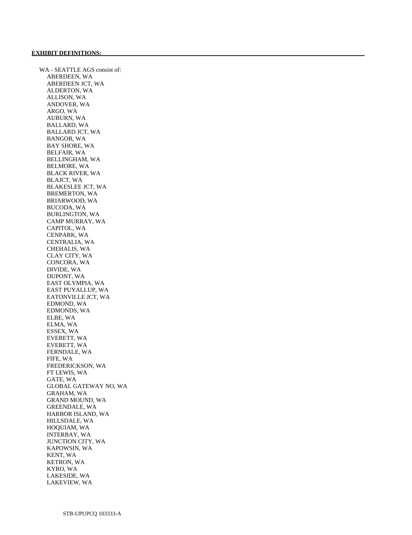WA - SEATTLE AGS consist of: ABERDEEN, WA ABERDEEN JCT, WA ALDERTON, WA ALLISON, WA ANDOVER, WA ARGO, WA AUBURN, WA BALLARD, WA BALLARD JCT, WA BANGOR, WA BAY SHORE, WA BELFAIR, WA BELLINGHAM, WA BELMORE, WA BLACK RIVER, WA BLAJCT, WA BLAKESLEE JCT, WA BREMERTON, WA BRIARWOOD, WA BUCODA, WA BURLINGTON, WA CAMP MURRAY, WA CAPITOL, WA CENPARK, WA CENTRALIA, WA CHEHALIS, WA CLAY CITY, WA CONCORA, WA DIVIDE, WA DUPONT, WA EAST OLYMPIA, WA EAST PUYALLUP, WA EATONVILLE JCT, WA EDMOND, WA EDMONDS, WA ELBE, WA ELMA, WA ESSEX, WA EVERETT, WA EVERETT, WA FERNDALE, WA FIFE, WA FREDERICKSON, WA FT LEWIS, WA GATE, WA GLOBAL GATEWAY NO, WA GRAHAM, WA GRAND MOUND, WA GREENDALE, WA HARBOR ISLAND, WA HILLSDALE, WA HOQUIAM, WA INTERBAY, WA JUNCTION CITY, WA KAPOWSIN, WA KENT, WA KETRON, WA KYRO, WA LAKESIDE, WA LAKEVIEW, WA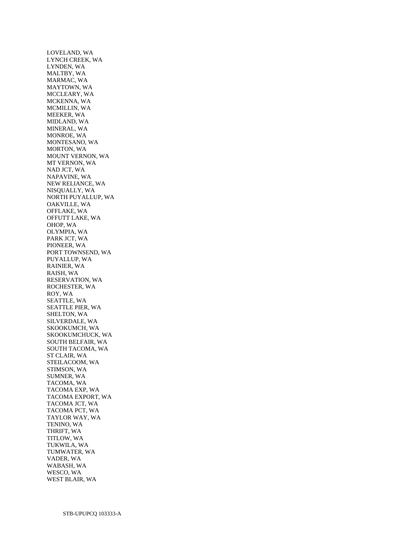LOVELAND, WA LYNCH CREEK, WA LYNDEN, WA MALTBY, WA MARMAC, WA MAYTOWN, WA MCCLEARY, WA MCKENNA, WA MCMILLIN, WA MEEKER, WA MIDLAND, WA MINERAL, WA MONROE, WA MONTESANO, WA MORTON, WA MOUNT VERNON, WA MT VERNON, WA NAD JCT, WA NAPAVINE, WA NEW RELIANCE, WA NISQUALLY, WA NORTH PUYALLUP, WA OAKVILLE, WA OFFLAKE, WA OFFUTT LAKE, WA OHOP, WA OLYMPIA, WA PARK JCT, WA PIONEER, WA PORT TOWNSEND, WA PUYALLUP, WA RAINIER, WA RAISH, WA RESERVATION, WA ROCHESTER, WA ROY, WA SEATTLE, WA SEATTLE PIER, WA SHELTON, WA SILVERDALE, WA SKOOKUMCH, WA SKOOKUMCHUCK, WA SOUTH BELFAIR, WA SOUTH TACOMA, WA ST CLAIR, WA STEILACOOM, WA STIMSON, WA SUMNER, WA TACOMA, WA TACOMA EXP, WA TACOMA EXPORT, WA TACOMA JCT, WA TACOMA PCT, WA TAYLOR WAY, WA TENINO, WA THRIFT, WA TITLOW, WA TUKWILA, WA TUMWATER, WA VADER, WA WABASH, WA WESCO, WA WEST BLAIR, WA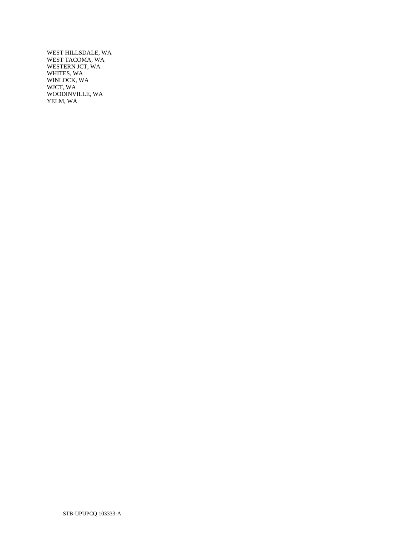WEST HILLSDALE, WA WEST TACOMA, WA WESTERN JCT, WA WHITES, WA WINLOCK, WA WJCT, WA WOODINVILLE, WA YELM, WA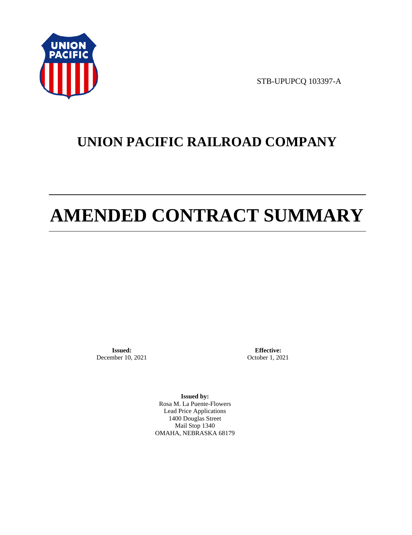

STB-UPUPCQ 103397-A

# **UNION PACIFIC RAILROAD COMPANY**

# **AMENDED CONTRACT SUMMARY**

**Issued:**  December 10, 2021

**Effective:** October 1, 2021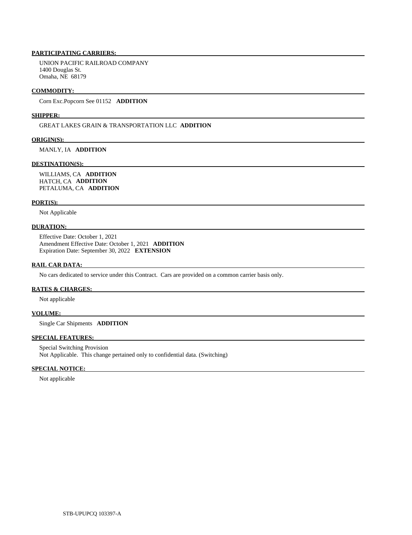UNION PACIFIC RAILROAD COMPANY 1400 Douglas St. Omaha, NE 68179

### **COMMODITY:**

Corn Exc.Popcorn See 01152 **ADDITION** 

#### **SHIPPER:**

GREAT LAKES GRAIN & TRANSPORTATION LLC **ADDITION** 

## **ORIGIN(S):**

MANLY, IA **ADDITION** 

## **DESTINATION(S):**

 WILLIAMS, CA **ADDITION**  HATCH, CA **ADDITION**  PETALUMA, CA **ADDITION** 

# **PORT(S):**

Not Applicable

# **DURATION:**

 Effective Date: October 1, 2021 Amendment Effective Date: October 1, 2021 **ADDITION**  Expiration Date: September 30, 2022 **EXTENSION** 

# **RAIL CAR DATA:**

No cars dedicated to service under this Contract. Cars are provided on a common carrier basis only.

# **RATES & CHARGES:**

Not applicable

# **VOLUME:**

Single Car Shipments **ADDITION** 

# **SPECIAL FEATURES:**

 Special Switching Provision Not Applicable. This change pertained only to confidential data. (Switching)

# **SPECIAL NOTICE:**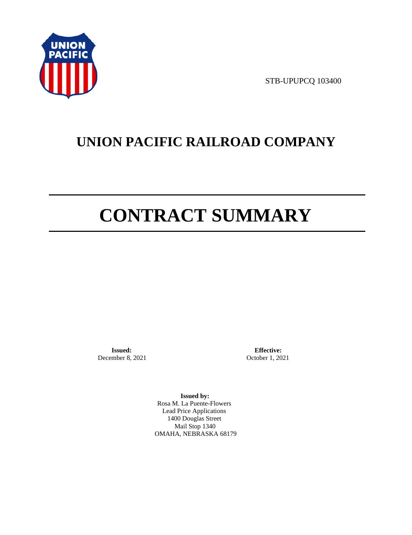

STB-UPUPCQ 103400

# **UNION PACIFIC RAILROAD COMPANY**

# **CONTRACT SUMMARY**

**Issued:**  December 8, 2021

**Effective:** October 1, 2021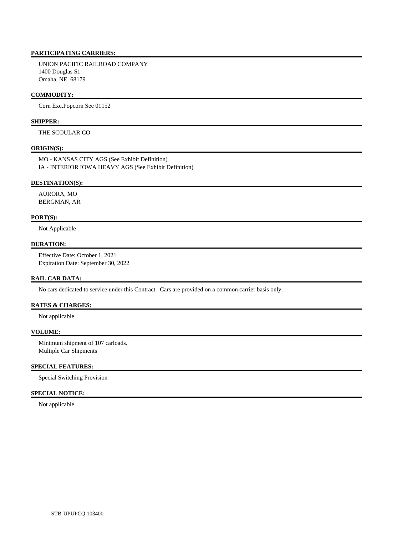UNION PACIFIC RAILROAD COMPANY 1400 Douglas St. Omaha, NE 68179

# **COMMODITY:**

Corn Exc.Popcorn See 01152

# **SHIPPER:**

THE SCOULAR CO

# **ORIGIN(S):**

 MO - KANSAS CITY AGS (See Exhibit Definition) IA - INTERIOR IOWA HEAVY AGS (See Exhibit Definition)

## **DESTINATION(S):**

 AURORA, MO BERGMAN, AR

# **PORT(S):**

Not Applicable

# **DURATION:**

 Effective Date: October 1, 2021 Expiration Date: September 30, 2022

# **RAIL CAR DATA:**

No cars dedicated to service under this Contract. Cars are provided on a common carrier basis only.

# **RATES & CHARGES:**

Not applicable

# **VOLUME:**

 Minimum shipment of 107 carloads. Multiple Car Shipments

### **SPECIAL FEATURES:**

Special Switching Provision

# **SPECIAL NOTICE:**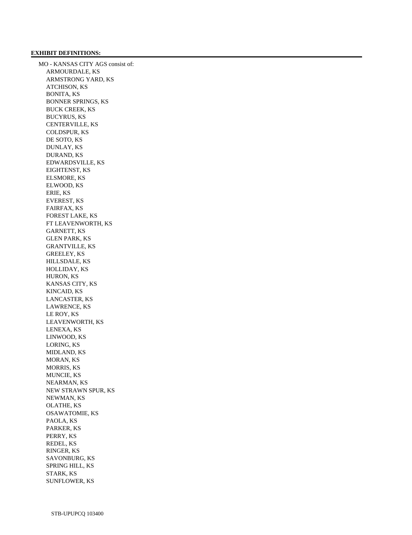### **EXHIBIT DEFINITIONS:**

 MO - KANSAS CITY AGS consist of: ARMOURDALE, KS ARMSTRONG YARD, KS ATCHISON, KS BONITA, KS BONNER SPRINGS, KS BUCK CREEK, KS BUCYRUS, KS CENTERVILLE, KS COLDSPUR, KS DE SOTO, KS DUNLAY, KS DURAND, KS EDWARDSVILLE, KS EIGHTENST, KS ELSMORE, KS ELWOOD, KS ERIE, KS EVEREST, KS FAIRFAX, KS FOREST LAKE, KS FT LEAVENWORTH, KS GARNETT, KS GLEN PARK, KS GRANTVILLE, KS GREELEY, KS HILLSDALE, KS HOLLIDAY, KS HURON, KS KANSAS CITY, KS KINCAID, KS LANCASTER, KS LAWRENCE, KS LE ROY, KS LEAVENWORTH, KS LENEXA, KS LINWOOD, KS LORING, KS MIDLAND, KS MORAN, KS MORRIS, KS MUNCIE, KS NEARMAN, KS NEW STRAWN SPUR, KS NEWMAN, KS OLATHE, KS OSAWATOMIE, KS PAOLA, KS PARKER, KS PERRY, KS REDEL, KS RINGER, KS SAVONBURG, KS SPRING HILL, KS STARK, KS SUNFLOWER, KS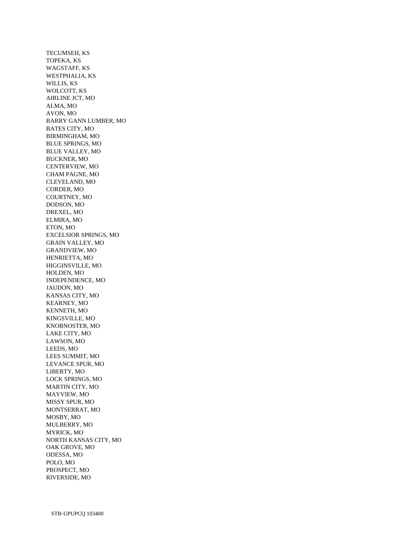TECUMSEH, KS TOPEKA, KS WAGSTAFF, KS WESTPHALIA, KS WILLIS, KS WOLCOTT, KS AIRLINE JCT, MO ALMA, MO AVON, MO BARRY GANN LUMBER, MO BATES CITY, MO BIRMINGHAM, MO BLUE SPRINGS, MO BLUE VALLEY, MO BUCKNER, MO CENTERVIEW, MO CHAM PAGNE, MO CLEVELAND, MO CORDER, MO COURTNEY, MO DODSON, MO DREXEL, MO ELMIRA, MO ETON, MO EXCELSIOR SPRINGS, MO GRAIN VALLEY, MO GRANDVIEW, MO HENRIETTA, MO HIGGINSVILLE, MO HOLDEN, MO INDEPENDENCE, MO JAUDON, MO KANSAS CITY, MO KEARNEY, MO KENNETH, MO KINGSVILLE, MO KNOBNOSTER, MO LAKE CITY, MO LAWSON, MO LEEDS, MO LEES SUMMIT, MO LEVANCE SPUR, MO LIBERTY, MO LOCK SPRINGS, MO MARTIN CITY, MO MAYVIEW, MO MISSY SPUR, MO MONTSERRAT, MO MOSBY, MO MULBERRY, MO MYRICK, MO NORTH KANSAS CITY, MO OAK GROVE, MO ODESSA, MO POLO, MO PROSPECT, MO RIVERSIDE, MO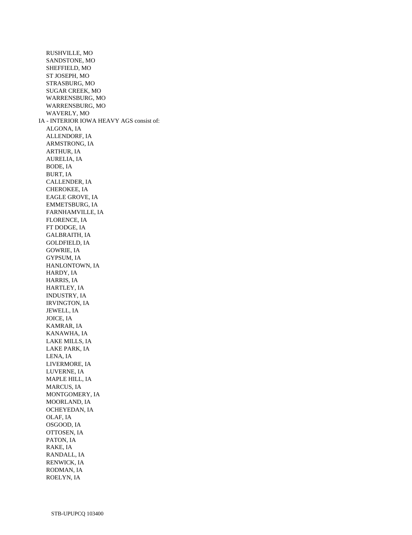RUSHVILLE, MO SANDSTONE, MO SHEFFIELD, MO ST JOSEPH, MO STRASBURG, MO SUGAR CREEK, MO WARRENSBURG, MO WARRENSBURG, MO WAVERLY, MO IA - INTERIOR IOWA HEAVY AGS consist of: ALGONA, IA ALLENDORF, IA ARMSTRONG, IA ARTHUR, IA AURELIA, IA BODE, IA BURT, IA CALLENDER, IA CHEROKEE, IA EAGLE GROVE, IA EMMETSBURG, IA FARNHAMVILLE, IA FLORENCE, IA FT DODGE, IA GALBRAITH, IA GOLDFIELD, IA GOWRIE, IA GYPSUM, IA HANLONTOWN, IA HARDY, IA HARRIS, IA HARTLEY, IA INDUSTRY, IA IRVINGTON, IA JEWELL, IA JOICE, IA KAMRAR, IA KANAWHA, IA LAKE MILLS, IA LAKE PARK, IA LENA, IA LIVERMORE, IA LUVERNE, IA MAPLE HILL, IA MARCUS, IA MONTGOMERY, IA MOORLAND, IA OCHEYEDAN, IA OLAF, IA OSGOOD, IA OTTOSEN, IA PATON, IA RAKE, IA RANDALL, IA RENWICK, IA RODMAN, IA ROELYN, IA